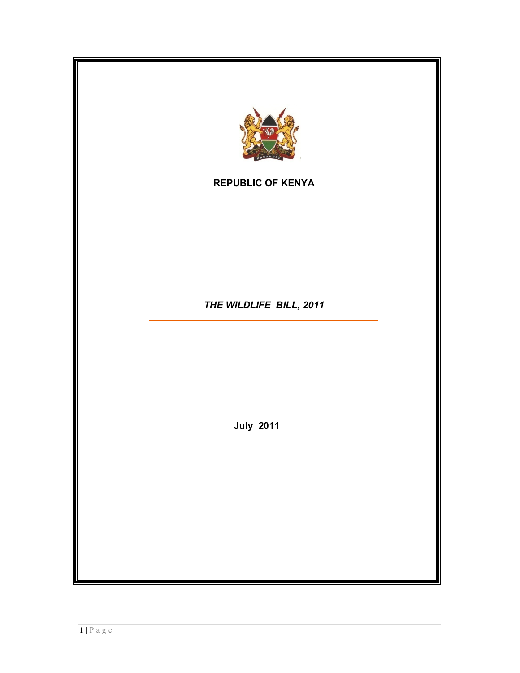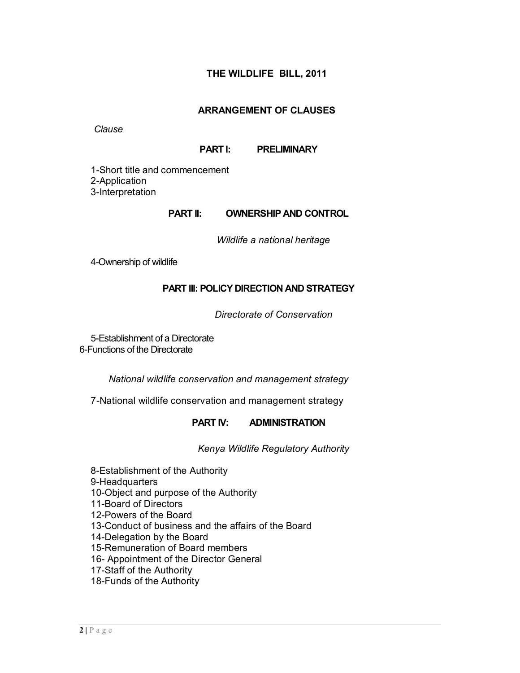# **THE WILDLIFE BILL, 2011**

#### **ARRANGEMENT OF CLAUSES**

*Clause*

#### **PART I: PRELIMINARY**

1-Short title and commencement 2-Application 3-Interpretation

#### **PART II: OWNERSHIP AND CONTROL**

*Wildlife a national heritage*

4-Ownership of wildlife

## **PART III: POLICY DIRECTION AND STRATEGY**

*Directorate of Conservation*

5-Establishment of a Directorate 6-Functions of the Directorate

*National wildlife conservation and management strategy*

7-National wildlife conservation and management strategy

#### **PART IV: ADMINISTRATION**

*Kenya Wildlife Regulatory Authority*

8-Establishment of the Authority 9-Headquarters 10-Object and purpose of the Authority 11-Board of Directors 12-Powers of the Board 13-Conduct of business and the affairs of the Board 14-Delegation by the Board 15-Remuneration of Board members 16- Appointment of the Director General 17-Staff of the Authority 18-Funds of the Authority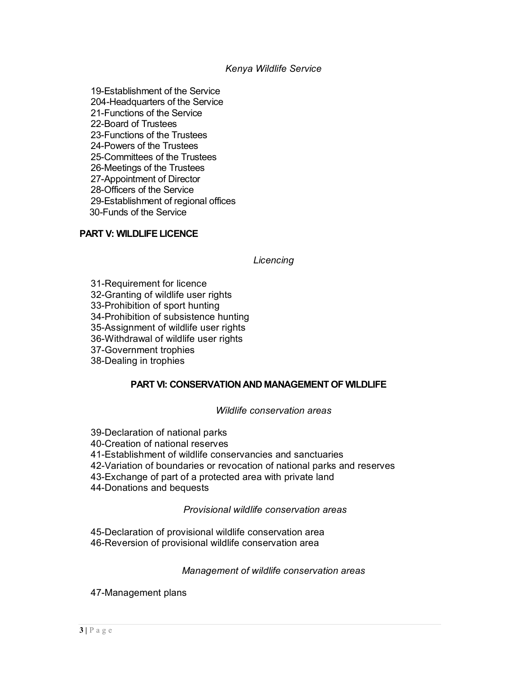#### *Kenya Wildlife Service*

19-Establishment of the Service 204-Headquarters of the Service 21-Functions of the Service 22-Board of Trustees 23-Functions of the Trustees 24-Powers of the Trustees 25-Committees of the Trustees 26-Meetings of the Trustees 27-Appointment of Director 28-Officers of the Service 29-Establishment of regional offices 30-Funds of the Service

## **PART V: WILDLIFE LICENCE**

## *Licencing*

31-Requirement for licence 32-Granting of wildlife user rights 33-Prohibition of sport hunting 34-Prohibition of subsistence hunting 35-Assignment of wildlife user rights 36-Withdrawal of wildlife user rights 37-Government trophies 38-Dealing in trophies

# **PART VI: CONSERVATION AND MANAGEMENT OF WILDLIFE**

*Wildlife conservation areas*

39-Declaration of national parks 40-Creation of national reserves 41-Establishment of wildlife conservancies and sanctuaries 42-Variation of boundaries or revocation of national parks and reserves 43-Exchange of part of a protected area with private land 44-Donations and bequests

*Provisional wildlife conservation areas*

45-Declaration of provisional wildlife conservation area 46-Reversion of provisional wildlife conservation area

*Management of wildlife conservation areas*

47-Management plans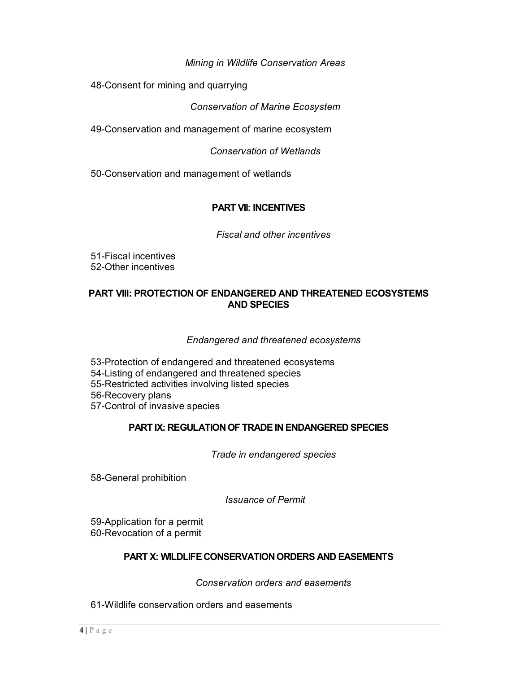# *Mining in Wildlife Conservation Areas*

48-Consent for mining and quarrying

*Conservation of Marine Ecosystem*

49-Conservation and management of marine ecosystem

*Conservation of Wetlands*

50-Conservation and management of wetlands

## **PART VII: INCENTIVES**

*Fiscal and other incentives*

51-Fiscal incentives 52-Other incentives

# **PART VIII: PROTECTION OF ENDANGERED AND THREATENED ECOSYSTEMS AND SPECIES**

#### *Endangered and threatened ecosystems*

53-Protection of endangered and threatened ecosystems 54-Listing of endangered and threatened species 55-Restricted activities involving listed species 56-Recovery plans 57-Control of invasive species

## **PART IX: REGULATION OF TRADE IN ENDANGERED SPECIES**

*Trade in endangered species*

58-General prohibition

*Issuance of Permit*

59-Application for a permit 60-Revocation of a permit

## **PART X: WILDLIFE CONSERVATION ORDERS AND EASEMENTS**

*Conservation orders and easements*

61-Wildlife conservation orders and easements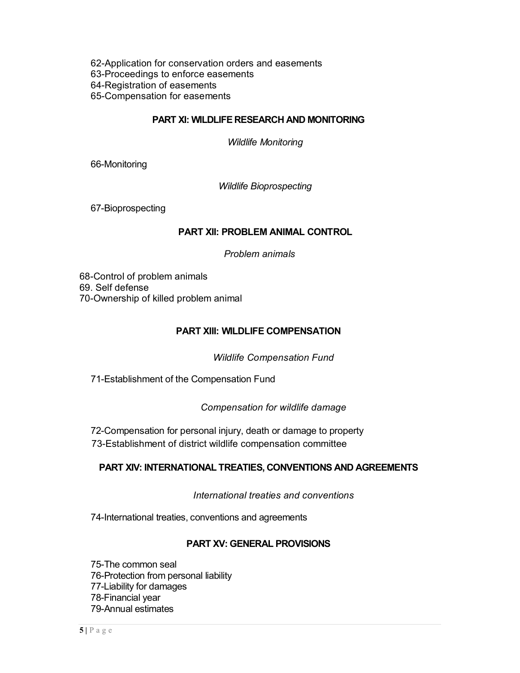62-Application for conservation orders and easements 63-Proceedings to enforce easements 64-Registration of easements 65-Compensation for easements

#### **PART XI: WILDLIFE RESEARCH AND MONITORING**

*Wildlife Monitoring*

66-Monitoring

*Wildlife Bioprospecting*

67-Bioprospecting

#### **PART XII: PROBLEM ANIMAL CONTROL**

*Problem animals*

68-Control of problem animals 69. Self defense 70-Ownership of killed problem animal

#### **PART XIII: WILDLIFE COMPENSATION**

*Wildlife Compensation Fund*

71-Establishment of the Compensation Fund

*Compensation for wildlife damage*

72-Compensation for personal injury, death or damage to property 73-Establishment of district wildlife compensation committee

## **PART XIV: INTERNATIONAL TREATIES, CONVENTIONS AND AGREEMENTS**

*International treaties and conventions*

74-International treaties, conventions and agreements

## **PART XV: GENERAL PROVISIONS**

75-The common seal 76-Protection from personal liability 77-Liability for damages 78-Financial year 79-Annual estimates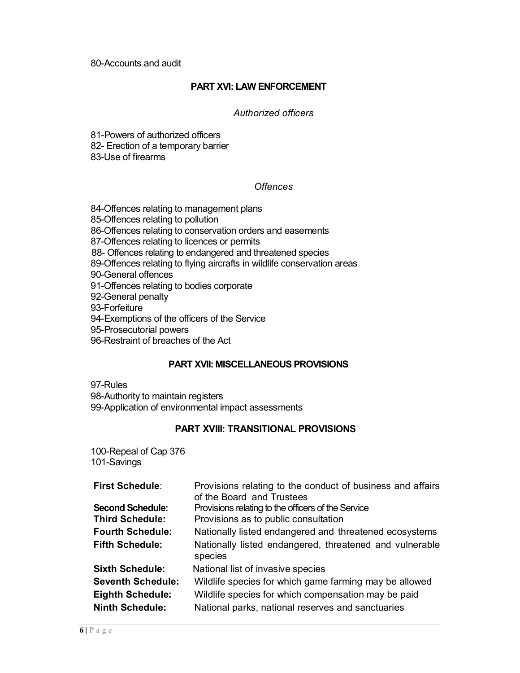#### **PART XVI: LAW ENFORCEMENT**

#### *Authorized officers*

81-Powers of authorized officers

82- Erection of a temporary barrier

83-Use of firearms

## *Offences*

84-Offences relating to management plans 85-Offences relating to pollution 86-Offences relating to conservation orders and easements 87-Offences relating to licences or permits 88- Offences relating to endangered and threatened species 89-Offences relating to flying aircrafts in wildlife conservation areas 90-General offences 91-Offences relating to bodies corporate 92-General penalty 93-Forfeiture 94-Exemptions of the officers of the Service 95-Prosecutorial powers 96-Restraint of breaches of the Act

## **PART XVII: MISCELLANEOUS PROVISIONS**

97-Rules 98-Authority to maintain registers 99-Application of environmental impact assessments

## **PART XVIII: TRANSITIONAL PROVISIONS**

100-Repeal of Cap 376 101-Savings

| <b>First Schedule:</b>   | Provisions relating to the conduct of business and affairs         |
|--------------------------|--------------------------------------------------------------------|
|                          | of the Board and Trustees                                          |
| <b>Second Schedule:</b>  | Provisions relating to the officers of the Service                 |
| <b>Third Schedule:</b>   | Provisions as to public consultation                               |
| <b>Fourth Schedule:</b>  | Nationally listed endangered and threatened ecosystems             |
| <b>Fifth Schedule:</b>   | Nationally listed endangered, threatened and vulnerable<br>species |
| <b>Sixth Schedule:</b>   | National list of invasive species                                  |
| <b>Seventh Schedule:</b> | Wildlife species for which game farming may be allowed             |
| <b>Eighth Schedule:</b>  | Wildlife species for which compensation may be paid                |
| <b>Ninth Schedule:</b>   | National parks, national reserves and sanctuaries                  |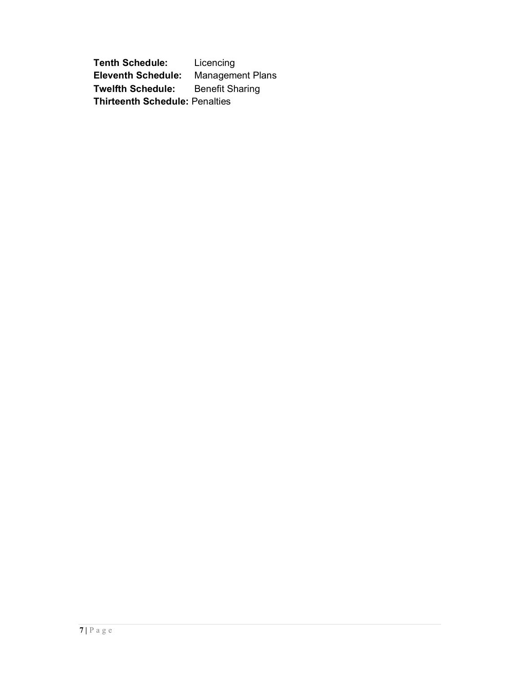**Tenth Schedule:** Licencing **Eleventh Schedule:** Management Plans<br> **Twelfth Schedule:** Benefit Sharing **Twelfth Schedule: Thirteenth Schedule:** Penalties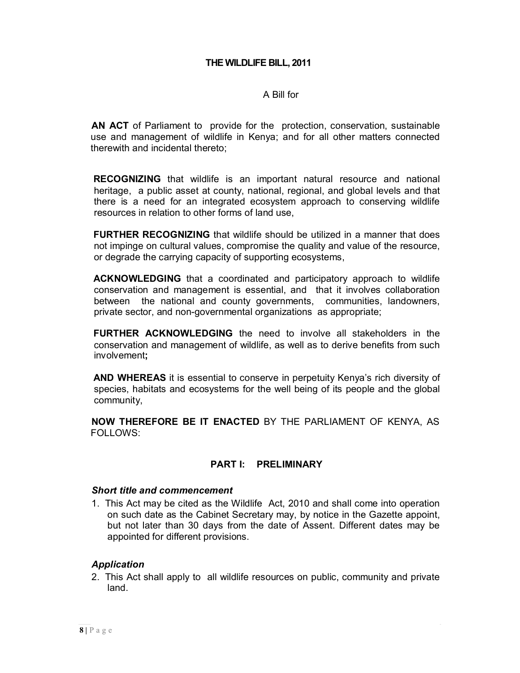## A Bill for

**AN ACT** of Parliament to provide for the protection, conservation, sustainable use and management of wildlife in Kenya; and for all other matters connected therewith and incidental thereto;

**RECOGNIZING** that wildlife is an important natural resource and national heritage, a public asset at county, national, regional, and global levels and that there is a need for an integrated ecosystem approach to conserving wildlife resources in relation to other forms of land use,

**FURTHER RECOGNIZING** that wildlife should be utilized in a manner that does not impinge on cultural values, compromise the quality and value of the resource, or degrade the carrying capacity of supporting ecosystems,

**ACKNOWLEDGING** that a coordinated and participatory approach to wildlife conservation and management is essential, and that it involves collaboration between the national and county governments, communities, landowners, private sector, and non-governmental organizations as appropriate;

**FURTHER ACKNOWLEDGING** the need to involve all stakeholders in the conservation and management of wildlife, as well as to derive benefits from such involvement**;**

**AND WHEREAS** it is essential to conserve in perpetuity Kenya's rich diversity of species, habitats and ecosystems for the well being of its people and the global community,

**NOW THEREFORE BE IT ENACTED** BY THE PARLIAMENT OF KENYA, AS FOLLOWS:

## **PART I: PRELIMINARY**

#### *Short title and commencement*

1. This Act may be cited as the Wildlife Act, 2010 and shall come into operation on such date as the Cabinet Secretary may, by notice in the Gazette appoint, but not later than 30 days from the date of Assent. Different dates may be appointed for different provisions.

## *Application*

2. This Act shall apply to all wildlife resources on public, community and private land.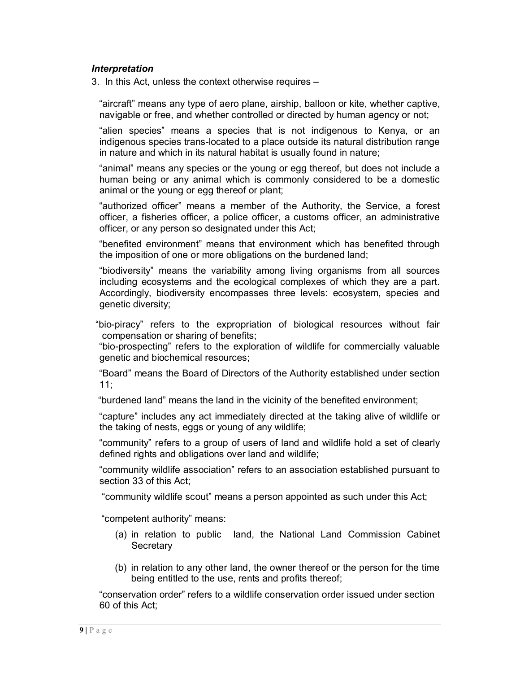#### *Interpretation*

3. In this Act, unless the context otherwise requires –

"aircraft" means any type of aero plane, airship, balloon or kite, whether captive, navigable or free, and whether controlled or directed by human agency or not;

"alien species" means a species that is not indigenous to Kenya, or an indigenous species trans-located to a place outside its natural distribution range in nature and which in its natural habitat is usually found in nature;

"animal" means any species or the young or egg thereof, but does not include a human being or any animal which is commonly considered to be a domestic animal or the young or egg thereof or plant;

"authorized officer" means a member of the Authority, the Service, a forest officer, a fisheries officer, a police officer, a customs officer, an administrative officer, or any person so designated under this Act;

"benefited environment" means that environment which has benefited through the imposition of one or more obligations on the burdened land;

"biodiversity" means the variability among living organisms from all sources including ecosystems and the ecological complexes of which they are a part. Accordingly, biodiversity encompasses three levels: ecosystem, species and genetic diversity;

 "bio-piracy" refers to the expropriation of biological resources without fair compensation or sharing of benefits;

"bio-prospecting" refers to the exploration of wildlife for commercially valuable genetic and biochemical resources;

"Board" means the Board of Directors of the Authority established under section 11;

"burdened land" means the land in the vicinity of the benefited environment;

"capture" includes any act immediately directed at the taking alive of wildlife or the taking of nests, eggs or young of any wildlife;

"community" refers to a group of users of land and wildlife hold a set of clearly defined rights and obligations over land and wildlife;

"community wildlife association" refers to an association established pursuant to section 33 of this Act;

"community wildlife scout" means a person appointed as such under this Act;

"competent authority" means:

- (a) in relation to public land, the National Land Commission Cabinet **Secretary**
- (b) in relation to any other land, the owner thereof or the person for the time being entitled to the use, rents and profits thereof;

"conservation order" refers to a wildlife conservation order issued under section 60 of this Act;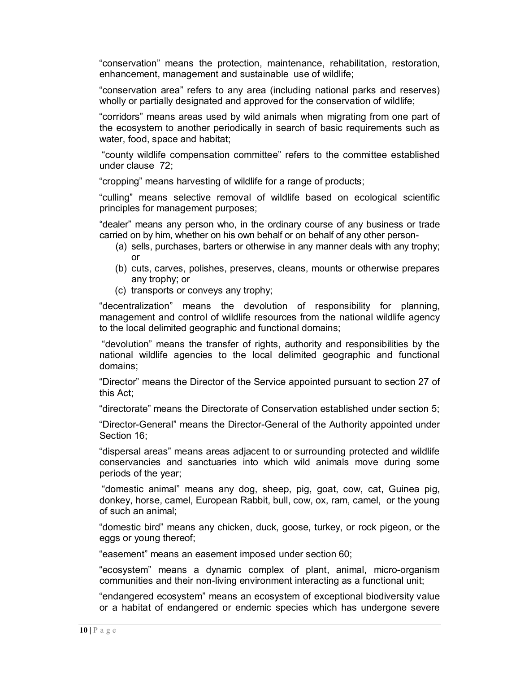"conservation" means the protection, maintenance, rehabilitation, restoration, enhancement, management and sustainable use of wildlife;

"conservation area" refers to any area (including national parks and reserves) wholly or partially designated and approved for the conservation of wildlife;

"corridors" means areas used by wild animals when migrating from one part of the ecosystem to another periodically in search of basic requirements such as water, food, space and habitat;

"county wildlife compensation committee" refers to the committee established under clause 72;

"cropping" means harvesting of wildlife for a range of products;

"culling" means selective removal of wildlife based on ecological scientific principles for management purposes;

"dealer" means any person who, in the ordinary course of any business or trade carried on by him, whether on his own behalf or on behalf of any other person-

- (a) sells, purchases, barters or otherwise in any manner deals with any trophy; or
- (b) cuts, carves, polishes, preserves, cleans, mounts or otherwise prepares any trophy; or
- (c) transports or conveys any trophy;

"decentralization" means the devolution of responsibility for planning, management and control of wildlife resources from the national wildlife agency to the local delimited geographic and functional domains;

"devolution" means the transfer of rights, authority and responsibilities by the national wildlife agencies to the local delimited geographic and functional domains;

"Director" means the Director of the Service appointed pursuant to section 27 of this Act;

"directorate" means the Directorate of Conservation established under section 5;

"Director-General" means the Director-General of the Authority appointed under Section 16;

"dispersal areas" means areas adjacent to or surrounding protected and wildlife conservancies and sanctuaries into which wild animals move during some periods of the year;

"domestic animal" means any dog, sheep, pig, goat, cow, cat, Guinea pig, donkey, horse, camel, European Rabbit, bull, cow, ox, ram, camel, or the young of such an animal;

"domestic bird" means any chicken, duck, goose, turkey, or rock pigeon, or the eggs or young thereof;

"easement" means an easement imposed under section 60;

"ecosystem" means a dynamic complex of plant, animal, micro-organism communities and their non-living environment interacting as a functional unit;

"endangered ecosystem" means an ecosystem of exceptional biodiversity value or a habitat of endangered or endemic species which has undergone severe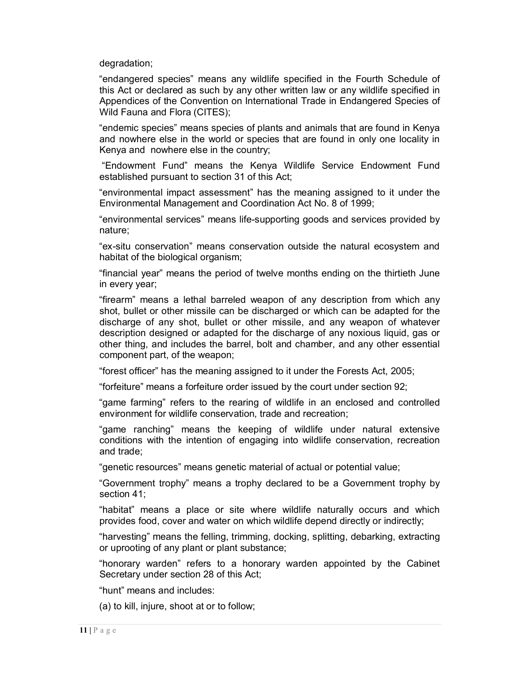degradation;

"endangered species" means any wildlife specified in the Fourth Schedule of this Act or declared as such by any other written law or any wildlife specified in Appendices of the Convention on International Trade in Endangered Species of Wild Fauna and Flora (CITES);

"endemic species" means species of plants and animals that are found in Kenya and nowhere else in the world or species that are found in only one locality in Kenya and nowhere else in the country;

"Endowment Fund" means the Kenya Wildlife Service Endowment Fund established pursuant to section 31 of this Act;

"environmental impact assessment" has the meaning assigned to it under the Environmental Management and Coordination Act No. 8 of 1999;

"environmental services" means life-supporting goods and services provided by nature;

"ex-situ conservation" means conservation outside the natural ecosystem and habitat of the biological organism;

"financial year" means the period of twelve months ending on the thirtieth June in every year;

"firearm" means a lethal barreled weapon of any description from which any shot, bullet or other missile can be discharged or which can be adapted for the discharge of any shot, bullet or other missile, and any weapon of whatever description designed or adapted for the discharge of any noxious liquid, gas or other thing, and includes the barrel, bolt and chamber, and any other essential component part, of the weapon;

"forest officer" has the meaning assigned to it under the Forests Act, 2005;

"forfeiture" means a forfeiture order issued by the court under section 92;

"game farming" refers to the rearing of wildlife in an enclosed and controlled environment for wildlife conservation, trade and recreation;

"game ranching" means the keeping of wildlife under natural extensive conditions with the intention of engaging into wildlife conservation, recreation and trade;

"genetic resources" means genetic material of actual or potential value;

"Government trophy" means a trophy declared to be a Government trophy by section 41;

"habitat" means a place or site where wildlife naturally occurs and which provides food, cover and water on which wildlife depend directly or indirectly;

"harvesting" means the felling, trimming, docking, splitting, debarking, extracting or uprooting of any plant or plant substance;

"honorary warden" refers to a honorary warden appointed by the Cabinet Secretary under section 28 of this Act;

"hunt" means and includes:

(a) to kill, injure, shoot at or to follow;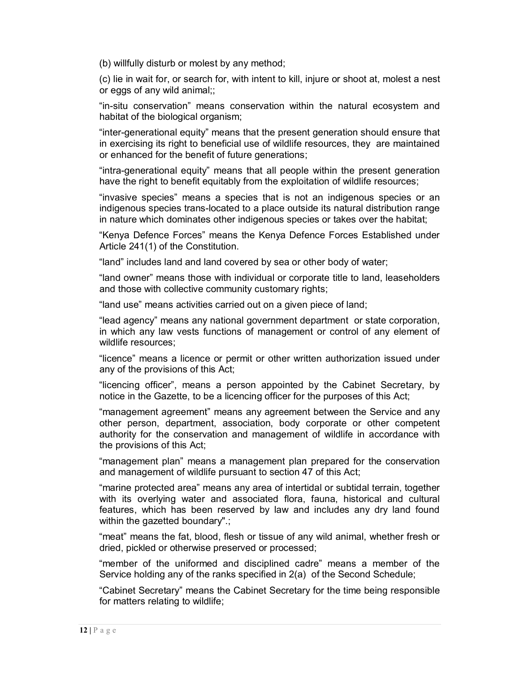(b) willfully disturb or molest by any method;

(c) lie in wait for, or search for, with intent to kill, injure or shoot at, molest a nest or eggs of any wild animal;;

"in-situ conservation" means conservation within the natural ecosystem and habitat of the biological organism;

"inter-generational equity" means that the present generation should ensure that in exercising its right to beneficial use of wildlife resources, they are maintained or enhanced for the benefit of future generations;

"intra-generational equity" means that all people within the present generation have the right to benefit equitably from the exploitation of wildlife resources;

"invasive species" means a species that is not an indigenous species or an indigenous species trans-located to a place outside its natural distribution range in nature which dominates other indigenous species or takes over the habitat;

"Kenya Defence Forces" means the Kenya Defence Forces Established under Article 241(1) of the Constitution.

"land" includes land and land covered by sea or other body of water;

"land owner" means those with individual or corporate title to land, leaseholders and those with collective community customary rights;

"land use" means activities carried out on a given piece of land;

"lead agency" means any national government department or state corporation, in which any law vests functions of management or control of any element of wildlife resources;

"licence" means a licence or permit or other written authorization issued under any of the provisions of this Act;

"licencing officer", means a person appointed by the Cabinet Secretary, by notice in the Gazette, to be a licencing officer for the purposes of this Act;

"management agreement" means any agreement between the Service and any other person, department, association, body corporate or other competent authority for the conservation and management of wildlife in accordance with the provisions of this Act;

"management plan" means a management plan prepared for the conservation and management of wildlife pursuant to section 47 of this Act;

"marine protected area" means any area of intertidal or subtidal terrain, together with its overlying water and associated flora, fauna, historical and cultural features, which has been reserved by law and includes any dry land found within the gazetted boundary".;

"meat" means the fat, blood, flesh or tissue of any wild animal, whether fresh or dried, pickled or otherwise preserved or processed;

"member of the uniformed and disciplined cadre" means a member of the Service holding any of the ranks specified in 2(a) of the Second Schedule;

"Cabinet Secretary" means the Cabinet Secretary for the time being responsible for matters relating to wildlife;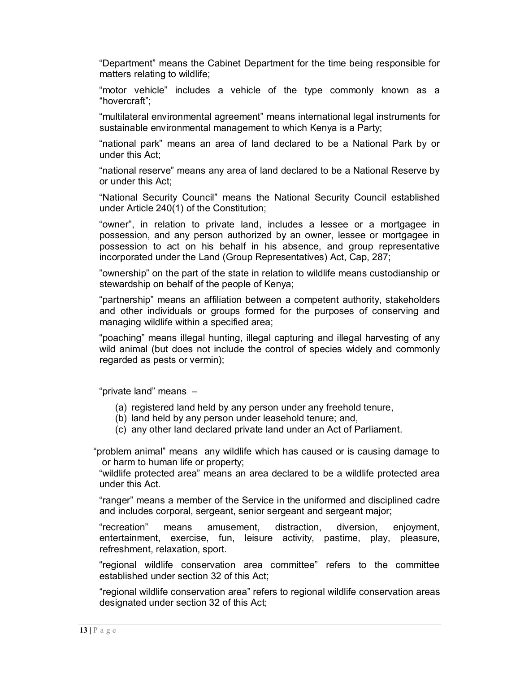"Department" means the Cabinet Department for the time being responsible for matters relating to wildlife;

"motor vehicle" includes a vehicle of the type commonly known as a "hovercraft";

"multilateral environmental agreement" means international legal instruments for sustainable environmental management to which Kenya is a Party;

"national park" means an area of land declared to be a National Park by or under this Act;

"national reserve" means any area of land declared to be a National Reserve by or under this Act;

"National Security Council" means the National Security Council established under Article 240(1) of the Constitution;

"owner", in relation to private land, includes a lessee or a mortgagee in possession, and any person authorized by an owner, lessee or mortgagee in possession to act on his behalf in his absence, and group representative incorporated under the Land (Group Representatives) Act, Cap, 287;

"ownership" on the part of the state in relation to wildlife means custodianship or stewardship on behalf of the people of Kenya;

"partnership" means an affiliation between a competent authority, stakeholders and other individuals or groups formed for the purposes of conserving and managing wildlife within a specified area;

"poaching" means illegal hunting, illegal capturing and illegal harvesting of any wild animal (but does not include the control of species widely and commonly regarded as pests or vermin);

"private land" means –

- (a) registered land held by any person under any freehold tenure,
- (b) land held by any person under leasehold tenure; and,
- (c) any other land declared private land under an Act of Parliament.

"problem animal" means any wildlife which has caused or is causing damage to or harm to human life or property;

"wildlife protected area" means an area declared to be a wildlife protected area under this Act.

"ranger" means a member of the Service in the uniformed and disciplined cadre and includes corporal, sergeant, senior sergeant and sergeant major;

"recreation" means amusement, distraction, diversion, enjoyment, entertainment, exercise, fun, leisure activity, pastime, play, pleasure, refreshment, relaxation, sport.

"regional wildlife conservation area committee" refers to the committee established under section 32 of this Act;

"regional wildlife conservation area" refers to regional wildlife conservation areas designated under section 32 of this Act;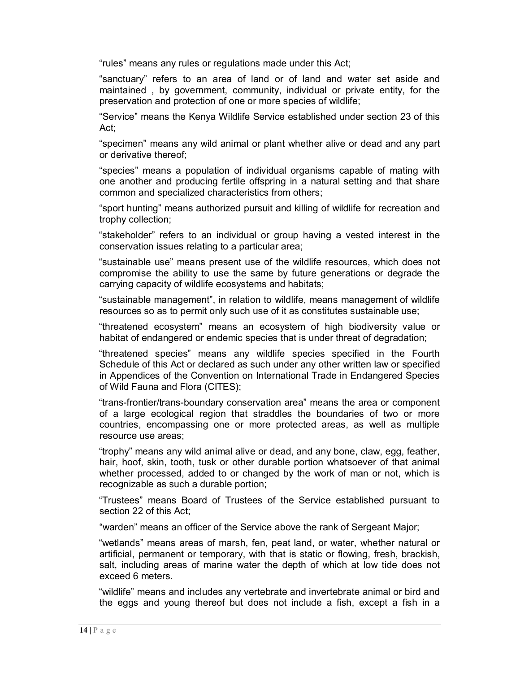"rules" means any rules or regulations made under this Act;

"sanctuary" refers to an area of land or of land and water set aside and maintained , by government, community, individual or private entity, for the preservation and protection of one or more species of wildlife;

"Service" means the Kenya Wildlife Service established under section 23 of this Act;

"specimen" means any wild animal or plant whether alive or dead and any part or derivative thereof;

"species" means a population of individual organisms capable of mating with one another and producing fertile offspring in a natural setting and that share common and specialized characteristics from others;

"sport hunting" means authorized pursuit and killing of wildlife for recreation and trophy collection;

"stakeholder" refers to an individual or group having a vested interest in the conservation issues relating to a particular area;

"sustainable use" means present use of the wildlife resources, which does not compromise the ability to use the same by future generations or degrade the carrying capacity of wildlife ecosystems and habitats;

"sustainable management", in relation to wildlife, means management of wildlife resources so as to permit only such use of it as constitutes sustainable use;

"threatened ecosystem" means an ecosystem of high biodiversity value or habitat of endangered or endemic species that is under threat of degradation;

"threatened species" means any wildlife species specified in the Fourth Schedule of this Act or declared as such under any other written law or specified in Appendices of the Convention on International Trade in Endangered Species of Wild Fauna and Flora (CITES);

"trans-frontier/trans-boundary conservation area" means the area or component of a large ecological region that straddles the boundaries of two or more countries, encompassing one or more protected areas, as well as multiple resource use areas;

"trophy" means any wild animal alive or dead, and any bone, claw, egg, feather, hair, hoof, skin, tooth, tusk or other durable portion whatsoever of that animal whether processed, added to or changed by the work of man or not, which is recognizable as such a durable portion;

"Trustees" means Board of Trustees of the Service established pursuant to section 22 of this Act;

"warden" means an officer of the Service above the rank of Sergeant Major;

"wetlands" means areas of marsh, fen, peat land, or water, whether natural or artificial, permanent or temporary, with that is static or flowing, fresh, brackish, salt, including areas of marine water the depth of which at low tide does not exceed 6 meters.

"wildlife" means and includes any vertebrate and invertebrate animal or bird and the eggs and young thereof but does not include a fish, except a fish in a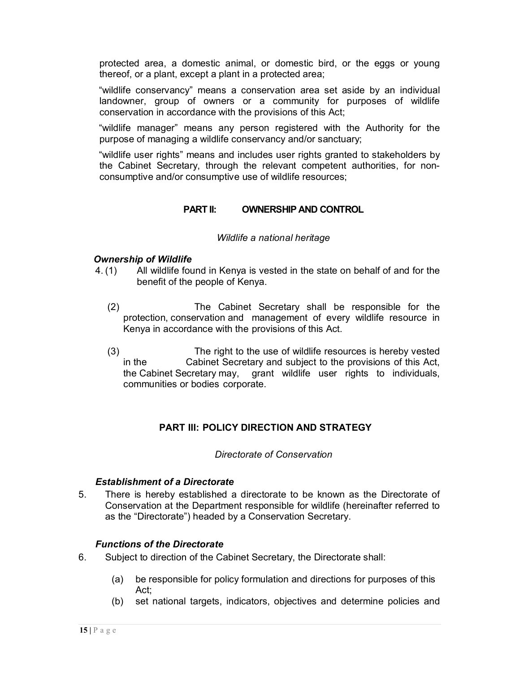protected area, a domestic animal, or domestic bird, or the eggs or young thereof, or a plant, except a plant in a protected area;

"wildlife conservancy" means a conservation area set aside by an individual landowner, group of owners or a community for purposes of wildlife conservation in accordance with the provisions of this Act;

"wildlife manager" means any person registered with the Authority for the purpose of managing a wildlife conservancy and/or sanctuary;

"wildlife user rights" means and includes user rights granted to stakeholders by the Cabinet Secretary, through the relevant competent authorities, for nonconsumptive and/or consumptive use of wildlife resources;

# **PART II: OWNERSHIP AND CONTROL**

#### *Wildlife a national heritage*

## *Ownership of Wildlife*

- 4. (1) All wildlife found in Kenya is vested in the state on behalf of and for the benefit of the people of Kenya.
	- (2) The Cabinet Secretary shall be responsible for the protection, conservation and management of every wildlife resource in Kenya in accordance with the provisions of this Act.
	- (3) The right to the use of wildlife resources is hereby vested in the Cabinet Secretary and subject to the provisions of this Act, the Cabinet Secretary may, grant wildlife user rights to individuals, communities or bodies corporate.

# **PART III: POLICY DIRECTION AND STRATEGY**

#### *Directorate of Conservation*

#### *Establishment of a Directorate*

5. There is hereby established a directorate to be known as the Directorate of Conservation at the Department responsible for wildlife (hereinafter referred to as the "Directorate") headed by a Conservation Secretary.

## *Functions of the Directorate*

- 6. Subject to direction of the Cabinet Secretary, the Directorate shall:
	- (a) be responsible for policy formulation and directions for purposes of this Act;
	- (b) set national targets, indicators, objectives and determine policies and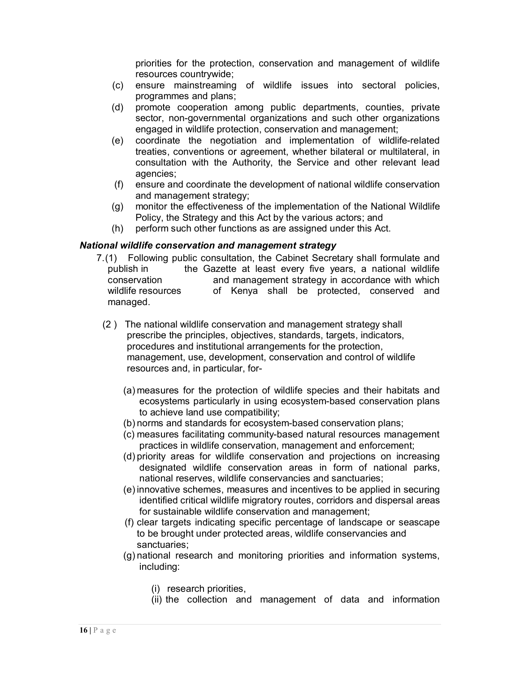priorities for the protection, conservation and management of wildlife resources countrywide;

- (c) ensure mainstreaming of wildlife issues into sectoral policies, programmes and plans;
- (d) promote cooperation among public departments, counties, private sector, non-governmental organizations and such other organizations engaged in wildlife protection, conservation and management;
- (e) coordinate the negotiation and implementation of wildlife-related treaties, conventions or agreement, whether bilateral or multilateral, in consultation with the Authority, the Service and other relevant lead agencies;
- (f) ensure and coordinate the development of national wildlife conservation and management strategy;
- (g) monitor the effectiveness of the implementation of the National Wildlife Policy, the Strategy and this Act by the various actors; and
- (h) perform such other functions as are assigned under this Act.

# *National wildlife conservation and management strategy*

- 7.(1) Following public consultation, the Cabinet Secretary shall formulate and publish in the Gazette at least every five years, a national wildlife conservation and management strategy in accordance with which wildlife resources of Kenya shall be protected, conserved and managed.
- (2 ) The national wildlife conservation and management strategy shall prescribe the principles, objectives, standards, targets, indicators, procedures and institutional arrangements for the protection, management, use, development, conservation and control of wildlife resources and, in particular, for-
	- (a) measures for the protection of wildlife species and their habitats and ecosystems particularly in using ecosystem-based conservation plans to achieve land use compatibility;
	- (b) norms and standards for ecosystem-based conservation plans;
	- (c) measures facilitating community-based natural resources management practices in wildlife conservation, management and enforcement;
	- (d) priority areas for wildlife conservation and projections on increasing designated wildlife conservation areas in form of national parks, national reserves, wildlife conservancies and sanctuaries;
	- (e) innovative schemes, measures and incentives to be applied in securing identified critical wildlife migratory routes, corridors and dispersal areas for sustainable wildlife conservation and management;
	- (f) clear targets indicating specific percentage of landscape or seascape to be brought under protected areas, wildlife conservancies and sanctuaries;
	- (g) national research and monitoring priorities and information systems, including:
		- (i) research priorities,
		- (ii) the collection and management of data and information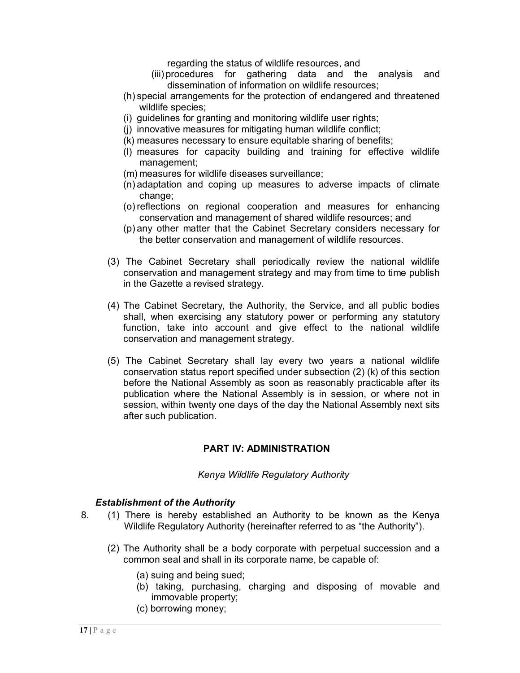regarding the status of wildlife resources, and

- (iii) procedures for gathering data and the analysis and dissemination of information on wildlife resources;
- (h) special arrangements for the protection of endangered and threatened wildlife species;
- (i) guidelines for granting and monitoring wildlife user rights;
- (j) innovative measures for mitigating human wildlife conflict;
- (k) measures necessary to ensure equitable sharing of benefits;
- (l) measures for capacity building and training for effective wildlife management;
- (m) measures for wildlife diseases surveillance;
- (n) adaptation and coping up measures to adverse impacts of climate change;
- (o) reflections on regional cooperation and measures for enhancing conservation and management of shared wildlife resources; and
- (p) any other matter that the Cabinet Secretary considers necessary for the better conservation and management of wildlife resources.
- (3) The Cabinet Secretary shall periodically review the national wildlife conservation and management strategy and may from time to time publish in the Gazette a revised strategy.
- (4) The Cabinet Secretary, the Authority, the Service, and all public bodies shall, when exercising any statutory power or performing any statutory function, take into account and give effect to the national wildlife conservation and management strategy.
- (5) The Cabinet Secretary shall lay every two years a national wildlife conservation status report specified under subsection (2) (k) of this section before the National Assembly as soon as reasonably practicable after its publication where the National Assembly is in session, or where not in session, within twenty one days of the day the National Assembly next sits after such publication.

# **PART IV: ADMINISTRATION**

*Kenya Wildlife Regulatory Authority*

## *Establishment of the Authority*

- 8. (1) There is hereby established an Authority to be known as the Kenya Wildlife Regulatory Authority (hereinafter referred to as "the Authority").
	- (2) The Authority shall be a body corporate with perpetual succession and a common seal and shall in its corporate name, be capable of:
		- (a) suing and being sued;
		- (b) taking, purchasing, charging and disposing of movable and immovable property;
		- (c) borrowing money;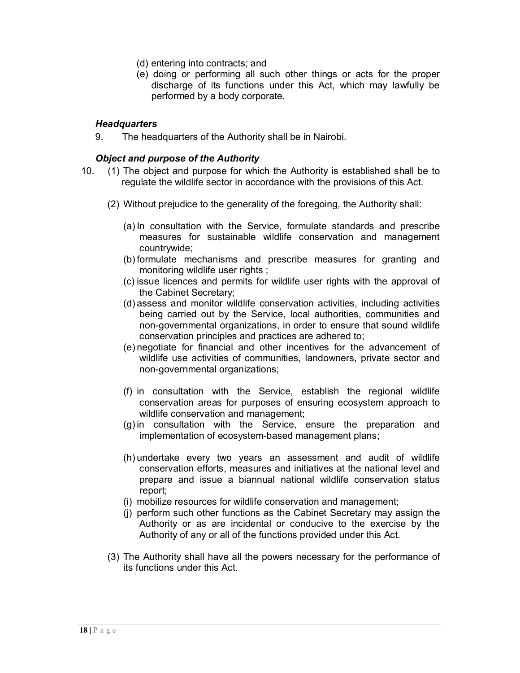- (d) entering into contracts; and
- (e) doing or performing all such other things or acts for the proper discharge of its functions under this Act, which may lawfully be performed by a body corporate.

# *Headquarters*

9. The headquarters of the Authority shall be in Nairobi.

## *Object and purpose of the Authority*

- 10. (1) The object and purpose for which the Authority is established shall be to regulate the wildlife sector in accordance with the provisions of this Act.
	- (2) Without prejudice to the generality of the foregoing, the Authority shall:
		- (a) In consultation with the Service, formulate standards and prescribe measures for sustainable wildlife conservation and management countrywide;
		- (b) formulate mechanisms and prescribe measures for granting and monitoring wildlife user rights ;
		- (c) issue licences and permits for wildlife user rights with the approval of the Cabinet Secretary;
		- (d) assess and monitor wildlife conservation activities, including activities being carried out by the Service, local authorities, communities and non-governmental organizations, in order to ensure that sound wildlife conservation principles and practices are adhered to;
		- (e) negotiate for financial and other incentives for the advancement of wildlife use activities of communities, landowners, private sector and non-governmental organizations;
		- (f) in consultation with the Service, establish the regional wildlife conservation areas for purposes of ensuring ecosystem approach to wildlife conservation and management;
		- (g) in consultation with the Service, ensure the preparation and implementation of ecosystem-based management plans;
		- (h) undertake every two years an assessment and audit of wildlife conservation efforts, measures and initiatives at the national level and prepare and issue a biannual national wildlife conservation status report;
		- (i) mobilize resources for wildlife conservation and management;
		- (j) perform such other functions as the Cabinet Secretary may assign the Authority or as are incidental or conducive to the exercise by the Authority of any or all of the functions provided under this Act.
	- (3) The Authority shall have all the powers necessary for the performance of its functions under this Act.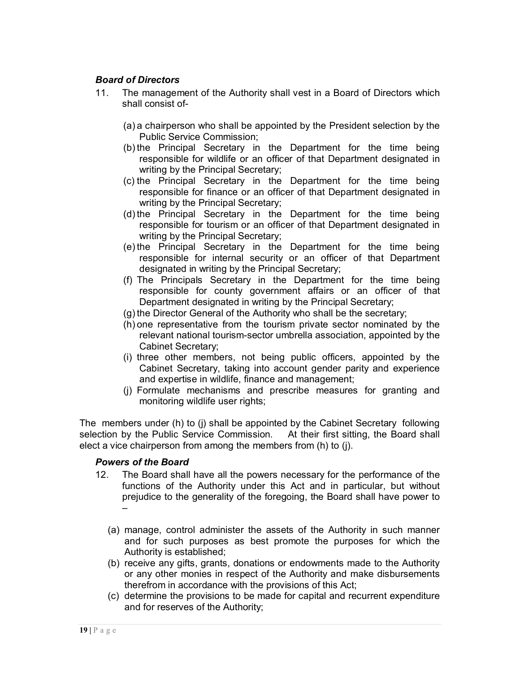# *Board of Directors*

- 11. The management of the Authority shall vest in a Board of Directors which shall consist of-
	- (a) a chairperson who shall be appointed by the President selection by the Public Service Commission;
	- (b) the Principal Secretary in the Department for the time being responsible for wildlife or an officer of that Department designated in writing by the Principal Secretary;
	- (c) the Principal Secretary in the Department for the time being responsible for finance or an officer of that Department designated in writing by the Principal Secretary;
	- (d) the Principal Secretary in the Department for the time being responsible for tourism or an officer of that Department designated in writing by the Principal Secretary;
	- (e) the Principal Secretary in the Department for the time being responsible for internal security or an officer of that Department designated in writing by the Principal Secretary;
	- (f) The Principals Secretary in the Department for the time being responsible for county government affairs or an officer of that Department designated in writing by the Principal Secretary;
	- (g) the Director General of the Authority who shall be the secretary;
	- (h) one representative from the tourism private sector nominated by the relevant national tourism-sector umbrella association, appointed by the Cabinet Secretary;
	- (i) three other members, not being public officers, appointed by the Cabinet Secretary, taking into account gender parity and experience and expertise in wildlife, finance and management;
	- (j) Formulate mechanisms and prescribe measures for granting and monitoring wildlife user rights;

The members under (h) to (j) shall be appointed by the Cabinet Secretary following selection by the Public Service Commission. At their first sitting, the Board shall elect a vice chairperson from among the members from (h) to (j).

## *Powers of the Board*

- 12. The Board shall have all the powers necessary for the performance of the functions of the Authority under this Act and in particular, but without prejudice to the generality of the foregoing, the Board shall have power to –
	- (a) manage, control administer the assets of the Authority in such manner and for such purposes as best promote the purposes for which the Authority is established;
	- (b) receive any gifts, grants, donations or endowments made to the Authority or any other monies in respect of the Authority and make disbursements therefrom in accordance with the provisions of this Act;
	- (c) determine the provisions to be made for capital and recurrent expenditure and for reserves of the Authority;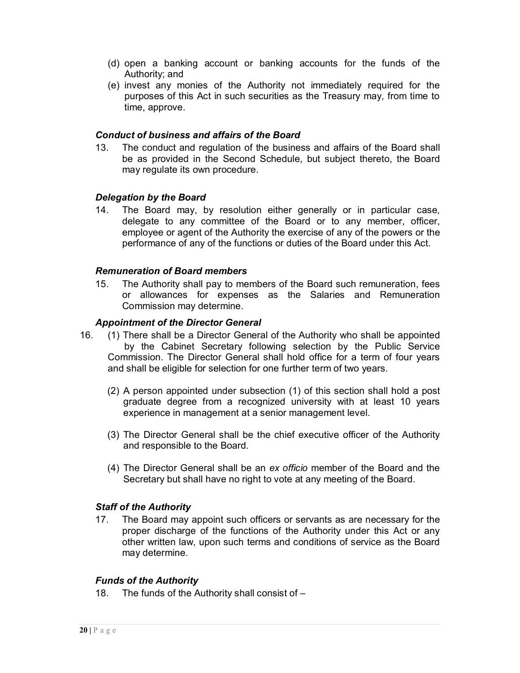- (d) open a banking account or banking accounts for the funds of the Authority; and
- (e) invest any monies of the Authority not immediately required for the purposes of this Act in such securities as the Treasury may, from time to time, approve.

## *Conduct of business and affairs of the Board*

13. The conduct and regulation of the business and affairs of the Board shall be as provided in the Second Schedule, but subject thereto, the Board may regulate its own procedure.

# *Delegation by the Board*

14. The Board may, by resolution either generally or in particular case, delegate to any committee of the Board or to any member, officer, employee or agent of the Authority the exercise of any of the powers or the performance of any of the functions or duties of the Board under this Act.

# *Remuneration of Board members*

15. The Authority shall pay to members of the Board such remuneration, fees or allowances for expenses as the Salaries and Remuneration Commission may determine.

# *Appointment of the Director General*

- 16. (1) There shall be a Director General of the Authority who shall be appointed by the Cabinet Secretary following selection by the Public Service Commission. The Director General shall hold office for a term of four years and shall be eligible for selection for one further term of two years.
	- (2) A person appointed under subsection (1) of this section shall hold a post graduate degree from a recognized university with at least 10 years experience in management at a senior management level.
	- (3) The Director General shall be the chief executive officer of the Authority and responsible to the Board.
	- (4) The Director General shall be an *ex officio* member of the Board and the Secretary but shall have no right to vote at any meeting of the Board.

# *Staff of the Authority*

17. The Board may appoint such officers or servants as are necessary for the proper discharge of the functions of the Authority under this Act or any other written law, upon such terms and conditions of service as the Board may determine.

## *Funds of the Authority*

18. The funds of the Authority shall consist of –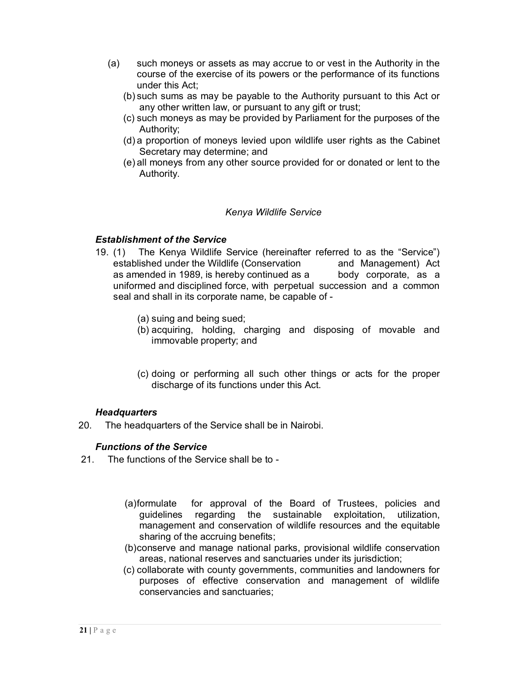- (a) such moneys or assets as may accrue to or vest in the Authority in the course of the exercise of its powers or the performance of its functions under this Act;
	- (b) such sums as may be payable to the Authority pursuant to this Act or any other written law, or pursuant to any gift or trust;
	- (c) such moneys as may be provided by Parliament for the purposes of the Authority;
	- (d) a proportion of moneys levied upon wildlife user rights as the Cabinet Secretary may determine; and
	- (e) all moneys from any other source provided for or donated or lent to the Authority.

# *Kenya Wildlife Service*

# *Establishment of the Service*

- 19. (1) The Kenya Wildlife Service (hereinafter referred to as the "Service") established under the Wildlife (Conservation and Management) Act as amended in 1989, is hereby continued as a body corporate, as a uniformed and disciplined force, with perpetual succession and a common seal and shall in its corporate name, be capable of -
	- (a) suing and being sued;
	- (b) acquiring, holding, charging and disposing of movable and immovable property; and
	- (c) doing or performing all such other things or acts for the proper discharge of its functions under this Act.

## *Headquarters*

20. The headquarters of the Service shall be in Nairobi.

# *Functions of the Service*

- 21. The functions of the Service shall be to
	- (a)formulate for approval of the Board of Trustees, policies and guidelines regarding the sustainable exploitation, utilization, management and conservation of wildlife resources and the equitable sharing of the accruing benefits;
	- (b)conserve and manage national parks, provisional wildlife conservation areas, national reserves and sanctuaries under its jurisdiction;
	- (c) collaborate with county governments, communities and landowners for purposes of effective conservation and management of wildlife conservancies and sanctuaries;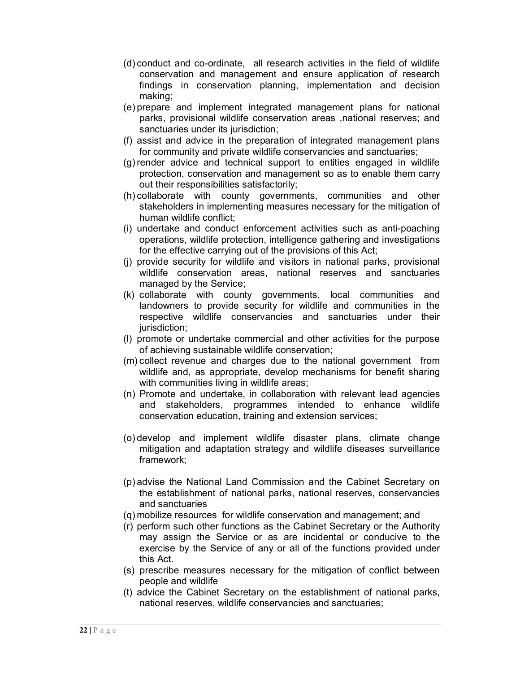- (d) conduct and co-ordinate, all research activities in the field of wildlife conservation and management and ensure application of research findings in conservation planning, implementation and decision making;
- (e) prepare and implement integrated management plans for national parks, provisional wildlife conservation areas ,national reserves; and sanctuaries under its jurisdiction:
- (f) assist and advice in the preparation of integrated management plans for community and private wildlife conservancies and sanctuaries;
- (g) render advice and technical support to entities engaged in wildlife protection, conservation and management so as to enable them carry out their responsibilities satisfactorily;
- (h) collaborate with county governments, communities and other stakeholders in implementing measures necessary for the mitigation of human wildlife conflict;
- (i) undertake and conduct enforcement activities such as anti-poaching operations, wildlife protection, intelligence gathering and investigations for the effective carrying out of the provisions of this Act;
- (j) provide security for wildlife and visitors in national parks, provisional wildlife conservation areas, national reserves and sanctuaries managed by the Service;
- (k) collaborate with county governments, local communities and landowners to provide security for wildlife and communities in the respective wildlife conservancies and sanctuaries under their jurisdiction;
- (l) promote or undertake commercial and other activities for the purpose of achieving sustainable wildlife conservation;
- (m) collect revenue and charges due to the national government from wildlife and, as appropriate, develop mechanisms for benefit sharing with communities living in wildlife areas;
- (n) Promote and undertake, in collaboration with relevant lead agencies and stakeholders, programmes intended to enhance wildlife conservation education, training and extension services;
- (o) develop and implement wildlife disaster plans, climate change mitigation and adaptation strategy and wildlife diseases surveillance framework;
- (p) advise the National Land Commission and the Cabinet Secretary on the establishment of national parks, national reserves, conservancies and sanctuaries
- (q) mobilize resources for wildlife conservation and management; and
- (r) perform such other functions as the Cabinet Secretary or the Authority may assign the Service or as are incidental or conducive to the exercise by the Service of any or all of the functions provided under this Act.
- (s) prescribe measures necessary for the mitigation of conflict between people and wildlife
- (t) advice the Cabinet Secretary on the establishment of national parks, national reserves, wildlife conservancies and sanctuaries;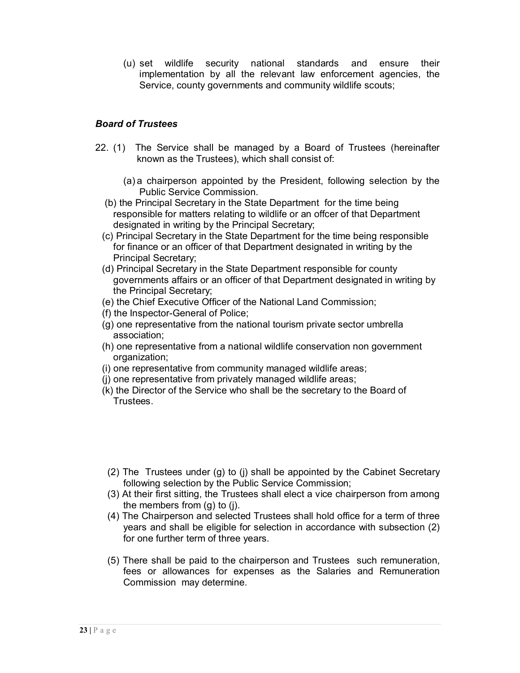(u) set wildlife security national standards and ensure their implementation by all the relevant law enforcement agencies, the Service, county governments and community wildlife scouts;

# *Board of Trustees*

- 22. (1) The Service shall be managed by a Board of Trustees (hereinafter known as the Trustees), which shall consist of:
	- (a) a chairperson appointed by the President, following selection by the Public Service Commission.
	- (b) the Principal Secretary in the State Department for the time being responsible for matters relating to wildlife or an offcer of that Department designated in writing by the Principal Secretary;
	- (c) Principal Secretary in the State Department for the time being responsible for finance or an officer of that Department designated in writing by the Principal Secretary;
	- (d) Principal Secretary in the State Department responsible for county governments affairs or an officer of that Department designated in writing by the Principal Secretary;
	- (e) the Chief Executive Officer of the National Land Commission;
	- (f) the Inspector-General of Police;
	- (g) one representative from the national tourism private sector umbrella association;
	- (h) one representative from a national wildlife conservation non government organization;
	- (i) one representative from community managed wildlife areas;
	- (j) one representative from privately managed wildlife areas;
	- (k) the Director of the Service who shall be the secretary to the Board of Trustees.
	- (2) The Trustees under (g) to (j) shall be appointed by the Cabinet Secretary following selection by the Public Service Commission;
	- (3) At their first sitting, the Trustees shall elect a vice chairperson from among the members from (g) to (j).
	- (4) The Chairperson and selected Trustees shall hold office for a term of three years and shall be eligible for selection in accordance with subsection (2) for one further term of three years.
	- (5) There shall be paid to the chairperson and Trustees such remuneration, fees or allowances for expenses as the Salaries and Remuneration Commission may determine.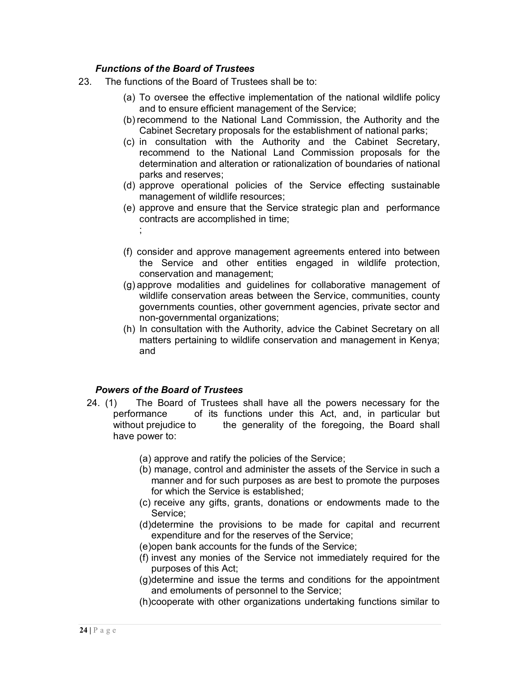# *Functions of the Board of Trustees*

- 23. The functions of the Board of Trustees shall be to:
	- (a) To oversee the effective implementation of the national wildlife policy and to ensure efficient management of the Service;
	- (b) recommend to the National Land Commission, the Authority and the Cabinet Secretary proposals for the establishment of national parks;
	- (c) in consultation with the Authority and the Cabinet Secretary, recommend to the National Land Commission proposals for the determination and alteration or rationalization of boundaries of national parks and reserves;
	- (d) approve operational policies of the Service effecting sustainable management of wildlife resources;
	- (e) approve and ensure that the Service strategic plan and performance contracts are accomplished in time;
	- (f) consider and approve management agreements entered into between the Service and other entities engaged in wildlife protection, conservation and management;
	- (g) approve modalities and guidelines for collaborative management of wildlife conservation areas between the Service, communities, county governments counties, other government agencies, private sector and non-governmental organizations;
	- (h) In consultation with the Authority, advice the Cabinet Secretary on all matters pertaining to wildlife conservation and management in Kenya; and

## *Powers of the Board of Trustees*

;

- 24. (1) The Board of Trustees shall have all the powers necessary for the performance of its functions under this Act, and, in particular but without prejudice to the generality of the foregoing, the Board shall have power to:
	- (a) approve and ratify the policies of the Service;
	- (b) manage, control and administer the assets of the Service in such a manner and for such purposes as are best to promote the purposes for which the Service is established;
	- (c) receive any gifts, grants, donations or endowments made to the Service;
	- (d)determine the provisions to be made for capital and recurrent expenditure and for the reserves of the Service;
	- (e)open bank accounts for the funds of the Service;
	- (f) invest any monies of the Service not immediately required for the purposes of this Act;
	- (g)determine and issue the terms and conditions for the appointment and emoluments of personnel to the Service;
	- (h)cooperate with other organizations undertaking functions similar to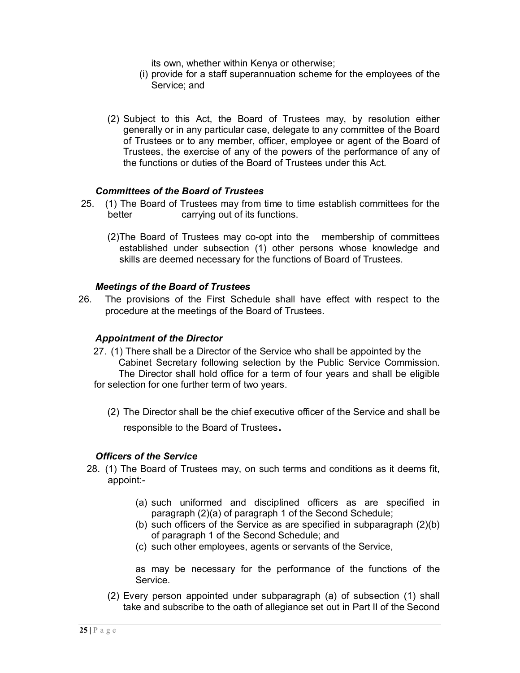its own, whether within Kenya or otherwise;

- (i) provide for a staff superannuation scheme for the employees of the Service; and
- (2) Subject to this Act, the Board of Trustees may, by resolution either generally or in any particular case, delegate to any committee of the Board of Trustees or to any member, officer, employee or agent of the Board of Trustees, the exercise of any of the powers of the performance of any of the functions or duties of the Board of Trustees under this Act.

## *Committees of the Board of Trustees*

- 25. (1) The Board of Trustees may from time to time establish committees for the better carrying out of its functions.
	- (2)The Board of Trustees may co-opt into the membership of committees established under subsection (1) other persons whose knowledge and skills are deemed necessary for the functions of Board of Trustees.

#### *Meetings of the Board of Trustees*

26. The provisions of the First Schedule shall have effect with respect to the procedure at the meetings of the Board of Trustees.

#### *Appointment of the Director*

- 27. (1) There shall be a Director of the Service who shall be appointed by the Cabinet Secretary following selection by the Public Service Commission. The Director shall hold office for a term of four years and shall be eligible for selection for one further term of two years.
	- (2) The Director shall be the chief executive officer of the Service and shall be responsible to the Board of Trustees.

## *Officers of the Service*

- 28. (1) The Board of Trustees may, on such terms and conditions as it deems fit, appoint:-
	- (a) such uniformed and disciplined officers as are specified in paragraph (2)(a) of paragraph 1 of the Second Schedule;
	- (b) such officers of the Service as are specified in subparagraph (2)(b) of paragraph 1 of the Second Schedule; and
	- (c) such other employees, agents or servants of the Service,

as may be necessary for the performance of the functions of the Service.

(2) Every person appointed under subparagraph (a) of subsection (1) shall take and subscribe to the oath of allegiance set out in Part II of the Second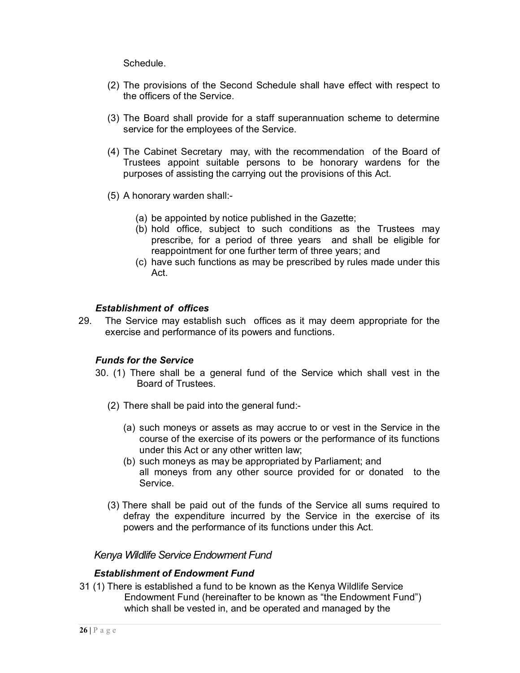Schedule.

- (2) The provisions of the Second Schedule shall have effect with respect to the officers of the Service.
- (3) The Board shall provide for a staff superannuation scheme to determine service for the employees of the Service.
- (4) The Cabinet Secretary may, with the recommendation of the Board of Trustees appoint suitable persons to be honorary wardens for the purposes of assisting the carrying out the provisions of this Act.
- (5) A honorary warden shall:-
	- (a) be appointed by notice published in the Gazette;
	- (b) hold office, subject to such conditions as the Trustees may prescribe, for a period of three years and shall be eligible for reappointment for one further term of three years; and
	- (c) have such functions as may be prescribed by rules made under this Act.

# *Establishment of offices*

29. The Service may establish such offices as it may deem appropriate for the exercise and performance of its powers and functions.

# *Funds for the Service*

- 30. (1) There shall be a general fund of the Service which shall vest in the Board of Trustees.
	- (2) There shall be paid into the general fund:-
		- (a) such moneys or assets as may accrue to or vest in the Service in the course of the exercise of its powers or the performance of its functions under this Act or any other written law;
		- (b) such moneys as may be appropriated by Parliament; and all moneys from any other source provided for or donated to the Service.
	- (3) There shall be paid out of the funds of the Service all sums required to defray the expenditure incurred by the Service in the exercise of its powers and the performance of its functions under this Act.

# *Kenya Wildlife Service Endowment Fund*

## *Establishment of Endowment Fund*

31 (1) There is established a fund to be known as the Kenya Wildlife Service Endowment Fund (hereinafter to be known as "the Endowment Fund") which shall be vested in, and be operated and managed by the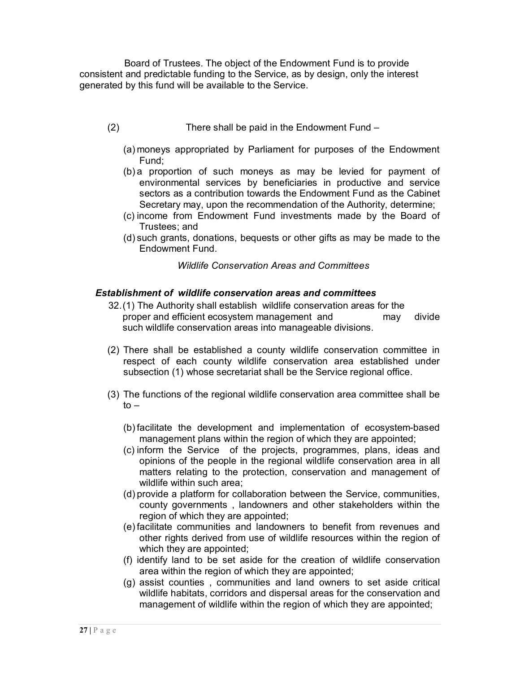Board of Trustees. The object of the Endowment Fund is to provide consistent and predictable funding to the Service, as by design, only the interest generated by this fund will be available to the Service.

- (2) There shall be paid in the Endowment Fund
	- (a) moneys appropriated by Parliament for purposes of the Endowment Fund;
	- (b) a proportion of such moneys as may be levied for payment of environmental services by beneficiaries in productive and service sectors as a contribution towards the Endowment Fund as the Cabinet Secretary may, upon the recommendation of the Authority, determine;
	- (c) income from Endowment Fund investments made by the Board of Trustees; and
	- (d) such grants, donations, bequests or other gifts as may be made to the Endowment Fund.

*Wildlife Conservation Areas and Committees*

# *Establishment of wildlife conservation areas and committees*

- 32.(1) The Authority shall establish wildlife conservation areas for the proper and efficient ecosystem management and may divide such wildlife conservation areas into manageable divisions.
- (2) There shall be established a county wildlife conservation committee in respect of each county wildlife conservation area established under subsection (1) whose secretariat shall be the Service regional office.
- (3) The functions of the regional wildlife conservation area committee shall be  $to -$ 
	- (b) facilitate the development and implementation of ecosystem-based management plans within the region of which they are appointed;
	- (c) inform the Service of the projects, programmes, plans, ideas and opinions of the people in the regional wildlife conservation area in all matters relating to the protection, conservation and management of wildlife within such area;
	- (d) provide a platform for collaboration between the Service, communities, county governments , landowners and other stakeholders within the region of which they are appointed;
	- (e) facilitate communities and landowners to benefit from revenues and other rights derived from use of wildlife resources within the region of which they are appointed;
	- (f) identify land to be set aside for the creation of wildlife conservation area within the region of which they are appointed;
	- (g) assist counties , communities and land owners to set aside critical wildlife habitats, corridors and dispersal areas for the conservation and management of wildlife within the region of which they are appointed;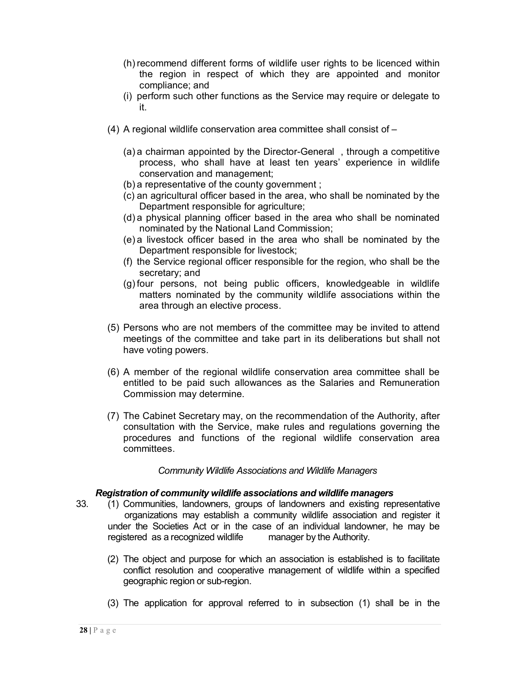- (h) recommend different forms of wildlife user rights to be licenced within the region in respect of which they are appointed and monitor compliance; and
- (i) perform such other functions as the Service may require or delegate to it.
- (4) A regional wildlife conservation area committee shall consist of
	- (a) a chairman appointed by the Director-General , through a competitive process, who shall have at least ten years' experience in wildlife conservation and management;
	- (b) a representative of the county government ;
	- (c) an agricultural officer based in the area, who shall be nominated by the Department responsible for agriculture;
	- (d) a physical planning officer based in the area who shall be nominated nominated by the National Land Commission;
	- (e) a livestock officer based in the area who shall be nominated by the Department responsible for livestock;
	- (f) the Service regional officer responsible for the region, who shall be the secretary; and
	- (g) four persons, not being public officers, knowledgeable in wildlife matters nominated by the community wildlife associations within the area through an elective process.
- (5) Persons who are not members of the committee may be invited to attend meetings of the committee and take part in its deliberations but shall not have voting powers.
- (6) A member of the regional wildlife conservation area committee shall be entitled to be paid such allowances as the Salaries and Remuneration Commission may determine.
- (7) The Cabinet Secretary may, on the recommendation of the Authority, after consultation with the Service, make rules and regulations governing the procedures and functions of the regional wildlife conservation area committees.

## *Community Wildlife Associations and Wildlife Managers*

## *Registration of community wildlife associations and wildlife managers*

- 33. (1) Communities, landowners, groups of landowners and existing representative organizations may establish a community wildlife association and register it under the Societies Act or in the case of an individual landowner, he may be registered as a recognized wildlife manager by the Authority.
	- (2) The object and purpose for which an association is established is to facilitate conflict resolution and cooperative management of wildlife within a specified geographic region or sub-region.
	- (3) The application for approval referred to in subsection (1) shall be in the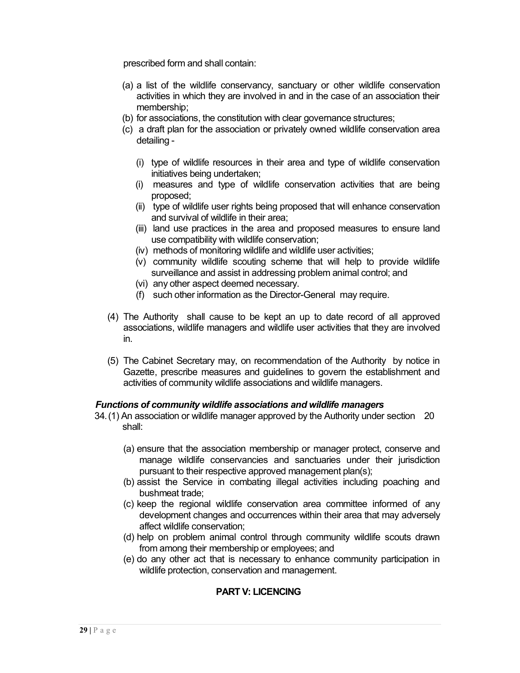prescribed form and shall contain:

- (a) a list of the wildlife conservancy, sanctuary or other wildlife conservation activities in which they are involved in and in the case of an association their membership;
- (b) for associations, the constitution with clear governance structures;
- (c) a draft plan for the association or privately owned wildlife conservation area detailing -
	- (i) type of wildlife resources in their area and type of wildlife conservation initiatives being undertaken;
	- (i) measures and type of wildlife conservation activities that are being proposed;
	- (ii) type of wildlife user rights being proposed that will enhance conservation and survival of wildlife in their area;
	- (iii) land use practices in the area and proposed measures to ensure land use compatibility with wildlife conservation;
	- (iv) methods of monitoring wildlife and wildlife user activities;
	- (v) community wildlife scouting scheme that will help to provide wildlife surveillance and assist in addressing problem animal control; and
	- (vi) any other aspect deemed necessary.
	- (f) such other information as the Director-General may require.
- (4) The Authority shall cause to be kept an up to date record of all approved associations, wildlife managers and wildlife user activities that they are involved in.
- (5) The Cabinet Secretary may, on recommendation of the Authority by notice in Gazette, prescribe measures and guidelines to govern the establishment and activities of community wildlife associations and wildlife managers.

## *Functions of community wildlife associations and wildlife managers*

- 34.(1) An association or wildlife manager approved by the Authority under section 20 shall:
	- (a) ensure that the association membership or manager protect, conserve and manage wildlife conservancies and sanctuaries under their jurisdiction pursuant to their respective approved management plan(s);
	- (b) assist the Service in combating illegal activities including poaching and bushmeat trade;
	- (c) keep the regional wildlife conservation area committee informed of any development changes and occurrences within their area that may adversely affect wildlife conservation;
	- (d) help on problem animal control through community wildlife scouts drawn from among their membership or employees; and
	- (e) do any other act that is necessary to enhance community participation in wildlife protection, conservation and management.

# **PART V: LICENCING**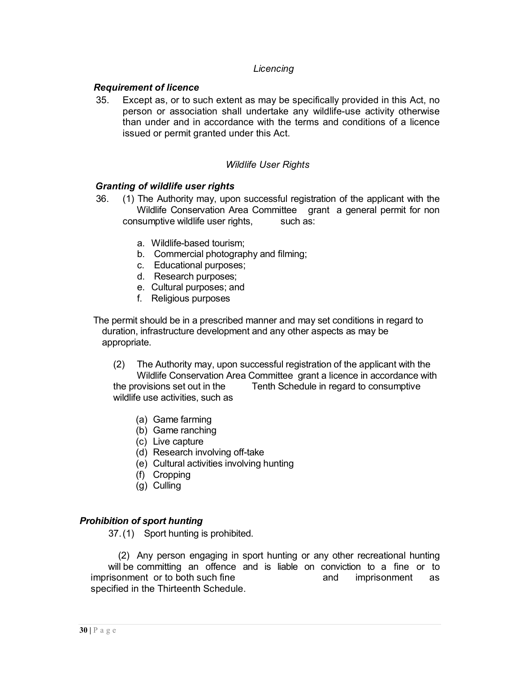# *Licencing*

## *Requirement of licence*

35. Except as, or to such extent as may be specifically provided in this Act, no person or association shall undertake any wildlife-use activity otherwise than under and in accordance with the terms and conditions of a licence issued or permit granted under this Act.

## *Wildlife User Rights*

#### *Granting of wildlife user rights*

- 36. (1) The Authority may, upon successful registration of the applicant with the Wildlife Conservation Area Committee grant a general permit for non consumptive wildlife user rights, such as:
	- a. Wildlife-based tourism;
	- b. Commercial photography and filming;
	- c. Educational purposes;
	- d. Research purposes;
	- e. Cultural purposes; and
	- f. Religious purposes

The permit should be in a prescribed manner and may set conditions in regard to duration, infrastructure development and any other aspects as may be appropriate.

- (2) The Authority may, upon successful registration of the applicant with the Wildlife Conservation Area Committee grant a licence in accordance with the provisions set out in the Tenth Schedule in regard to consumptive wildlife use activities, such as
	- (a) Game farming
	- (b) Game ranching
	- (c) Live capture
	- (d) Research involving off-take
	- (e) Cultural activities involving hunting
	- (f) Cropping
	- (g) Culling

## *Prohibition of sport hunting*

37.(1) Sport hunting is prohibited.

 (2) Any person engaging in sport hunting or any other recreational hunting will be committing an offence and is liable on conviction to a fine or to imprisonment or to both such fine and imprisonment as specified in the Thirteenth Schedule.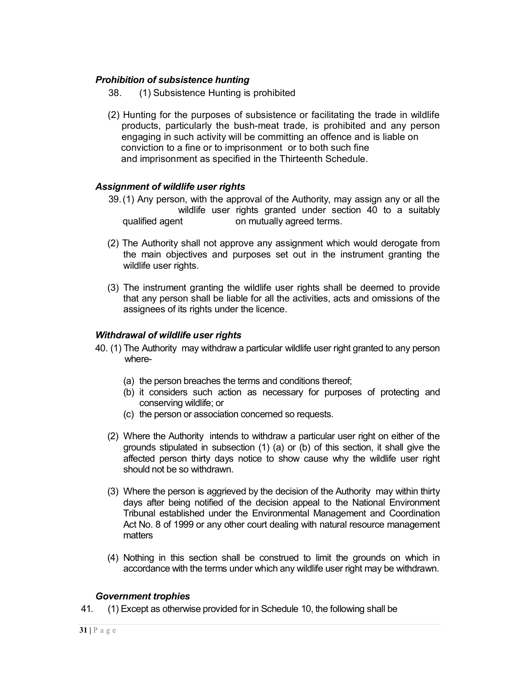# *Prohibition of subsistence hunting*

- 38. (1) Subsistence Hunting is prohibited
- (2) Hunting for the purposes of subsistence or facilitating the trade in wildlife products, particularly the bush-meat trade, is prohibited and any person engaging in such activity will be committing an offence and is liable on conviction to a fine or to imprisonment or to both such fine and imprisonment as specified in the Thirteenth Schedule.

## *Assignment of wildlife user rights*

- 39.(1) Any person, with the approval of the Authority, may assign any or all the wildlife user rights granted under section 40 to a suitably qualified agent on mutually agreed terms.
- (2) The Authority shall not approve any assignment which would derogate from the main objectives and purposes set out in the instrument granting the wildlife user rights.
- (3) The instrument granting the wildlife user rights shall be deemed to provide that any person shall be liable for all the activities, acts and omissions of the assignees of its rights under the licence.

## *Withdrawal of wildlife user rights*

- 40. (1) The Authority may withdraw a particular wildlife user right granted to any person where-
	- (a) the person breaches the terms and conditions thereof;
	- (b) it considers such action as necessary for purposes of protecting and conserving wildlife; or
	- (c) the person or association concerned so requests.
	- (2) Where the Authority intends to withdraw a particular user right on either of the grounds stipulated in subsection (1) (a) or (b) of this section, it shall give the affected person thirty days notice to show cause why the wildlife user right should not be so withdrawn.
	- (3) Where the person is aggrieved by the decision of the Authority may within thirty days after being notified of the decision appeal to the National Environment Tribunal established under the Environmental Management and Coordination Act No. 8 of 1999 or any other court dealing with natural resource management matters
	- (4) Nothing in this section shall be construed to limit the grounds on which in accordance with the terms under which any wildlife user right may be withdrawn.

## *Government trophies*

41. (1) Except as otherwise provided for in Schedule 10, the following shall be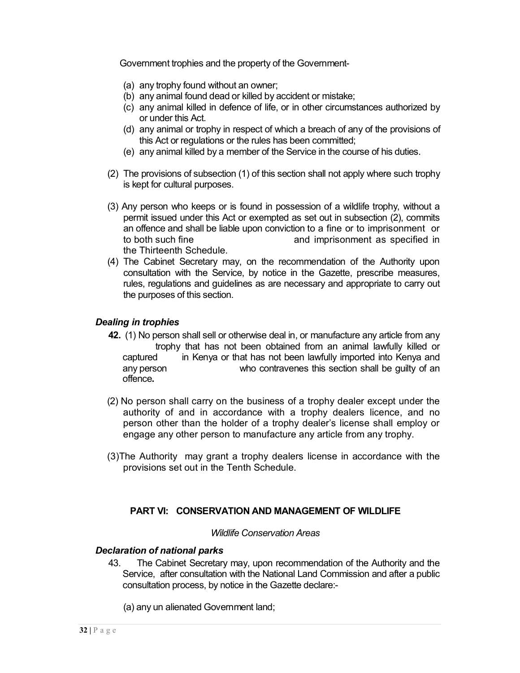Government trophies and the property of the Government-

- (a) any trophy found without an owner;
- (b) any animal found dead or killed by accident or mistake;
- (c) any animal killed in defence of life, or in other circumstances authorized by or under this Act.
- (d) any animal or trophy in respect of which a breach of any of the provisions of this Act or regulations or the rules has been committed;
- (e) any animal killed by a member of the Service in the course of his duties.
- (2) The provisions of subsection (1) of this section shall not apply where such trophy is kept for cultural purposes.
- (3) Any person who keeps or is found in possession of a wildlife trophy, without a permit issued under this Act or exempted as set out in subsection (2), commits an offence and shall be liable upon conviction to a fine or to imprisonment or to both such fine and imprisonment as specified in the Thirteenth Schedule.
- (4) The Cabinet Secretary may, on the recommendation of the Authority upon consultation with the Service, by notice in the Gazette, prescribe measures, rules, regulations and guidelines as are necessary and appropriate to carry out the purposes of this section.

## *Dealing in trophies*

- **42.** (1) No person shall sell or otherwise deal in, or manufacture any article from any trophy that has not been obtained from an animal lawfully killed or captured in Kenya or that has not been lawfully imported into Kenya and any person who contravenes this section shall be guilty of an offence**.**
- (2) No person shall carry on the business of a trophy dealer except under the authority of and in accordance with a trophy dealers licence, and no person other than the holder of a trophy dealer's license shall employ or engage any other person to manufacture any article from any trophy.
- (3)The Authority may grant a trophy dealers license in accordance with the provisions set out in the Tenth Schedule.

## **PART VI: CONSERVATION AND MANAGEMENT OF WILDLIFE**

#### *Wildlife Conservation Areas*

## *Declaration of national parks*

43. The Cabinet Secretary may, upon recommendation of the Authority and the Service, after consultation with the National Land Commission and after a public consultation process, by notice in the Gazette declare:-

(a) any un alienated Government land;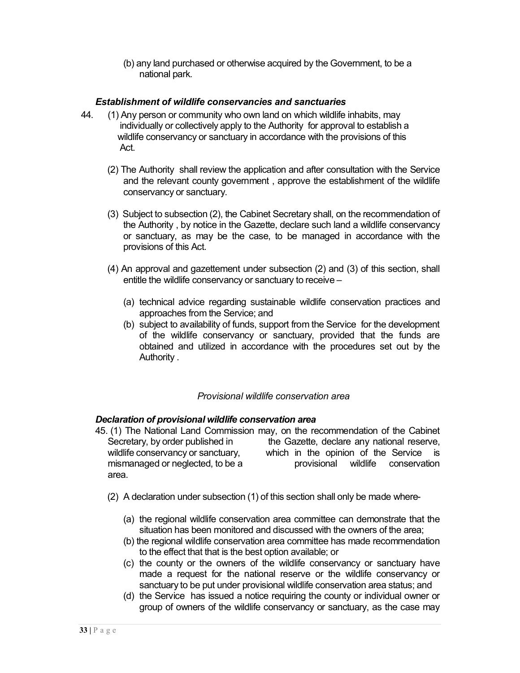(b) any land purchased or otherwise acquired by the Government, to be a national park.

# *Establishment of wildlife conservancies and sanctuaries*

- 44. (1) Any person or community who own land on which wildlife inhabits, may individually or collectively apply to the Authority for approval to establish a wildlife conservancy or sanctuary in accordance with the provisions of this Act.
	- (2) The Authority shall review the application and after consultation with the Service and the relevant county government , approve the establishment of the wildlife conservancy or sanctuary.
	- (3) Subject to subsection (2), the Cabinet Secretary shall, on the recommendation of the Authority , by notice in the Gazette, declare such land a wildlife conservancy or sanctuary, as may be the case, to be managed in accordance with the provisions of this Act.
	- (4) An approval and gazettement under subsection (2) and (3) of this section, shall entitle the wildlife conservancy or sanctuary to receive –
		- (a) technical advice regarding sustainable wildlife conservation practices and approaches from the Service; and
		- (b) subject to availability of funds, support from the Service for the development of the wildlife conservancy or sanctuary, provided that the funds are obtained and utilized in accordance with the procedures set out by the Authority .

## *Provisional wildlife conservation area*

## *Declaration of provisional wildlife conservation area*

- 45. (1) The National Land Commission may, on the recommendation of the Cabinet Secretary, by order published in the Gazette, declare any national reserve, wildlife conservancy or sanctuary, which in the opinion of the Service is mismanaged or neglected, to be a provisional wildlife conservation area.
	- (2) A declaration under subsection (1) of this section shall only be made where-
		- (a) the regional wildlife conservation area committee can demonstrate that the situation has been monitored and discussed with the owners of the area;
		- (b) the regional wildlife conservation area committee has made recommendation to the effect that that is the best option available; or
		- (c) the county or the owners of the wildlife conservancy or sanctuary have made a request for the national reserve or the wildlife conservancy or sanctuary to be put under provisional wildlife conservation area status; and
		- (d) the Service has issued a notice requiring the county or individual owner or group of owners of the wildlife conservancy or sanctuary, as the case may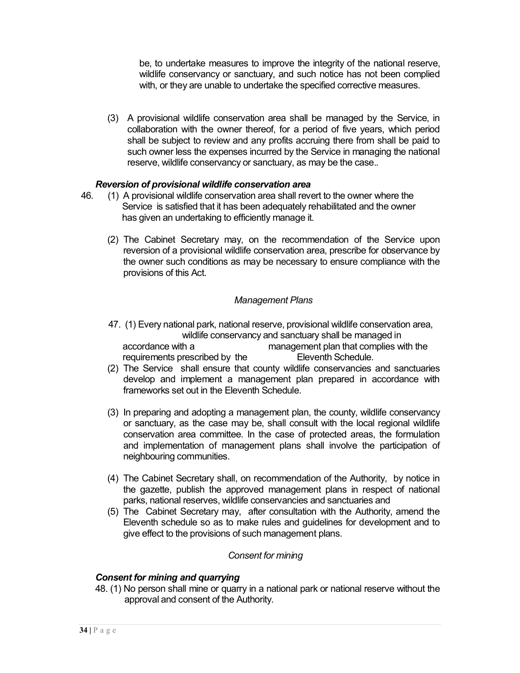be, to undertake measures to improve the integrity of the national reserve, wildlife conservancy or sanctuary, and such notice has not been complied with, or they are unable to undertake the specified corrective measures.

(3) A provisional wildlife conservation area shall be managed by the Service, in collaboration with the owner thereof, for a period of five years, which period shall be subject to review and any profits accruing there from shall be paid to such owner less the expenses incurred by the Service in managing the national reserve, wildlife conservancy or sanctuary, as may be the case..

#### *Reversion of provisional wildlife conservation area*

- 46. (1) A provisional wildlife conservation area shall revert to the owner where the Service is satisfied that it has been adequately rehabilitated and the owner has given an undertaking to efficiently manage it.
	- (2) The Cabinet Secretary may, on the recommendation of the Service upon reversion of a provisional wildlife conservation area, prescribe for observance by the owner such conditions as may be necessary to ensure compliance with the provisions of this Act.

#### *Management Plans*

- 47. (1) Every national park, national reserve, provisional wildlife conservation area, wildlife conservancy and sanctuary shall be managed in<br>management plan that complies w management plan that complies with the requirements prescribed by the Eleventh Schedule.
- (2) The Service shall ensure that county wildlife conservancies and sanctuaries develop and implement a management plan prepared in accordance with frameworks set out in the Eleventh Schedule.
- (3) In preparing and adopting a management plan, the county, wildlife conservancy or sanctuary, as the case may be, shall consult with the local regional wildlife conservation area committee. In the case of protected areas, the formulation and implementation of management plans shall involve the participation of neighbouring communities.
- (4) The Cabinet Secretary shall, on recommendation of the Authority, by notice in the gazette, publish the approved management plans in respect of national parks, national reserves, wildlife conservancies and sanctuaries and
- (5) The Cabinet Secretary may, after consultation with the Authority, amend the Eleventh schedule so as to make rules and guidelines for development and to give effect to the provisions of such management plans.

#### *Consent for mining*

#### *Consent for mining and quarrying*

48. (1) No person shall mine or quarry in a national park or national reserve without the approval and consent of the Authority.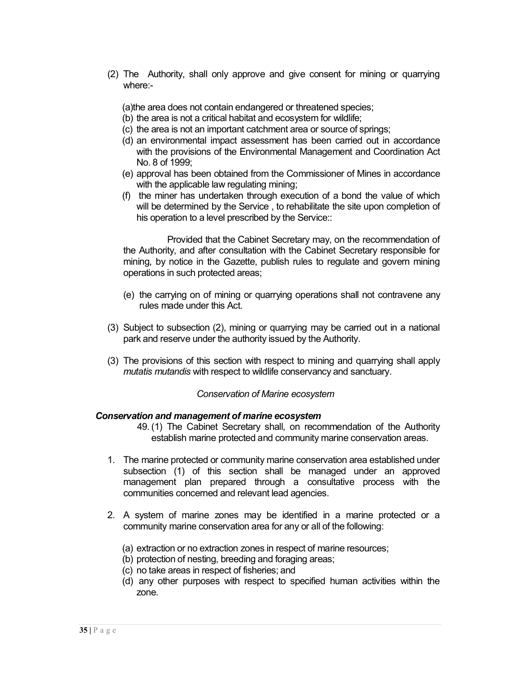(2) The Authority, shall only approve and give consent for mining or quarrying where:-

(a)the area does not contain endangered or threatened species;

- (b) the area is not a critical habitat and ecosystem for wildlife;
- (c) the area is not an important catchment area or source of springs;
- (d) an environmental impact assessment has been carried out in accordance with the provisions of the Environmental Management and Coordination Act No. 8 of 1999;
- (e) approval has been obtained from the Commissioner of Mines in accordance with the applicable law regulating mining;
- (f) the miner has undertaken through execution of a bond the value of which will be determined by the Service , to rehabilitate the site upon completion of his operation to a level prescribed by the Service::

Provided that the Cabinet Secretary may, on the recommendation of the Authority, and after consultation with the Cabinet Secretary responsible for mining, by notice in the Gazette, publish rules to regulate and govern mining operations in such protected areas;

- (e) the carrying on of mining or quarrying operations shall not contravene any rules made under this Act.
- (3) Subject to subsection (2), mining or quarrying may be carried out in a national park and reserve under the authority issued by the Authority.
- (3) The provisions of this section with respect to mining and quarrying shall apply *mutatis mutandis* with respect to wildlife conservancy and sanctuary.

#### *Conservation of Marine ecosystem*

#### *Conservation and management of marine ecosystem*

- 49. (1) The Cabinet Secretary shall, on recommendation of the Authority establish marine protected and community marine conservation areas.
- 1. The marine protected or community marine conservation area established under subsection (1) of this section shall be managed under an approved management plan prepared through a consultative process with the communities concerned and relevant lead agencies.
- 2. A system of marine zones may be identified in a marine protected or a community marine conservation area for any or all of the following:
	- (a) extraction or no extraction zones in respect of marine resources;
	- (b) protection of nesting, breeding and foraging areas;
	- (c) no take areas in respect of fisheries; and
	- (d) any other purposes with respect to specified human activities within the zone.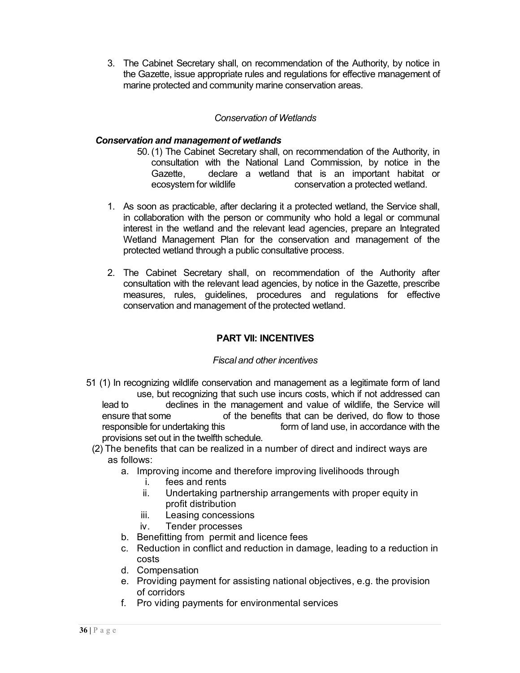3. The Cabinet Secretary shall, on recommendation of the Authority, by notice in the Gazette, issue appropriate rules and regulations for effective management of marine protected and community marine conservation areas.

# *Conservation of Wetlands*

## *Conservation and management of wetlands*

- 50. (1) The Cabinet Secretary shall, on recommendation of the Authority, in consultation with the National Land Commission, by notice in the Gazette, declare a wetland that is an important habitat or ecosystem for wildlife conservation a protected wetland.
- 1. As soon as practicable, after declaring it a protected wetland, the Service shall, in collaboration with the person or community who hold a legal or communal interest in the wetland and the relevant lead agencies, prepare an Integrated Wetland Management Plan for the conservation and management of the protected wetland through a public consultative process.
- 2. The Cabinet Secretary shall, on recommendation of the Authority after consultation with the relevant lead agencies, by notice in the Gazette, prescribe measures, rules, guidelines, procedures and regulations for effective conservation and management of the protected wetland.

# **PART VII: INCENTIVES**

## *Fiscal and other incentives*

- 51 (1) In recognizing wildlife conservation and management as a legitimate form of land use, but recognizing that such use incurs costs, which if not addressed can lead to declines in the management and value of wildlife, the Service will ensure that some of the benefits that can be derived, do flow to those<br>responsible for undertaking this form of land use, in accordance with the form of land use, in accordance with the provisions set out in the twelfth schedule.
	- (2) The benefits that can be realized in a number of direct and indirect ways are as follows:
		- a. Improving income and therefore improving livelihoods through
			- i. fees and rents
			- ii. Undertaking partnership arrangements with proper equity in profit distribution
			- iii. Leasing concessions
			- iv. Tender processes
		- b. Benefitting from permit and licence fees
		- c. Reduction in conflict and reduction in damage, leading to a reduction in costs
		- d. Compensation
		- e. Providing payment for assisting national objectives, e.g. the provision of corridors
		- f. Pro viding payments for environmental services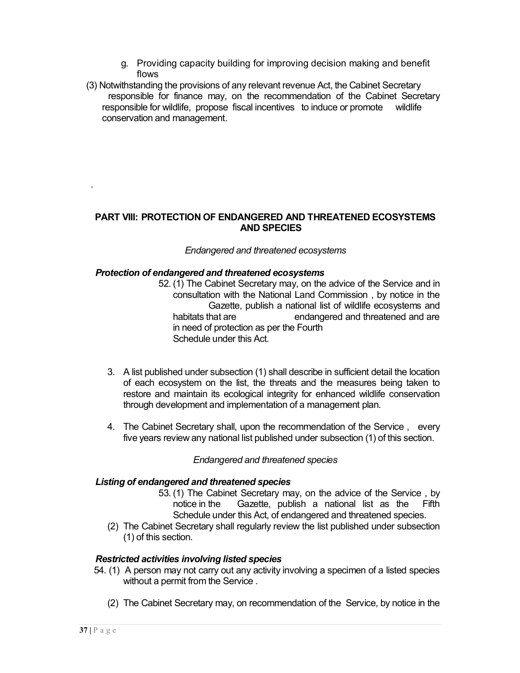- g. Providing capacity building for improving decision making and benefit flows
- (3) Notwithstanding the provisions of any relevant revenue Act, the Cabinet Secretary responsible for finance may, on the recommendation of the Cabinet Secretary responsible for wildlife, propose fiscal incentives to induce or promote wildlife conservation and management.

#### **PART VIII: PROTECTION OF ENDANGERED AND THREATENED ECOSYSTEMS AND SPECIES**

#### *Endangered and threatened ecosystems*

#### *Protection of endangered and threatened ecosystems*

52. (1) The Cabinet Secretary may, on the advice of the Service and in consultation with the National Land Commission , by notice in the Gazette, publish a national list of wildlife ecosystems and habitats that are **endangered** and threatened and are in need of protection as per the Fourth Schedule under this Act.

- 3. A list published under subsection (1) shall describe in sufficient detail the location of each ecosystem on the list, the threats and the measures being taken to restore and maintain its ecological integrity for enhanced wildlife conservation through development and implementation of a management plan.
- 4. The Cabinet Secretary shall, upon the recommendation of the Service , every five years review any national list published under subsection (1) of this section.

#### *Endangered and threatened species*

#### *Listing of endangered and threatened species*

- 53. (1) The Cabinet Secretary may, on the advice of the Service , by notice in the Gazette, publish a national list as the Fifth Schedule under this Act, of endangered and threatened species.
- (2) The Cabinet Secretary shall regularly review the list published under subsection (1) of this section.

#### *Restricted activities involving listed species*

- 54. (1) A person may not carry out any activity involving a specimen of a listed species without a permit from the Service .
	- (2) The Cabinet Secretary may, on recommendation of the Service, by notice in the

.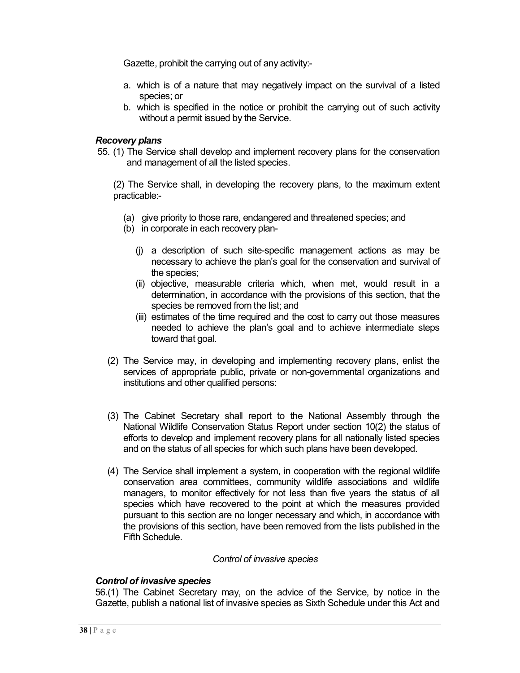Gazette, prohibit the carrying out of any activity:-

- a. which is of a nature that may negatively impact on the survival of a listed species; or
- b. which is specified in the notice or prohibit the carrying out of such activity without a permit issued by the Service.

#### *Recovery plans*

55. (1) The Service shall develop and implement recovery plans for the conservation and management of all the listed species.

(2) The Service shall, in developing the recovery plans, to the maximum extent practicable:-

- (a) give priority to those rare, endangered and threatened species; and
- (b) in corporate in each recovery plan-
	- (j) a description of such site-specific management actions as may be necessary to achieve the plan's goal for the conservation and survival of the species;
	- (ii) objective, measurable criteria which, when met, would result in a determination, in accordance with the provisions of this section, that the species be removed from the list; and
	- (iii) estimates of the time required and the cost to carry out those measures needed to achieve the plan's goal and to achieve intermediate steps toward that goal.
- (2) The Service may, in developing and implementing recovery plans, enlist the services of appropriate public, private or non-governmental organizations and institutions and other qualified persons:
- (3) The Cabinet Secretary shall report to the National Assembly through the National Wildlife Conservation Status Report under section 10(2) the status of efforts to develop and implement recovery plans for all nationally listed species and on the status of all species for which such plans have been developed.
- (4) The Service shall implement a system, in cooperation with the regional wildlife conservation area committees, community wildlife associations and wildlife managers, to monitor effectively for not less than five years the status of all species which have recovered to the point at which the measures provided pursuant to this section are no longer necessary and which, in accordance with the provisions of this section, have been removed from the lists published in the Fifth Schedule.

#### *Control of invasive species*

#### *Control of invasive species*

56.(1) The Cabinet Secretary may, on the advice of the Service, by notice in the Gazette, publish a national list of invasive species as Sixth Schedule under this Act and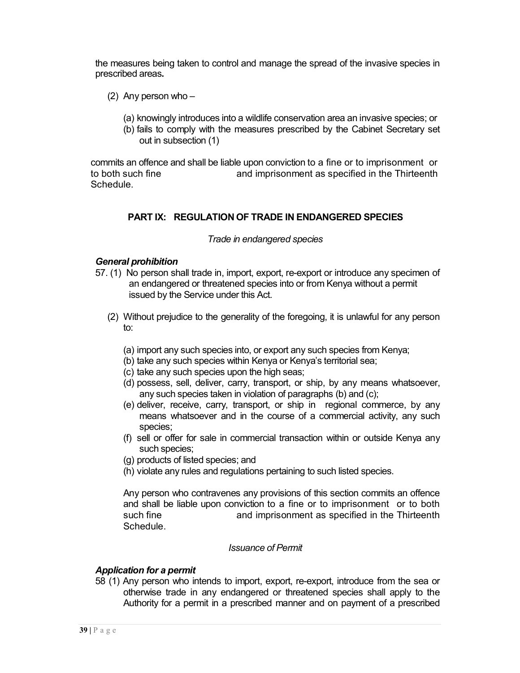the measures being taken to control and manage the spread of the invasive species in prescribed areas**.**

- (2) Any person who
	- (a) knowingly introduces into a wildlife conservation area an invasive species; or
	- (b) fails to comply with the measures prescribed by the Cabinet Secretary set out in subsection (1)

commits an offence and shall be liable upon conviction to a fine or to imprisonment or to both such fine and imprisonment as specified in the Thirteenth **Schedule** 

#### **PART IX: REGULATION OF TRADE IN ENDANGERED SPECIES**

#### *Trade in endangered species*

#### *General prohibition*

- 57. (1) No person shall trade in, import, export, re-export or introduce any specimen of an endangered or threatened species into or from Kenya without a permit issued by the Service under this Act.
	- (2) Without prejudice to the generality of the foregoing, it is unlawful for any person to:
		- (a) import any such species into, or export any such species from Kenya;
		- (b) take any such species within Kenya or Kenya's territorial sea;
		- (c) take any such species upon the high seas;
		- (d) possess, sell, deliver, carry, transport, or ship, by any means whatsoever, any such species taken in violation of paragraphs (b) and (c);
		- (e) deliver, receive, carry, transport, or ship in regional commerce, by any means whatsoever and in the course of a commercial activity, any such species;
		- (f) sell or offer for sale in commercial transaction within or outside Kenya any such species;
		- (g) products of listed species; and
		- (h) violate any rules and regulations pertaining to such listed species.

Any person who contravenes any provisions of this section commits an offence and shall be liable upon conviction to a fine or to imprisonment or to both such fine and imprisonment as specified in the Thirteenth Schedule.

#### *Issuance of Permit*

#### *Application for a permit*

58 (1) Any person who intends to import, export, re-export, introduce from the sea or otherwise trade in any endangered or threatened species shall apply to the Authority for a permit in a prescribed manner and on payment of a prescribed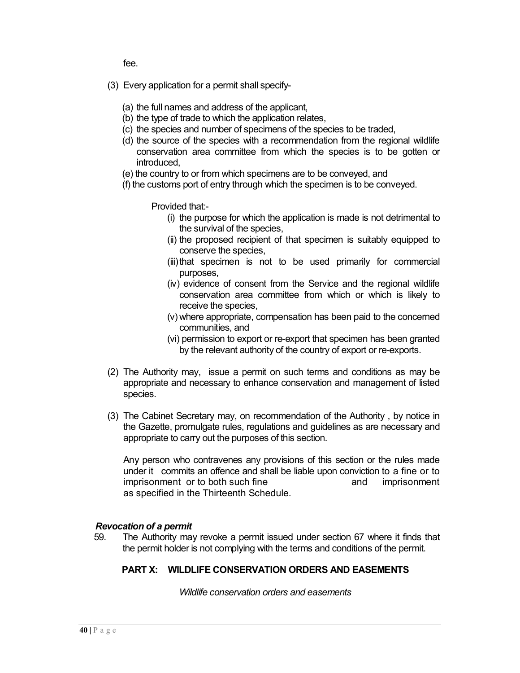fee.

- (3) Every application for a permit shall specify-
	- (a) the full names and address of the applicant,
	- (b) the type of trade to which the application relates,
	- (c) the species and number of specimens of the species to be traded,
	- (d) the source of the species with a recommendation from the regional wildlife conservation area committee from which the species is to be gotten or introduced,
	- (e) the country to or from which specimens are to be conveyed, and
	- (f) the customs port of entry through which the specimen is to be conveyed.

Provided that:-

- (i) the purpose for which the application is made is not detrimental to the survival of the species,
- (ii) the proposed recipient of that specimen is suitably equipped to conserve the species,
- (iii)that specimen is not to be used primarily for commercial purposes,
- (iv) evidence of consent from the Service and the regional wildlife conservation area committee from which or which is likely to receive the species,
- (v) where appropriate, compensation has been paid to the concerned communities, and
- (vi) permission to export or re-export that specimen has been granted by the relevant authority of the country of export or re-exports.
- (2) The Authority may, issue a permit on such terms and conditions as may be appropriate and necessary to enhance conservation and management of listed species.
- (3) The Cabinet Secretary may, on recommendation of the Authority , by notice in the Gazette, promulgate rules, regulations and guidelines as are necessary and appropriate to carry out the purposes of this section.

Any person who contravenes any provisions of this section or the rules made under it commits an offence and shall be liable upon conviction to a fine or to imprisonment or to both such fine and imprisonment as specified in the Thirteenth Schedule.

#### *Revocation of a permit*

59. The Authority may revoke a permit issued under section 67 where it finds that the permit holder is not complying with the terms and conditions of the permit.

#### **PART X: WILDLIFE CONSERVATION ORDERS AND EASEMENTS**

*Wildlife conservation orders and easements*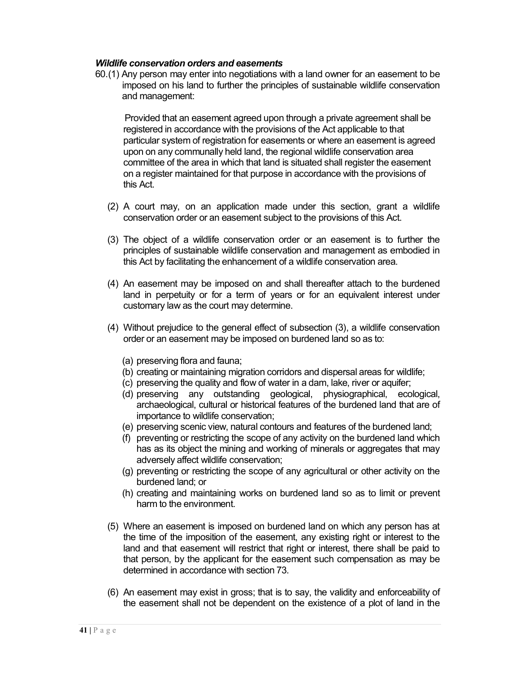#### *Wildlife conservation orders and easements*

60.(1) Any person may enter into negotiations with a land owner for an easement to be imposed on his land to further the principles of sustainable wildlife conservation and management:

Provided that an easement agreed upon through a private agreement shall be registered in accordance with the provisions of the Act applicable to that particular system of registration for easements or where an easement is agreed upon on any communally held land, the regional wildlife conservation area committee of the area in which that land is situated shall register the easement on a register maintained for that purpose in accordance with the provisions of this Act.

- (2) A court may, on an application made under this section, grant a wildlife conservation order or an easement subject to the provisions of this Act.
- (3) The object of a wildlife conservation order or an easement is to further the principles of sustainable wildlife conservation and management as embodied in this Act by facilitating the enhancement of a wildlife conservation area.
- (4) An easement may be imposed on and shall thereafter attach to the burdened land in perpetuity or for a term of years or for an equivalent interest under customary law as the court may determine.
- (4) Without prejudice to the general effect of subsection (3), a wildlife conservation order or an easement may be imposed on burdened land so as to:
	- (a) preserving flora and fauna;
	- (b) creating or maintaining migration corridors and dispersal areas for wildlife;
	- (c) preserving the quality and flow of water in a dam, lake, river or aquifer;
	- (d) preserving any outstanding geological, physiographical, ecological, archaeological, cultural or historical features of the burdened land that are of importance to wildlife conservation;
	- (e) preserving scenic view, natural contours and features of the burdened land;
	- (f) preventing or restricting the scope of any activity on the burdened land which has as its object the mining and working of minerals or aggregates that may adversely affect wildlife conservation;
	- (g) preventing or restricting the scope of any agricultural or other activity on the burdened land; or
	- (h) creating and maintaining works on burdened land so as to limit or prevent harm to the environment.
- (5) Where an easement is imposed on burdened land on which any person has at the time of the imposition of the easement, any existing right or interest to the land and that easement will restrict that right or interest, there shall be paid to that person, by the applicant for the easement such compensation as may be determined in accordance with section 73.
- (6) An easement may exist in gross; that is to say, the validity and enforceability of the easement shall not be dependent on the existence of a plot of land in the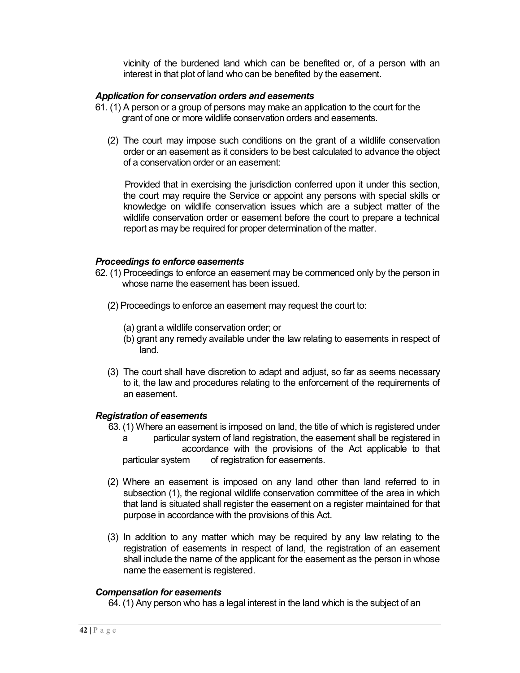vicinity of the burdened land which can be benefited or, of a person with an interest in that plot of land who can be benefited by the easement.

#### *Application for conservation orders and easements*

- 61. (1) A person or a group of persons may make an application to the court for the grant of one or more wildlife conservation orders and easements.
	- (2) The court may impose such conditions on the grant of a wildlife conservation order or an easement as it considers to be best calculated to advance the object of a conservation order or an easement:

Provided that in exercising the jurisdiction conferred upon it under this section, the court may require the Service or appoint any persons with special skills or knowledge on wildlife conservation issues which are a subject matter of the wildlife conservation order or easement before the court to prepare a technical report as may be required for proper determination of the matter.

#### *Proceedings to enforce easements*

- 62. (1) Proceedings to enforce an easement may be commenced only by the person in whose name the easement has been issued.
	- (2) Proceedings to enforce an easement may request the court to:
		- (a) grant a wildlife conservation order; or
		- (b) grant any remedy available under the law relating to easements in respect of land.
	- (3) The court shall have discretion to adapt and adjust, so far as seems necessary to it, the law and procedures relating to the enforcement of the requirements of an easement.

#### *Registration of easements*

- 63. (1) Where an easement is imposed on land, the title of which is registered under
	- a particular system of land registration, the easement shall be registered in accordance with the provisions of the Act applicable to that particular system of registration for easements.
- (2) Where an easement is imposed on any land other than land referred to in subsection (1), the regional wildlife conservation committee of the area in which that land is situated shall register the easement on a register maintained for that purpose in accordance with the provisions of this Act.
- (3) In addition to any matter which may be required by any law relating to the registration of easements in respect of land, the registration of an easement shall include the name of the applicant for the easement as the person in whose name the easement is registered.

#### *Compensation for easements*

64. (1) Any person who has a legal interest in the land which is the subject of an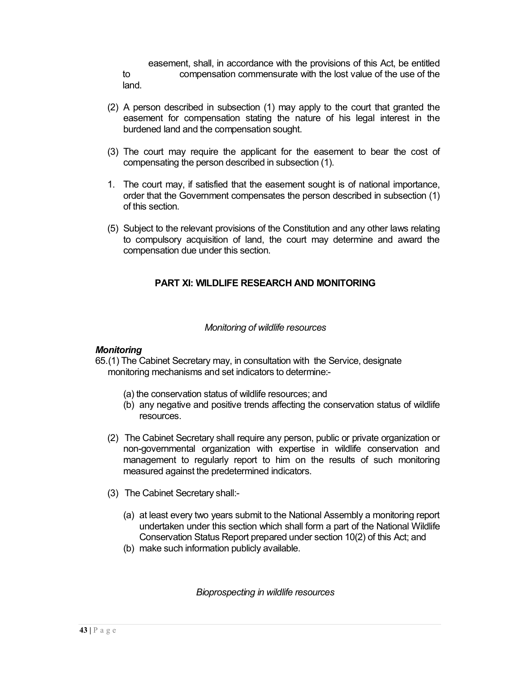easement, shall, in accordance with the provisions of this Act, be entitled to compensation commensurate with the lost value of the use of the land.

- (2) A person described in subsection (1) may apply to the court that granted the easement for compensation stating the nature of his legal interest in the burdened land and the compensation sought.
- (3) The court may require the applicant for the easement to bear the cost of compensating the person described in subsection (1).
- 1. The court may, if satisfied that the easement sought is of national importance, order that the Government compensates the person described in subsection (1) of this section.
- (5) Subject to the relevant provisions of the Constitution and any other laws relating to compulsory acquisition of land, the court may determine and award the compensation due under this section.

## **PART XI: WILDLIFE RESEARCH AND MONITORING**

#### *Monitoring of wildlife resources*

#### *Monitoring*

65.(1) The Cabinet Secretary may, in consultation with the Service, designate monitoring mechanisms and set indicators to determine:-

- (a) the conservation status of wildlife resources; and
- (b) any negative and positive trends affecting the conservation status of wildlife resources.
- (2) The Cabinet Secretary shall require any person, public or private organization or non-governmental organization with expertise in wildlife conservation and management to regularly report to him on the results of such monitoring measured against the predetermined indicators.
- (3) The Cabinet Secretary shall:-
	- (a) at least every two years submit to the National Assembly a monitoring report undertaken under this section which shall form a part of the National Wildlife Conservation Status Report prepared under section 10(2) of this Act; and
	- (b) make such information publicly available.

*Bioprospecting in wildlife resources*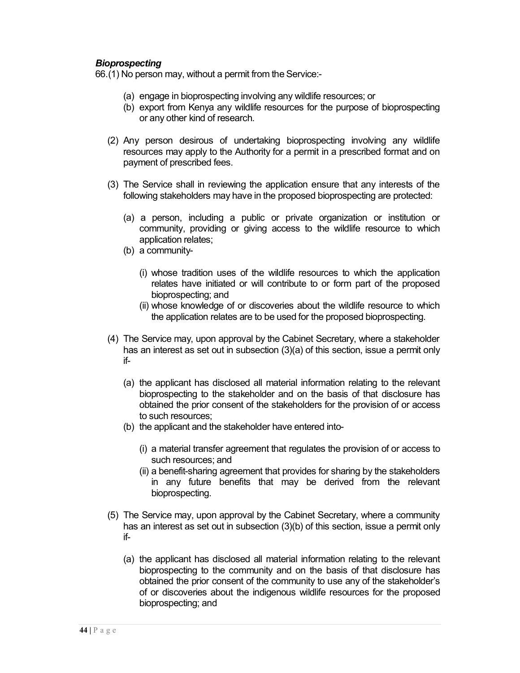#### *Bioprospecting*

66.(1) No person may, without a permit from the Service:-

- (a) engage in bioprospecting involving any wildlife resources; or
- (b) export from Kenya any wildlife resources for the purpose of bioprospecting or any other kind of research.
- (2) Any person desirous of undertaking bioprospecting involving any wildlife resources may apply to the Authority for a permit in a prescribed format and on payment of prescribed fees.
- (3) The Service shall in reviewing the application ensure that any interests of the following stakeholders may have in the proposed bioprospecting are protected:
	- (a) a person, including a public or private organization or institution or community, providing or giving access to the wildlife resource to which application relates;
	- (b) a community-
		- (i) whose tradition uses of the wildlife resources to which the application relates have initiated or will contribute to or form part of the proposed bioprospecting; and
		- (ii) whose knowledge of or discoveries about the wildlife resource to which the application relates are to be used for the proposed bioprospecting.
- (4) The Service may, upon approval by the Cabinet Secretary, where a stakeholder has an interest as set out in subsection (3)(a) of this section, issue a permit only if-
	- (a) the applicant has disclosed all material information relating to the relevant bioprospecting to the stakeholder and on the basis of that disclosure has obtained the prior consent of the stakeholders for the provision of or access to such resources;
	- (b) the applicant and the stakeholder have entered into-
		- (i) a material transfer agreement that regulates the provision of or access to such resources; and
		- (ii) a benefit-sharing agreement that provides for sharing by the stakeholders in any future benefits that may be derived from the relevant bioprospecting.
- (5) The Service may, upon approval by the Cabinet Secretary, where a community has an interest as set out in subsection (3)(b) of this section, issue a permit only if-
	- (a) the applicant has disclosed all material information relating to the relevant bioprospecting to the community and on the basis of that disclosure has obtained the prior consent of the community to use any of the stakeholder's of or discoveries about the indigenous wildlife resources for the proposed bioprospecting; and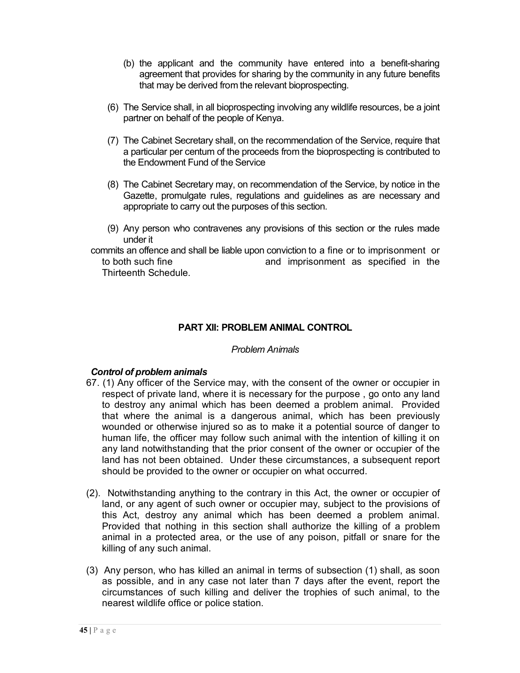- (b) the applicant and the community have entered into a benefit-sharing agreement that provides for sharing by the community in any future benefits that may be derived from the relevant bioprospecting.
- (6) The Service shall, in all bioprospecting involving any wildlife resources, be a joint partner on behalf of the people of Kenya.
- (7) The Cabinet Secretary shall, on the recommendation of the Service, require that a particular per centum of the proceeds from the bioprospecting is contributed to the Endowment Fund of the Service
- (8) The Cabinet Secretary may, on recommendation of the Service, by notice in the Gazette, promulgate rules, regulations and guidelines as are necessary and appropriate to carry out the purposes of this section.
- (9) Any person who contravenes any provisions of this section or the rules made under it
- commits an offence and shall be liable upon conviction to a fine or to imprisonment or to both such fine and imprisonment as specified in the Thirteenth Schedule.

## **PART XII: PROBLEM ANIMAL CONTROL**

#### *Problem Animals*

#### *Control of problem animals*

- 67. (1) Any officer of the Service may, with the consent of the owner or occupier in respect of private land, where it is necessary for the purpose , go onto any land to destroy any animal which has been deemed a problem animal. Provided that where the animal is a dangerous animal, which has been previously wounded or otherwise injured so as to make it a potential source of danger to human life, the officer may follow such animal with the intention of killing it on any land notwithstanding that the prior consent of the owner or occupier of the land has not been obtained. Under these circumstances, a subsequent report should be provided to the owner or occupier on what occurred.
- (2). Notwithstanding anything to the contrary in this Act, the owner or occupier of land, or any agent of such owner or occupier may, subject to the provisions of this Act, destroy any animal which has been deemed a problem animal. Provided that nothing in this section shall authorize the killing of a problem animal in a protected area, or the use of any poison, pitfall or snare for the killing of any such animal.
- (3) Any person, who has killed an animal in terms of subsection (1) shall, as soon as possible, and in any case not later than 7 days after the event, report the circumstances of such killing and deliver the trophies of such animal, to the nearest wildlife office or police station.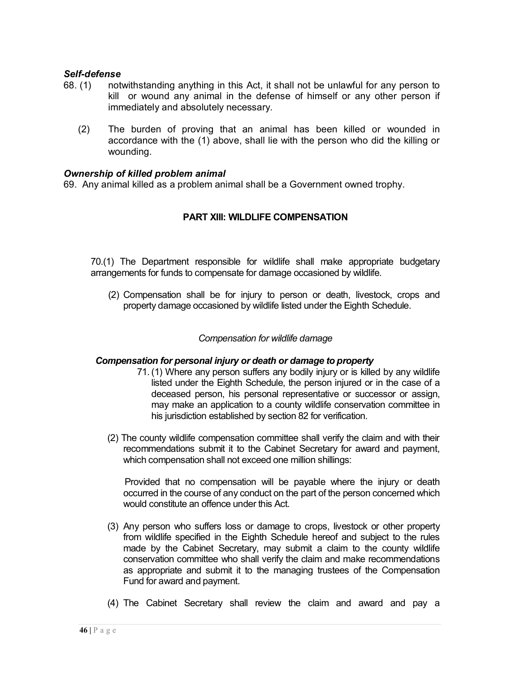#### *Self-defense*

- 68. (1) notwithstanding anything in this Act, it shall not be unlawful for any person to kill or wound any animal in the defense of himself or any other person if immediately and absolutely necessary.
	- (2) The burden of proving that an animal has been killed or wounded in accordance with the (1) above, shall lie with the person who did the killing or wounding.

#### *Ownership of killed problem animal*

69. Any animal killed as a problem animal shall be a Government owned trophy.

#### **PART XIII: WILDLIFE COMPENSATION**

70.(1) The Department responsible for wildlife shall make appropriate budgetary arrangements for funds to compensate for damage occasioned by wildlife.

(2) Compensation shall be for injury to person or death, livestock, crops and property damage occasioned by wildlife listed under the Eighth Schedule.

#### *Compensation for wildlife damage*

#### *Compensation for personal injury or death or damage to property*

- 71. (1) Where any person suffers any bodily injury or is killed by any wildlife listed under the Eighth Schedule, the person injured or in the case of a deceased person, his personal representative or successor or assign, may make an application to a county wildlife conservation committee in his jurisdiction established by section 82 for verification.
- (2) The county wildlife compensation committee shall verify the claim and with their recommendations submit it to the Cabinet Secretary for award and payment, which compensation shall not exceed one million shillings:

Provided that no compensation will be payable where the injury or death occurred in the course of any conduct on the part of the person concerned which would constitute an offence under this Act.

- (3) Any person who suffers loss or damage to crops, livestock or other property from wildlife specified in the Eighth Schedule hereof and subject to the rules made by the Cabinet Secretary, may submit a claim to the county wildlife conservation committee who shall verify the claim and make recommendations as appropriate and submit it to the managing trustees of the Compensation Fund for award and payment.
- (4) The Cabinet Secretary shall review the claim and award and pay a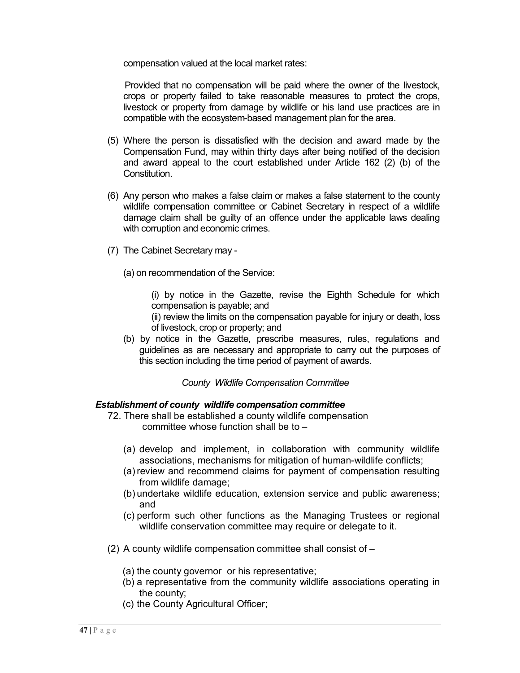compensation valued at the local market rates:

Provided that no compensation will be paid where the owner of the livestock, crops or property failed to take reasonable measures to protect the crops, livestock or property from damage by wildlife or his land use practices are in compatible with the ecosystem-based management plan for the area.

- (5) Where the person is dissatisfied with the decision and award made by the Compensation Fund, may within thirty days after being notified of the decision and award appeal to the court established under Article 162 (2) (b) of the **Constitution**
- (6) Any person who makes a false claim or makes a false statement to the county wildlife compensation committee or Cabinet Secretary in respect of a wildlife damage claim shall be guilty of an offence under the applicable laws dealing with corruption and economic crimes.
- (7) The Cabinet Secretary may
	- (a) on recommendation of the Service:
		- (i) by notice in the Gazette, revise the Eighth Schedule for which compensation is payable; and
		- (ii) review the limits on the compensation payable for injury or death, loss of livestock, crop or property; and
	- (b) by notice in the Gazette, prescribe measures, rules, regulations and guidelines as are necessary and appropriate to carry out the purposes of this section including the time period of payment of awards.

*County Wildlife Compensation Committee*

#### *Establishment of county wildlife compensation committee*

- 72. There shall be established a county wildlife compensation committee whose function shall be to –
	- (a) develop and implement, in collaboration with community wildlife associations, mechanisms for mitigation of human-wildlife conflicts;
	- (a) review and recommend claims for payment of compensation resulting from wildlife damage;
	- (b) undertake wildlife education, extension service and public awareness; and
	- (c) perform such other functions as the Managing Trustees or regional wildlife conservation committee may require or delegate to it.
- (2) A county wildlife compensation committee shall consist of
	- (a) the county governor or his representative;
	- (b) a representative from the community wildlife associations operating in the county;
	- (c) the County Agricultural Officer;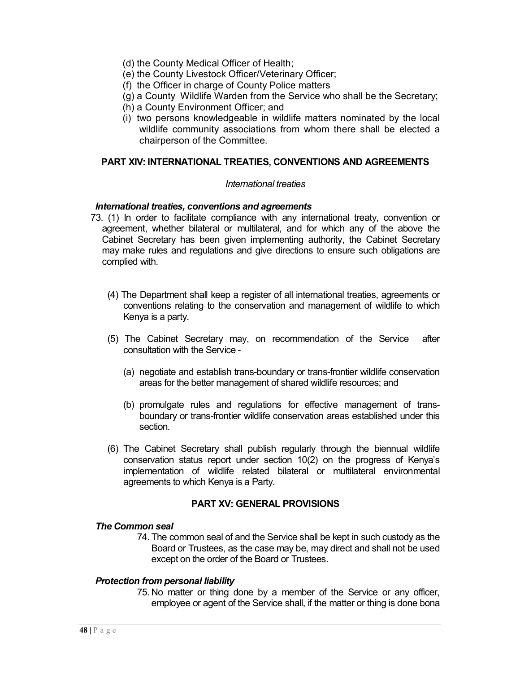- (d) the County Medical Officer of Health;
- (e) the County Livestock Officer/Veterinary Officer;
- (f) the Officer in charge of County Police matters
- (g) a County Wildlife Warden from the Service who shall be the Secretary;
- (h) a County Environment Officer; and
- (i) two persons knowledgeable in wildlife matters nominated by the local wildlife community associations from whom there shall be elected a chairperson of the Committee.

#### **PART XIV: INTERNATIONAL TREATIES, CONVENTIONS AND AGREEMENTS**

#### *International treaties*

#### *International treaties, conventions and agreements*

- 73. (1) In order to facilitate compliance with any international treaty, convention or agreement, whether bilateral or multilateral, and for which any of the above the Cabinet Secretary has been given implementing authority, the Cabinet Secretary may make rules and regulations and give directions to ensure such obligations are complied with.
	- (4) The Department shall keep a register of all international treaties, agreements or conventions relating to the conservation and management of wildlife to which Kenya is a party.
	- (5) The Cabinet Secretary may, on recommendation of the Service after consultation with the Service -
		- (a) negotiate and establish trans-boundary or trans-frontier wildlife conservation areas for the better management of shared wildlife resources; and
		- (b) promulgate rules and regulations for effective management of transboundary or trans-frontier wildlife conservation areas established under this section.
	- (6) The Cabinet Secretary shall publish regularly through the biennual wildlife conservation status report under section 10(2) on the progress of Kenya's implementation of wildlife related bilateral or multilateral environmental agreements to which Kenya is a Party.

#### **PART XV: GENERAL PROVISIONS**

#### *The Common seal*

74. The common seal of and the Service shall be kept in such custody as the Board or Trustees, as the case may be, may direct and shall not be used except on the order of the Board or Trustees.

#### *Protection from personal liability*

75. No matter or thing done by a member of the Service or any officer, employee or agent of the Service shall, if the matter or thing is done bona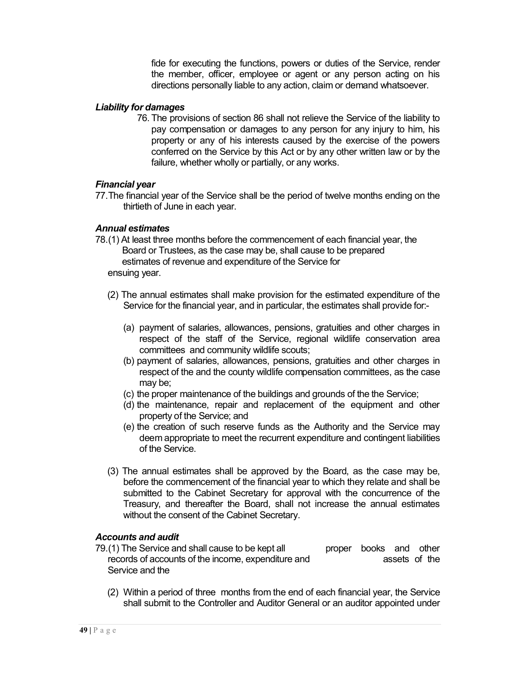fide for executing the functions, powers or duties of the Service, render the member, officer, employee or agent or any person acting on his directions personally liable to any action, claim or demand whatsoever.

#### *Liability for damages*

76. The provisions of section 86 shall not relieve the Service of the liability to pay compensation or damages to any person for any injury to him, his property or any of his interests caused by the exercise of the powers conferred on the Service by this Act or by any other written law or by the failure, whether wholly or partially, or any works.

#### *Financial year*

77.The financial year of the Service shall be the period of twelve months ending on the thirtieth of June in each year.

#### *Annual estimates*

- 78.(1) At least three months before the commencement of each financial year, the Board or Trustees, as the case may be, shall cause to be prepared estimates of revenue and expenditure of the Service for ensuing year.
	- (2) The annual estimates shall make provision for the estimated expenditure of the Service for the financial year, and in particular, the estimates shall provide for:-
		- (a) payment of salaries, allowances, pensions, gratuities and other charges in respect of the staff of the Service, regional wildlife conservation area committees and community wildlife scouts;
		- (b) payment of salaries, allowances, pensions, gratuities and other charges in respect of the and the county wildlife compensation committees, as the case may be;
		- (c) the proper maintenance of the buildings and grounds of the the Service;
		- (d) the maintenance, repair and replacement of the equipment and other property of the Service; and
		- (e) the creation of such reserve funds as the Authority and the Service may deem appropriate to meet the recurrent expenditure and contingent liabilities of the Service.
	- (3) The annual estimates shall be approved by the Board, as the case may be, before the commencement of the financial year to which they relate and shall be submitted to the Cabinet Secretary for approval with the concurrence of the Treasury, and thereafter the Board, shall not increase the annual estimates without the consent of the Cabinet Secretary.

#### *Accounts and audit*

- 79.(1) The Service and shall cause to be kept all proper books and other records of accounts of the income, expenditure and **assets** of the Service and the
	- (2) Within a period of three months from the end of each financial year, the Service shall submit to the Controller and Auditor General or an auditor appointed under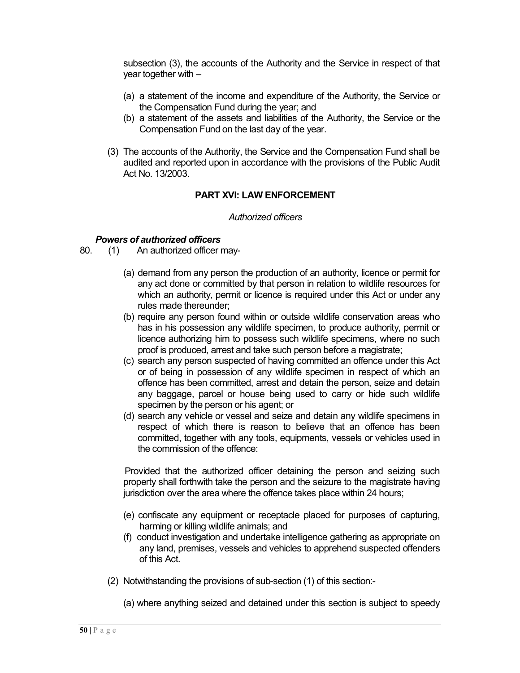subsection (3), the accounts of the Authority and the Service in respect of that year together with –

- (a) a statement of the income and expenditure of the Authority, the Service or the Compensation Fund during the year; and
- (b) a statement of the assets and liabilities of the Authority, the Service or the Compensation Fund on the last day of the year.
- (3) The accounts of the Authority, the Service and the Compensation Fund shall be audited and reported upon in accordance with the provisions of the Public Audit Act No. 13/2003.

#### **PART XVI: LAW ENFORCEMENT**

#### *Authorized officers*

# *Powers of authorized officers*<br>80. (1) An authorized officer i

- An authorized officer may-
	- (a) demand from any person the production of an authority, licence or permit for any act done or committed by that person in relation to wildlife resources for which an authority, permit or licence is required under this Act or under any rules made thereunder;
	- (b) require any person found within or outside wildlife conservation areas who has in his possession any wildlife specimen, to produce authority, permit or licence authorizing him to possess such wildlife specimens, where no such proof is produced, arrest and take such person before a magistrate;
	- (c) search any person suspected of having committed an offence under this Act or of being in possession of any wildlife specimen in respect of which an offence has been committed, arrest and detain the person, seize and detain any baggage, parcel or house being used to carry or hide such wildlife specimen by the person or his agent; or
	- (d) search any vehicle or vessel and seize and detain any wildlife specimens in respect of which there is reason to believe that an offence has been committed, together with any tools, equipments, vessels or vehicles used in the commission of the offence:

Provided that the authorized officer detaining the person and seizing such property shall forthwith take the person and the seizure to the magistrate having jurisdiction over the area where the offence takes place within 24 hours;

- (e) confiscate any equipment or receptacle placed for purposes of capturing, harming or killing wildlife animals; and
- (f) conduct investigation and undertake intelligence gathering as appropriate on any land, premises, vessels and vehicles to apprehend suspected offenders of this Act.
- (2) Notwithstanding the provisions of sub-section (1) of this section:-
	- (a) where anything seized and detained under this section is subject to speedy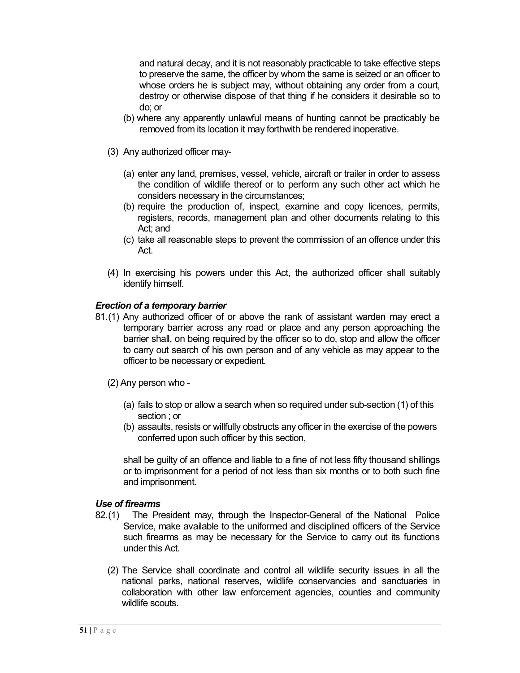and natural decay, and it is not reasonably practicable to take effective steps to preserve the same, the officer by whom the same is seized or an officer to whose orders he is subject may, without obtaining any order from a court, destroy or otherwise dispose of that thing if he considers it desirable so to do; or

- (b) where any apparently unlawful means of hunting cannot be practicably be removed from its location it may forthwith be rendered inoperative.
- (3) Any authorized officer may-
	- (a) enter any land, premises, vessel, vehicle, aircraft or trailer in order to assess the condition of wildlife thereof or to perform any such other act which he considers necessary in the circumstances;
	- (b) require the production of, inspect, examine and copy licences, permits, registers, records, management plan and other documents relating to this Act; and
	- (c) take all reasonable steps to prevent the commission of an offence under this Act.
- (4) In exercising his powers under this Act, the authorized officer shall suitably identify himself.

## *Erection of a temporary barrier*

- 81.(1) Any authorized officer of or above the rank of assistant warden may erect a temporary barrier across any road or place and any person approaching the barrier shall, on being required by the officer so to do, stop and allow the officer to carry out search of his own person and of any vehicle as may appear to the officer to be necessary or expedient.
	- (2) Any person who
		- (a) fails to stop or allow a search when so required under sub-section (1) of this section ; or
		- (b) assaults, resists or willfully obstructs any officer in the exercise of the powers conferred upon such officer by this section,

shall be guilty of an offence and liable to a fine of not less fifty thousand shillings or to imprisonment for a period of not less than six months or to both such fine and imprisonment.

#### *Use of firearms*

- 82.(1) The President may, through the Inspector-General of the National Police Service, make available to the uniformed and disciplined officers of the Service such firearms as may be necessary for the Service to carry out its functions under this Act.
	- (2) The Service shall coordinate and control all wildlife security issues in all the national parks, national reserves, wildlife conservancies and sanctuaries in collaboration with other law enforcement agencies, counties and community wildlife scouts.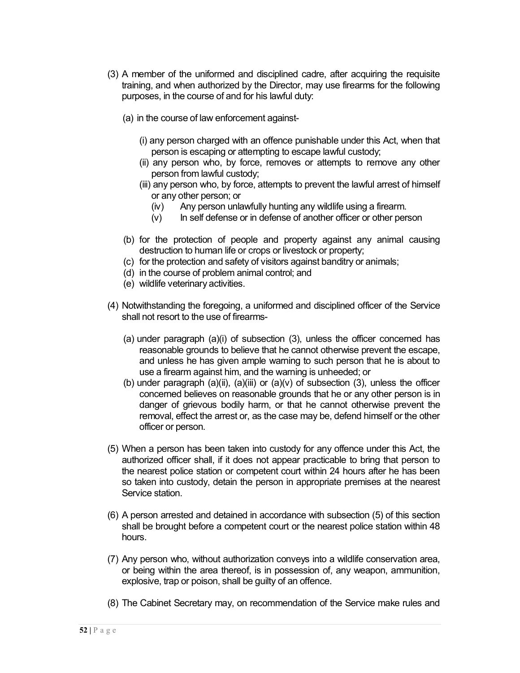- (3) A member of the uniformed and disciplined cadre, after acquiring the requisite training, and when authorized by the Director, may use firearms for the following purposes, in the course of and for his lawful duty:
	- (a) in the course of law enforcement against-
		- (i) any person charged with an offence punishable under this Act, when that person is escaping or attempting to escape lawful custody;
		- (ii) any person who, by force, removes or attempts to remove any other person from lawful custody;
		- (iii) any person who, by force, attempts to prevent the lawful arrest of himself or any other person; or
			- (iv) Any person unlawfully hunting any wildlife using a firearm.
			- (v) In self defense or in defense of another officer or other person
	- (b) for the protection of people and property against any animal causing destruction to human life or crops or livestock or property;
	- (c) for the protection and safety of visitors against banditry or animals;
	- (d) in the course of problem animal control; and
	- (e) wildlife veterinary activities.
- (4) Notwithstanding the foregoing, a uniformed and disciplined officer of the Service shall not resort to the use of firearms-
	- (a) under paragraph (a)(i) of subsection (3), unless the officer concerned has reasonable grounds to believe that he cannot otherwise prevent the escape, and unless he has given ample warning to such person that he is about to use a firearm against him, and the warning is unheeded; or
	- (b) under paragraph  $(a)(ii)$ ,  $(a)(iii)$  or  $(a)(v)$  of subsection  $(3)$ , unless the officer concerned believes on reasonable grounds that he or any other person is in danger of grievous bodily harm, or that he cannot otherwise prevent the removal, effect the arrest or, as the case may be, defend himself or the other officer or person.
- (5) When a person has been taken into custody for any offence under this Act, the authorized officer shall, if it does not appear practicable to bring that person to the nearest police station or competent court within 24 hours after he has been so taken into custody, detain the person in appropriate premises at the nearest Service station.
- (6) A person arrested and detained in accordance with subsection (5) of this section shall be brought before a competent court or the nearest police station within 48 hours.
- (7) Any person who, without authorization conveys into a wildlife conservation area, or being within the area thereof, is in possession of, any weapon, ammunition, explosive, trap or poison, shall be guilty of an offence.
- (8) The Cabinet Secretary may, on recommendation of the Service make rules and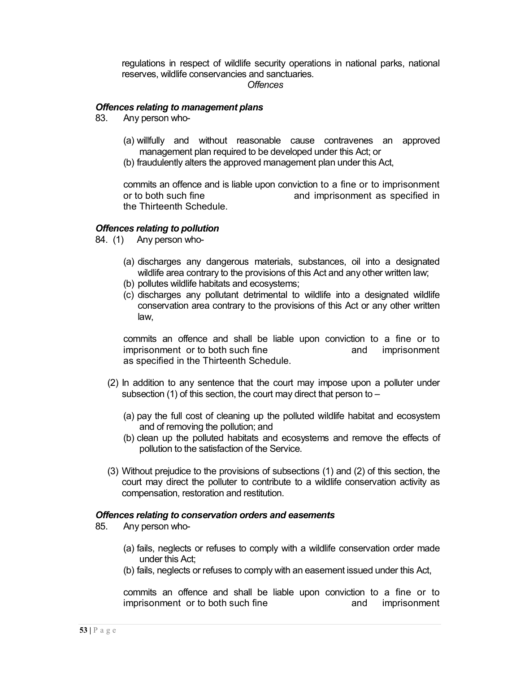regulations in respect of wildlife security operations in national parks, national reserves, wildlife conservancies and sanctuaries.

#### *Offences*

#### *Offences relating to management plans*

- 83. Any person who-
	- (a) willfully and without reasonable cause contravenes an approved management plan required to be developed under this Act; or
	- (b) fraudulently alters the approved management plan under this Act,

commits an offence and is liable upon conviction to a fine or to imprisonment or to both such fine and imprisonment as specified in the Thirteenth Schedule.

#### *Offences relating to pollution*

84. (1) Any person who-

- (a) discharges any dangerous materials, substances, oil into a designated wildlife area contrary to the provisions of this Act and any other written law;
- (b) pollutes wildlife habitats and ecosystems;
- (c) discharges any pollutant detrimental to wildlife into a designated wildlife conservation area contrary to the provisions of this Act or any other written law,

commits an offence and shall be liable upon conviction to a fine or to imprisonment or to both such fine and imprisonment as specified in the Thirteenth Schedule.

- (2) In addition to any sentence that the court may impose upon a polluter under subsection (1) of this section, the court may direct that person to –
	- (a) pay the full cost of cleaning up the polluted wildlife habitat and ecosystem and of removing the pollution; and
	- (b) clean up the polluted habitats and ecosystems and remove the effects of pollution to the satisfaction of the Service.
- (3) Without prejudice to the provisions of subsections (1) and (2) of this section, the court may direct the polluter to contribute to a wildlife conservation activity as compensation, restoration and restitution.

#### *Offences relating to conservation orders and easements*

- 85. Any person who-
	- (a) fails, neglects or refuses to comply with a wildlife conservation order made under this Act;
	- (b) fails, neglects or refuses to comply with an easement issued under this Act,

commits an offence and shall be liable upon conviction to a fine or to imprisonment or to both such fine and imprisonment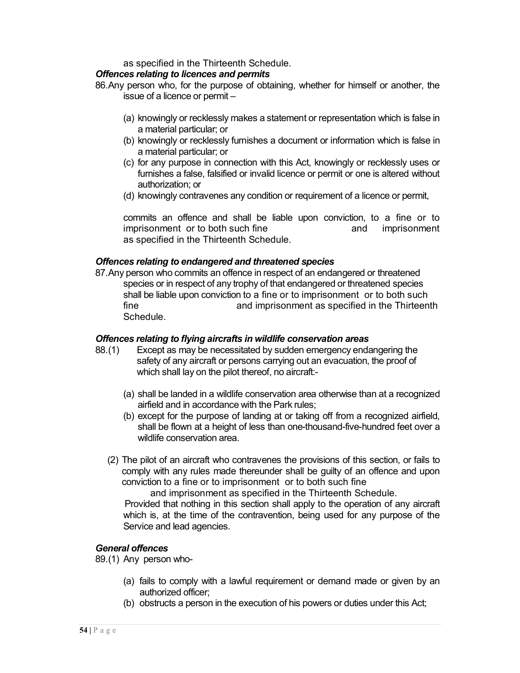as specified in the Thirteenth Schedule.

## *Offences relating to licences and permits*

86.Any person who, for the purpose of obtaining, whether for himself or another, the issue of a licence or permit –

- (a) knowingly or recklessly makes a statement or representation which is false in a material particular; or
- (b) knowingly or recklessly furnishes a document or information which is false in a material particular; or
- (c) for any purpose in connection with this Act, knowingly or recklessly uses or furnishes a false, falsified or invalid licence or permit or one is altered without authorization; or
- (d) knowingly contravenes any condition or requirement of a licence or permit,

commits an offence and shall be liable upon conviction, to a fine or to imprisonment or to both such fine and imprisonment as specified in the Thirteenth Schedule.

## *Offences relating to endangered and threatened species*

87.Any person who commits an offence in respect of an endangered or threatened species or in respect of any trophy of that endangered or threatened species shall be liable upon conviction to a fine or to imprisonment or to both such fine and imprisonment as specified in the Thirteenth Schedule.

#### *Offences relating to flying aircrafts in wildlife conservation areas*

- 88.(1) Except as may be necessitated by sudden emergency endangering the safety of any aircraft or persons carrying out an evacuation, the proof of which shall lay on the pilot thereof, no aircraft:-
	- (a) shall be landed in a wildlife conservation area otherwise than at a recognized airfield and in accordance with the Park rules;
	- (b) except for the purpose of landing at or taking off from a recognized airfield, shall be flown at a height of less than one-thousand-five-hundred feet over a wildlife conservation area.
	- (2) The pilot of an aircraft who contravenes the provisions of this section, or fails to comply with any rules made thereunder shall be guilty of an offence and upon conviction to a fine or to imprisonment or to both such fine

 and imprisonment as specified in the Thirteenth Schedule. Provided that nothing in this section shall apply to the operation of any aircraft which is, at the time of the contravention, being used for any purpose of the Service and lead agencies.

#### *General offences*

89.(1) Any person who-

- (a) fails to comply with a lawful requirement or demand made or given by an authorized officer;
- (b) obstructs a person in the execution of his powers or duties under this Act;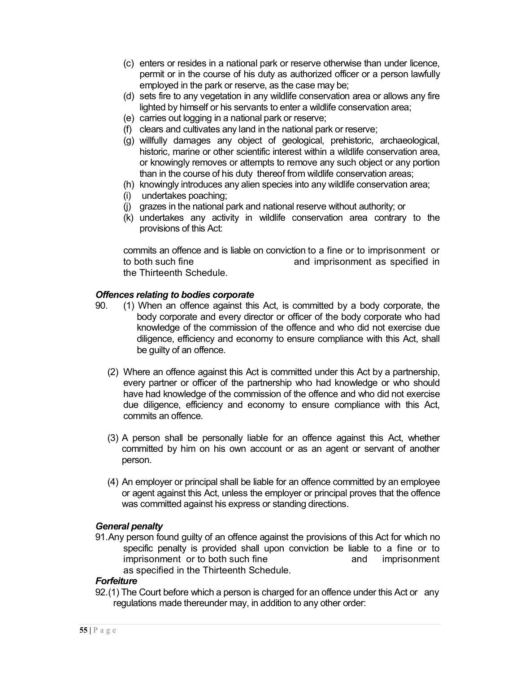- (c) enters or resides in a national park or reserve otherwise than under licence, permit or in the course of his duty as authorized officer or a person lawfully employed in the park or reserve, as the case may be;
- (d) sets fire to any vegetation in any wildlife conservation area or allows any fire lighted by himself or his servants to enter a wildlife conservation area;
- (e) carries out logging in a national park or reserve;
- (f) clears and cultivates any land in the national park or reserve;
- (g) willfully damages any object of geological, prehistoric, archaeological, historic, marine or other scientific interest within a wildlife conservation area, or knowingly removes or attempts to remove any such object or any portion than in the course of his duty thereof from wildlife conservation areas;
- (h) knowingly introduces any alien species into any wildlife conservation area;
- (i) undertakes poaching;
- (j) grazes in the national park and national reserve without authority; or
- (k) undertakes any activity in wildlife conservation area contrary to the provisions of this Act:

commits an offence and is liable on conviction to a fine or to imprisonment or to both such fine and imprisonment as specified in the Thirteenth Schedule.

#### *Offences relating to bodies corporate*

- 90. (1) When an offence against this Act, is committed by a body corporate, the body corporate and every director or officer of the body corporate who had knowledge of the commission of the offence and who did not exercise due diligence, efficiency and economy to ensure compliance with this Act, shall be guilty of an offence.
	- (2) Where an offence against this Act is committed under this Act by a partnership, every partner or officer of the partnership who had knowledge or who should have had knowledge of the commission of the offence and who did not exercise due diligence, efficiency and economy to ensure compliance with this Act, commits an offence.
	- (3) A person shall be personally liable for an offence against this Act, whether committed by him on his own account or as an agent or servant of another person.
	- (4) An employer or principal shall be liable for an offence committed by an employee or agent against this Act, unless the employer or principal proves that the offence was committed against his express or standing directions.

#### *General penalty*

91.Any person found guilty of an offence against the provisions of this Act for which no specific penalty is provided shall upon conviction be liable to a fine or to imprisonment or to both such fine and imprisonment as specified in the Thirteenth Schedule.

#### *Forfeiture*

92.(1) The Court before which a person is charged for an offence under this Act or any regulations made thereunder may, in addition to any other order: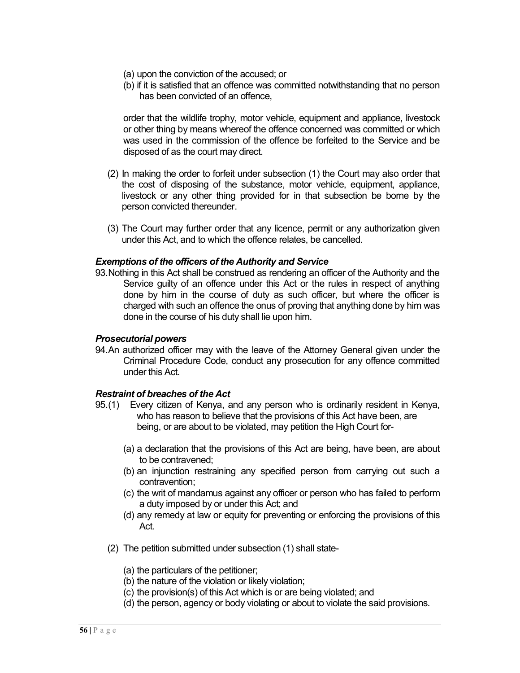- (a) upon the conviction of the accused; or
- (b) if it is satisfied that an offence was committed notwithstanding that no person has been convicted of an offence,

order that the wildlife trophy, motor vehicle, equipment and appliance, livestock or other thing by means whereof the offence concerned was committed or which was used in the commission of the offence be forfeited to the Service and be disposed of as the court may direct.

- (2) In making the order to forfeit under subsection (1) the Court may also order that the cost of disposing of the substance, motor vehicle, equipment, appliance, livestock or any other thing provided for in that subsection be borne by the person convicted thereunder.
- (3) The Court may further order that any licence, permit or any authorization given under this Act, and to which the offence relates, be cancelled.

#### *Exemptions of the officers of the Authority and Service*

93.Nothing in this Act shall be construed as rendering an officer of the Authority and the Service guilty of an offence under this Act or the rules in respect of anything done by him in the course of duty as such officer, but where the officer is charged with such an offence the onus of proving that anything done by him was done in the course of his duty shall lie upon him.

#### *Prosecutorial powers*

94.An authorized officer may with the leave of the Attorney General given under the Criminal Procedure Code, conduct any prosecution for any offence committed under this Act.

#### *Restraint of breaches of the Act*

- 95.(1) Every citizen of Kenya, and any person who is ordinarily resident in Kenya, who has reason to believe that the provisions of this Act have been, are being, or are about to be violated, may petition the High Court for-
	- (a) a declaration that the provisions of this Act are being, have been, are about to be contravened;
	- (b) an injunction restraining any specified person from carrying out such a contravention;
	- (c) the writ of mandamus against any officer or person who has failed to perform a duty imposed by or under this Act; and
	- (d) any remedy at law or equity for preventing or enforcing the provisions of this Act.
	- (2) The petition submitted under subsection (1) shall state-
		- (a) the particulars of the petitioner;
		- (b) the nature of the violation or likely violation;
		- (c) the provision(s) of this Act which is or are being violated; and
		- (d) the person, agency or body violating or about to violate the said provisions.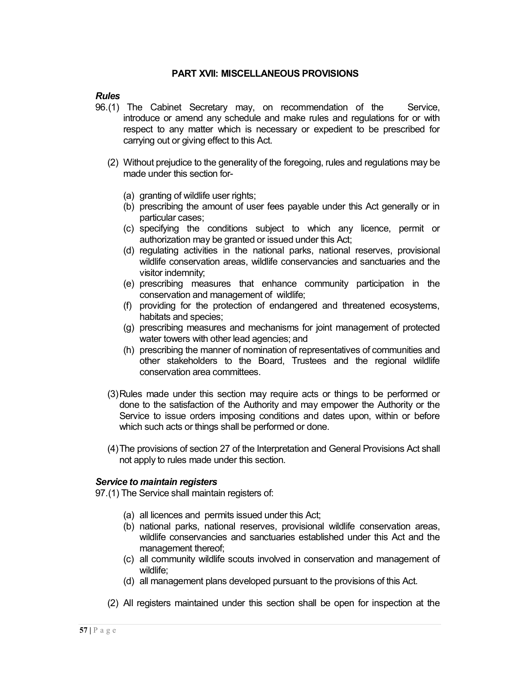#### **PART XVII: MISCELLANEOUS PROVISIONS**

#### *Rules*

- 96.(1) The Cabinet Secretary may, on recommendation of the Service, introduce or amend any schedule and make rules and regulations for or with respect to any matter which is necessary or expedient to be prescribed for carrying out or giving effect to this Act.
	- (2) Without prejudice to the generality of the foregoing, rules and regulations may be made under this section for-
		- (a) granting of wildlife user rights;
		- (b) prescribing the amount of user fees payable under this Act generally or in particular cases;
		- (c) specifying the conditions subject to which any licence, permit or authorization may be granted or issued under this Act;
		- (d) regulating activities in the national parks, national reserves, provisional wildlife conservation areas, wildlife conservancies and sanctuaries and the visitor indemnity;
		- (e) prescribing measures that enhance community participation in the conservation and management of wildlife;
		- (f) providing for the protection of endangered and threatened ecosystems, habitats and species;
		- (g) prescribing measures and mechanisms for joint management of protected water towers with other lead agencies; and
		- (h) prescribing the manner of nomination of representatives of communities and other stakeholders to the Board, Trustees and the regional wildlife conservation area committees.
	- (3)Rules made under this section may require acts or things to be performed or done to the satisfaction of the Authority and may empower the Authority or the Service to issue orders imposing conditions and dates upon, within or before which such acts or things shall be performed or done.
	- (4)The provisions of section 27 of the Interpretation and General Provisions Act shall not apply to rules made under this section.

#### *Service to maintain registers*

97.(1) The Service shall maintain registers of:

- (a) all licences and permits issued under this Act;
- (b) national parks, national reserves, provisional wildlife conservation areas, wildlife conservancies and sanctuaries established under this Act and the management thereof;
- (c) all community wildlife scouts involved in conservation and management of wildlife;
- (d) all management plans developed pursuant to the provisions of this Act.
- (2) All registers maintained under this section shall be open for inspection at the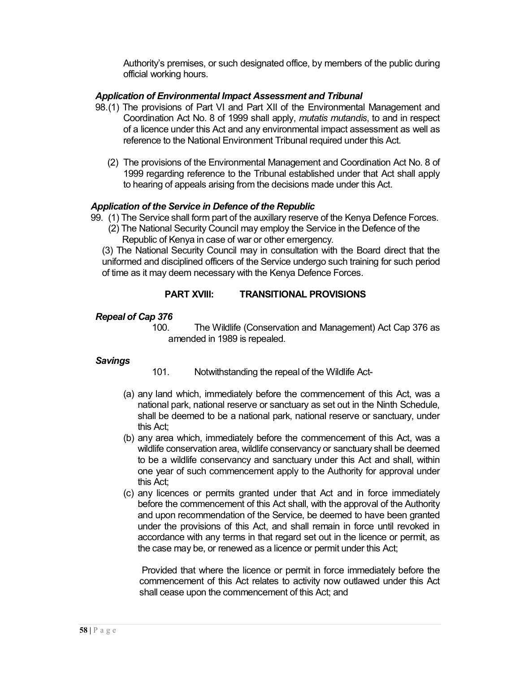Authority's premises, or such designated office, by members of the public during official working hours.

## *Application of Environmental Impact Assessment and Tribunal*

- 98.(1) The provisions of Part VI and Part XII of the Environmental Management and Coordination Act No. 8 of 1999 shall apply, *mutatis mutandis*, to and in respect of a licence under this Act and any environmental impact assessment as well as reference to the National Environment Tribunal required under this Act.
	- (2) The provisions of the Environmental Management and Coordination Act No. 8 of 1999 regarding reference to the Tribunal established under that Act shall apply to hearing of appeals arising from the decisions made under this Act.

#### *Application of the Service in Defence of the Republic*

- 99. (1) The Service shall form part of the auxillary reserve of the Kenya Defence Forces.
	- (2) The National Security Council may employ the Service in the Defence of the Republic of Kenya in case of war or other emergency.

(3) The National Security Council may in consultation with the Board direct that the uniformed and disciplined officers of the Service undergo such training for such period of time as it may deem necessary with the Kenya Defence Forces.

## **PART XVIII: TRANSITIONAL PROVISIONS**

#### *Repeal of Cap 376*

100. The Wildlife (Conservation and Management) Act Cap 376 as amended in 1989 is repealed.

#### *Savings*

- 101. Notwithstanding the repeal of the Wildlife Act-
- (a) any land which, immediately before the commencement of this Act, was a national park, national reserve or sanctuary as set out in the Ninth Schedule, shall be deemed to be a national park, national reserve or sanctuary, under this Act;
- (b) any area which, immediately before the commencement of this Act, was a wildlife conservation area, wildlife conservancy or sanctuary shall be deemed to be a wildlife conservancy and sanctuary under this Act and shall, within one year of such commencement apply to the Authority for approval under this Act;
- (c) any licences or permits granted under that Act and in force immediately before the commencement of this Act shall, with the approval of the Authority and upon recommendation of the Service, be deemed to have been granted under the provisions of this Act, and shall remain in force until revoked in accordance with any terms in that regard set out in the licence or permit, as the case may be, or renewed as a licence or permit under this Act;

Provided that where the licence or permit in force immediately before the commencement of this Act relates to activity now outlawed under this Act shall cease upon the commencement of this Act; and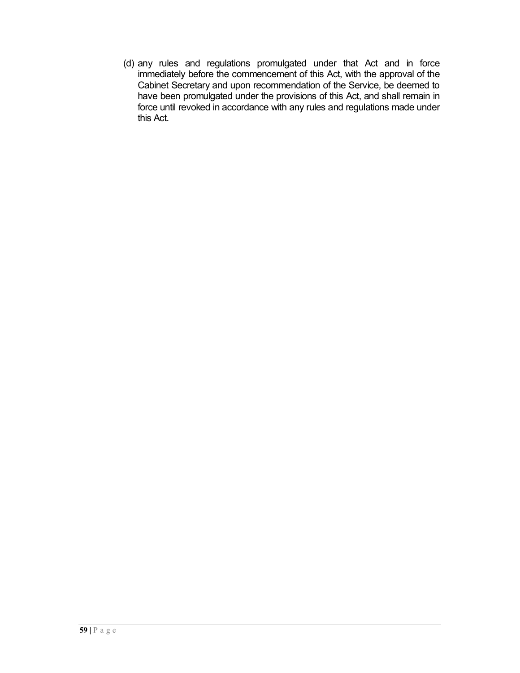(d) any rules and regulations promulgated under that Act and in force immediately before the commencement of this Act, with the approval of the Cabinet Secretary and upon recommendation of the Service, be deemed to have been promulgated under the provisions of this Act, and shall remain in force until revoked in accordance with any rules and regulations made under this Act.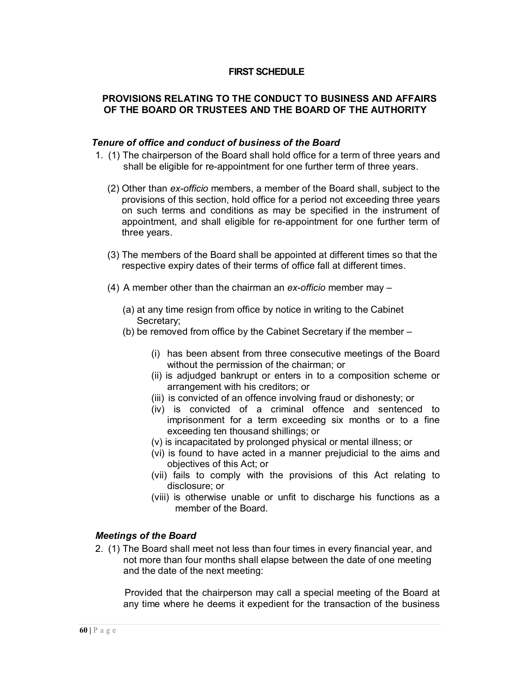## **FIRST SCHEDULE**

## **PROVISIONS RELATING TO THE CONDUCT TO BUSINESS AND AFFAIRS OF THE BOARD OR TRUSTEES AND THE BOARD OF THE AUTHORITY**

#### *Tenure of office and conduct of business of the Board*

- 1. (1) The chairperson of the Board shall hold office for a term of three years and shall be eligible for re-appointment for one further term of three years.
	- (2) Other than *ex-officio* members, a member of the Board shall, subject to the provisions of this section, hold office for a period not exceeding three years on such terms and conditions as may be specified in the instrument of appointment, and shall eligible for re-appointment for one further term of three years.
	- (3) The members of the Board shall be appointed at different times so that the respective expiry dates of their terms of office fall at different times.
	- (4) A member other than the chairman an *ex-officio* member may
		- (a) at any time resign from office by notice in writing to the Cabinet Secretary;
		- (b) be removed from office by the Cabinet Secretary if the member
			- (i) has been absent from three consecutive meetings of the Board without the permission of the chairman; or
			- (ii) is adjudged bankrupt or enters in to a composition scheme or arrangement with his creditors; or
			- (iii) is convicted of an offence involving fraud or dishonesty; or
			- (iv) is convicted of a criminal offence and sentenced to imprisonment for a term exceeding six months or to a fine exceeding ten thousand shillings; or
			- (v) is incapacitated by prolonged physical or mental illness; or
			- (vi) is found to have acted in a manner prejudicial to the aims and objectives of this Act; or
			- (vii) fails to comply with the provisions of this Act relating to disclosure; or
			- (viii) is otherwise unable or unfit to discharge his functions as a member of the Board.

## *Meetings of the Board*

2. (1) The Board shall meet not less than four times in every financial year, and not more than four months shall elapse between the date of one meeting and the date of the next meeting:

Provided that the chairperson may call a special meeting of the Board at any time where he deems it expedient for the transaction of the business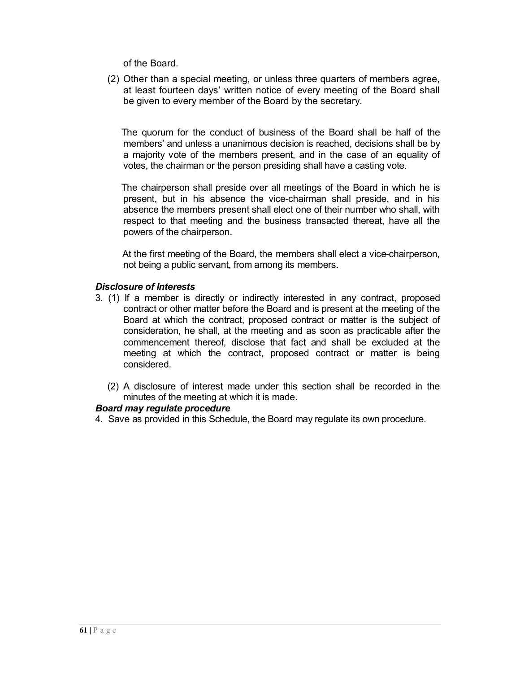of the Board.

(2) Other than a special meeting, or unless three quarters of members agree, at least fourteen days' written notice of every meeting of the Board shall be given to every member of the Board by the secretary.

 The quorum for the conduct of business of the Board shall be half of the members' and unless a unanimous decision is reached, decisions shall be by a majority vote of the members present, and in the case of an equality of votes, the chairman or the person presiding shall have a casting vote.

 The chairperson shall preside over all meetings of the Board in which he is present, but in his absence the vice-chairman shall preside, and in his absence the members present shall elect one of their number who shall, with respect to that meeting and the business transacted thereat, have all the powers of the chairperson.

 At the first meeting of the Board, the members shall elect a vice-chairperson, not being a public servant, from among its members.

#### *Disclosure of Interests*

- 3. (1) If a member is directly or indirectly interested in any contract, proposed contract or other matter before the Board and is present at the meeting of the Board at which the contract, proposed contract or matter is the subject of consideration, he shall, at the meeting and as soon as practicable after the commencement thereof, disclose that fact and shall be excluded at the meeting at which the contract, proposed contract or matter is being considered.
	- (2) A disclosure of interest made under this section shall be recorded in the minutes of the meeting at which it is made.

#### *Board may regulate procedure*

4. Save as provided in this Schedule, the Board may regulate its own procedure.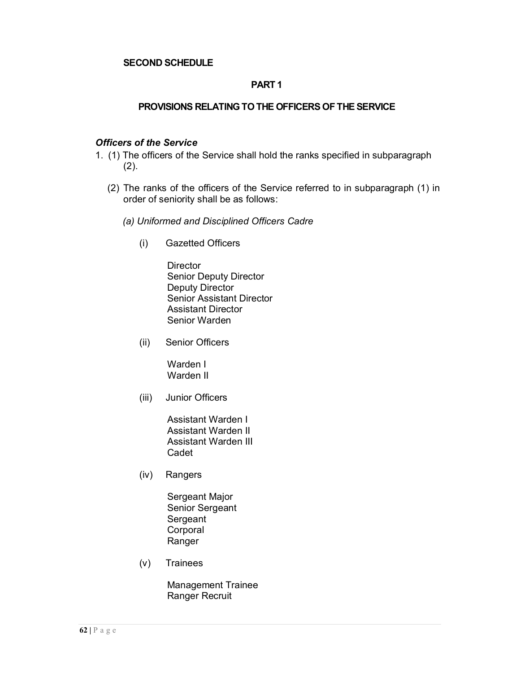## **SECOND SCHEDULE**

## **PART 1**

#### **PROVISIONS RELATING TO THE OFFICERS OF THE SERVICE**

#### *Officers of the Service*

- 1. (1) The officers of the Service shall hold the ranks specified in subparagraph  $(2)$ .
	- (2) The ranks of the officers of the Service referred to in subparagraph (1) in order of seniority shall be as follows:
		- *(a) Uniformed and Disciplined Officers Cadre*
			- (i) Gazetted Officers

**Director** Senior Deputy Director Deputy Director Senior Assistant Director Assistant Director Senior Warden

(ii) Senior Officers

Warden I Warden II

(iii) Junior Officers

Assistant Warden I Assistant Warden II Assistant Warden III Cadet

(iv) Rangers

Sergeant Major Senior Sergeant **Sergeant** Corporal Ranger

(v) Trainees

Management Trainee Ranger Recruit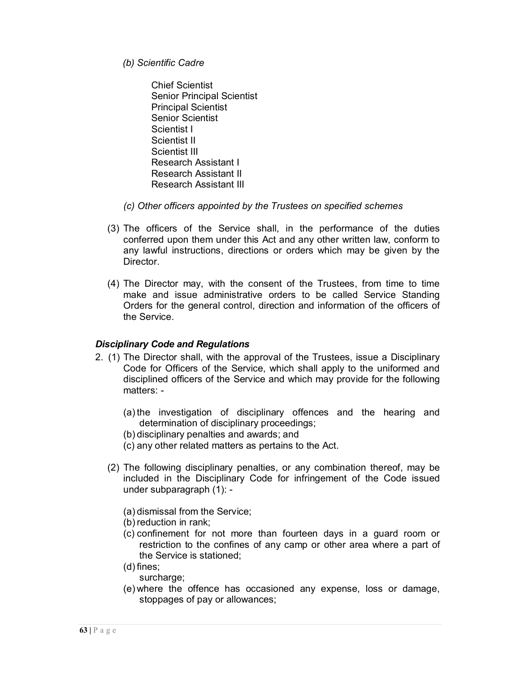- *(b) Scientific Cadre*
	- Chief Scientist Senior Principal Scientist Principal Scientist Senior Scientist Scientist I Scientist II Scientist III Research Assistant I Research Assistant II Research Assistant III
- *(c) Other officers appointed by the Trustees on specified schemes*
- (3) The officers of the Service shall, in the performance of the duties conferred upon them under this Act and any other written law, conform to any lawful instructions, directions or orders which may be given by the Director.
- (4) The Director may, with the consent of the Trustees, from time to time make and issue administrative orders to be called Service Standing Orders for the general control, direction and information of the officers of the Service.

#### *Disciplinary Code and Regulations*

- 2. (1) The Director shall, with the approval of the Trustees, issue a Disciplinary Code for Officers of the Service, which shall apply to the uniformed and disciplined officers of the Service and which may provide for the following matters: -
	- (a) the investigation of disciplinary offences and the hearing and determination of disciplinary proceedings;
	- (b) disciplinary penalties and awards; and
	- (c) any other related matters as pertains to the Act.
	- (2) The following disciplinary penalties, or any combination thereof, may be included in the Disciplinary Code for infringement of the Code issued under subparagraph (1): -
		- (a) dismissal from the Service;
		- (b) reduction in rank;
		- (c) confinement for not more than fourteen days in a guard room or restriction to the confines of any camp or other area where a part of the Service is stationed;
		- (d) fines;
			- surcharge;
		- (e) where the offence has occasioned any expense, loss or damage, stoppages of pay or allowances;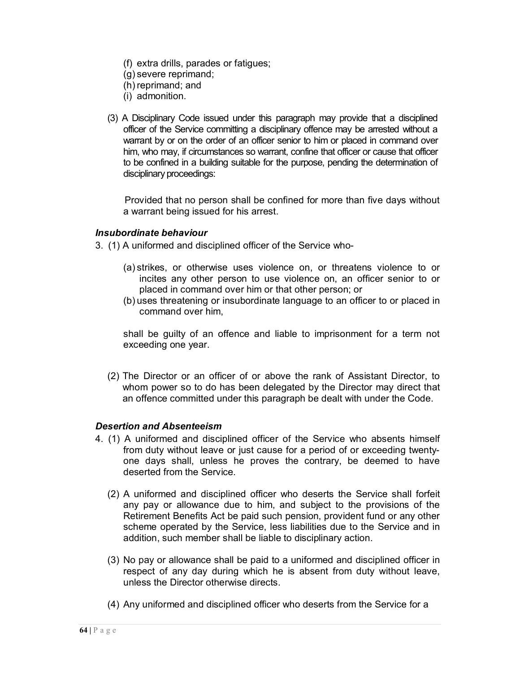- (f) extra drills, parades or fatigues;
- (g) severe reprimand;
- (h) reprimand; and
- (i) admonition.
- (3) A Disciplinary Code issued under this paragraph may provide that a disciplined officer of the Service committing a disciplinary offence may be arrested without a warrant by or on the order of an officer senior to him or placed in command over him, who may, if circumstances so warrant, confine that officer or cause that officer to be confined in a building suitable for the purpose, pending the determination of disciplinary proceedings:

Provided that no person shall be confined for more than five days without a warrant being issued for his arrest.

#### *Insubordinate behaviour*

- 3. (1) A uniformed and disciplined officer of the Service who-
	- (a) strikes, or otherwise uses violence on, or threatens violence to or incites any other person to use violence on, an officer senior to or placed in command over him or that other person; or
	- (b) uses threatening or insubordinate language to an officer to or placed in command over him,

shall be guilty of an offence and liable to imprisonment for a term not exceeding one year.

(2) The Director or an officer of or above the rank of Assistant Director, to whom power so to do has been delegated by the Director may direct that an offence committed under this paragraph be dealt with under the Code.

#### *Desertion and Absenteeism*

- 4. (1) A uniformed and disciplined officer of the Service who absents himself from duty without leave or just cause for a period of or exceeding twentyone days shall, unless he proves the contrary, be deemed to have deserted from the Service.
	- (2) A uniformed and disciplined officer who deserts the Service shall forfeit any pay or allowance due to him, and subject to the provisions of the Retirement Benefits Act be paid such pension, provident fund or any other scheme operated by the Service, less liabilities due to the Service and in addition, such member shall be liable to disciplinary action.
	- (3) No pay or allowance shall be paid to a uniformed and disciplined officer in respect of any day during which he is absent from duty without leave, unless the Director otherwise directs.
	- (4) Any uniformed and disciplined officer who deserts from the Service for a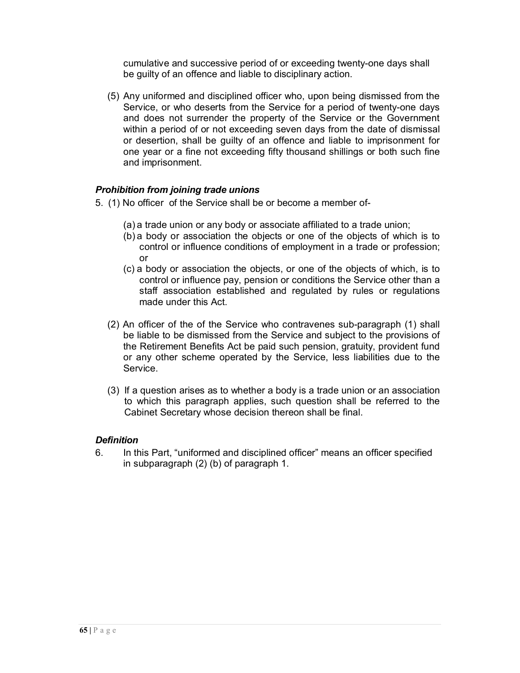cumulative and successive period of or exceeding twenty-one days shall be guilty of an offence and liable to disciplinary action.

(5) Any uniformed and disciplined officer who, upon being dismissed from the Service, or who deserts from the Service for a period of twenty-one days and does not surrender the property of the Service or the Government within a period of or not exceeding seven days from the date of dismissal or desertion, shall be guilty of an offence and liable to imprisonment for one year or a fine not exceeding fifty thousand shillings or both such fine and imprisonment.

## *Prohibition from joining trade unions*

- 5. (1) No officer of the Service shall be or become a member of-
	- (a) a trade union or any body or associate affiliated to a trade union;
	- (b) a body or association the objects or one of the objects of which is to control or influence conditions of employment in a trade or profession; or
	- (c) a body or association the objects, or one of the objects of which, is to control or influence pay, pension or conditions the Service other than a staff association established and regulated by rules or regulations made under this Act.
	- (2) An officer of the of the Service who contravenes sub-paragraph (1) shall be liable to be dismissed from the Service and subject to the provisions of the Retirement Benefits Act be paid such pension, gratuity, provident fund or any other scheme operated by the Service, less liabilities due to the Service.
	- (3) If a question arises as to whether a body is a trade union or an association to which this paragraph applies, such question shall be referred to the Cabinet Secretary whose decision thereon shall be final.

## *Definition*

6. In this Part, "uniformed and disciplined officer" means an officer specified in subparagraph (2) (b) of paragraph 1.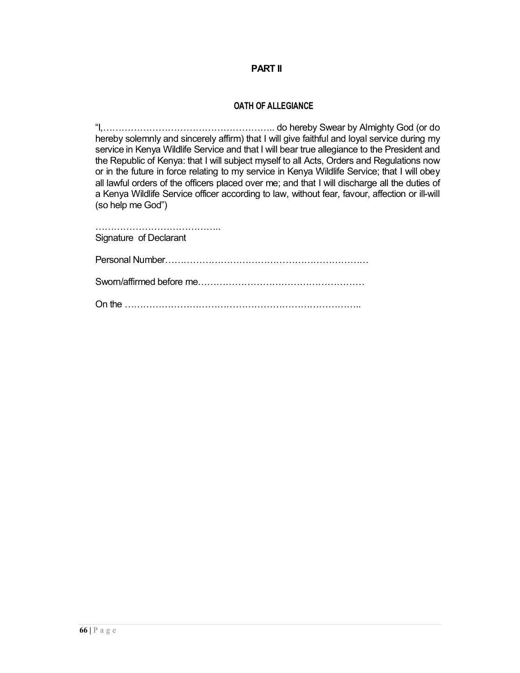#### **PART II**

#### **OATH OF ALLEGIANCE**

"I,……………………………………………….. do hereby Swear by Almighty God (or do hereby solemnly and sincerely affirm) that I will give faithful and loyal service during my service in Kenya Wildlife Service and that I will bear true allegiance to the President and the Republic of Kenya: that I will subject myself to all Acts, Orders and Regulations now or in the future in force relating to my service in Kenya Wildlife Service; that I will obey all lawful orders of the officers placed over me; and that I will discharge all the duties of a Kenya Wildlife Service officer according to law, without fear, favour, affection or ill-will (so help me God")

………………………………………… Signature of Declarant Personal Number………………………………………………………… Sworn/affirmed before me……………………………………………… On the …………………………………………………………………..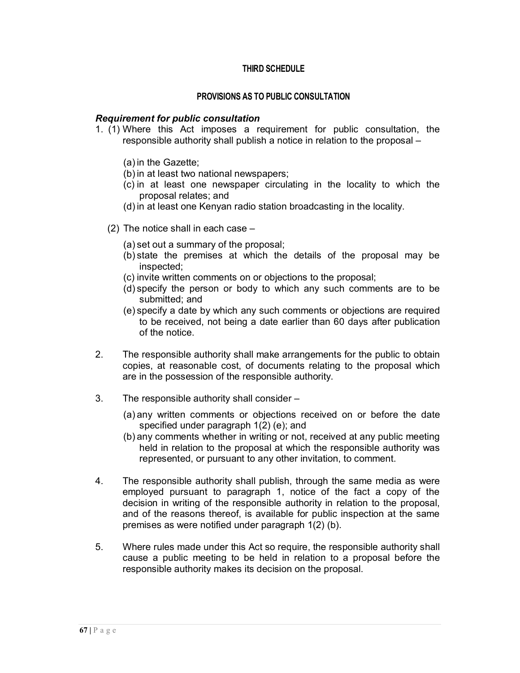## **THIRD SCHEDULE**

#### **PROVISIONS AS TO PUBLIC CONSULTATION**

#### *Requirement for public consultation*

- 1. (1) Where this Act imposes a requirement for public consultation, the responsible authority shall publish a notice in relation to the proposal –
	- (a) in the Gazette;
	- (b) in at least two national newspapers;
	- (c) in at least one newspaper circulating in the locality to which the proposal relates; and
	- (d) in at least one Kenyan radio station broadcasting in the locality.
	- (2) The notice shall in each case
		- (a) set out a summary of the proposal;
		- (b) state the premises at which the details of the proposal may be inspected;
		- (c) invite written comments on or objections to the proposal;
		- (d) specify the person or body to which any such comments are to be submitted; and
		- (e) specify a date by which any such comments or objections are required to be received, not being a date earlier than 60 days after publication of the notice.
- 2. The responsible authority shall make arrangements for the public to obtain copies, at reasonable cost, of documents relating to the proposal which are in the possession of the responsible authority.
- 3. The responsible authority shall consider
	- (a) any written comments or objections received on or before the date specified under paragraph 1(2) (e); and
	- (b) any comments whether in writing or not, received at any public meeting held in relation to the proposal at which the responsible authority was represented, or pursuant to any other invitation, to comment.
- 4. The responsible authority shall publish, through the same media as were employed pursuant to paragraph 1, notice of the fact a copy of the decision in writing of the responsible authority in relation to the proposal, and of the reasons thereof, is available for public inspection at the same premises as were notified under paragraph 1(2) (b).
- 5. Where rules made under this Act so require, the responsible authority shall cause a public meeting to be held in relation to a proposal before the responsible authority makes its decision on the proposal.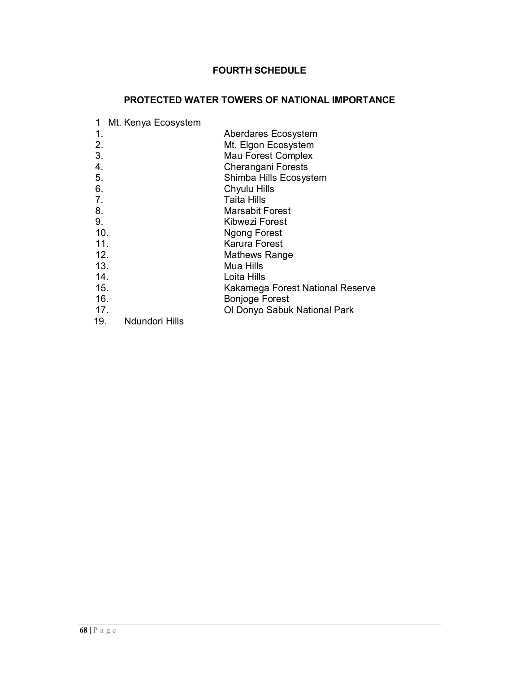## **FOURTH SCHEDULE**

# **PROTECTED WATER TOWERS OF NATIONAL IMPORTANCE**

| 1               | Mt. Kenya Ecosystem |                                  |
|-----------------|---------------------|----------------------------------|
| 1.              |                     | Aberdares Ecosystem              |
| 2.              |                     | Mt. Elgon Ecosystem              |
| 3.              |                     | Mau Forest Complex               |
| 4.              |                     | <b>Cherangani Forests</b>        |
| 5.              |                     | Shimba Hills Ecosystem           |
| 6.              |                     | Chyulu Hills                     |
| 7.              |                     | Taita Hills                      |
| 8.              |                     | <b>Marsabit Forest</b>           |
| 9.              |                     | Kibwezi Forest                   |
| 10.             |                     | <b>Ngong Forest</b>              |
| 11.             |                     | Karura Forest                    |
| 12.             |                     | Mathews Range                    |
| 13.             |                     | Mua Hills                        |
| 14 <sub>1</sub> |                     | Loita Hills                      |
| 15.             |                     | Kakamega Forest National Reserve |
| 16.             |                     | <b>Bonjoge Forest</b>            |
| 17 <sub>1</sub> |                     | Ol Donyo Sabuk National Park     |
| 19.             | Ndundori Hills      |                                  |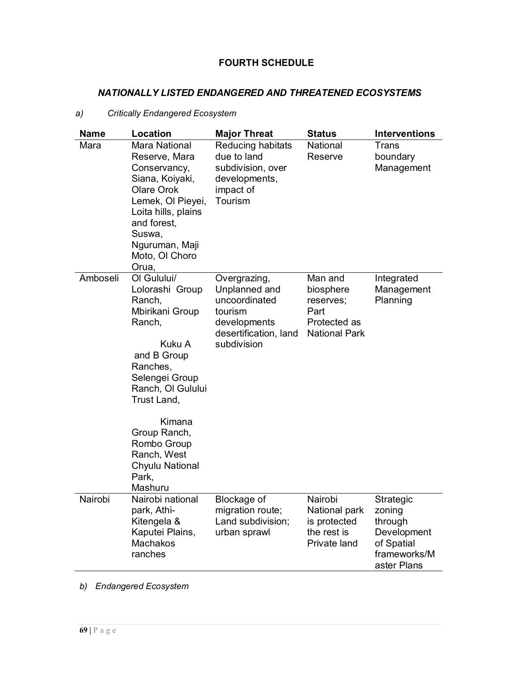# **FOURTH SCHEDULE**

## *NATIONALLY LISTED ENDANGERED AND THREATENED ECOSYSTEMS*

## *a) Critically Endangered Ecosystem*

| <b>Name</b> | <b>Location</b>                                                                                                                                                                                                                                                 | <b>Major Threat</b>                                                                                               | <b>Status</b>                                                                     | <b>Interventions</b>                                                                       |
|-------------|-----------------------------------------------------------------------------------------------------------------------------------------------------------------------------------------------------------------------------------------------------------------|-------------------------------------------------------------------------------------------------------------------|-----------------------------------------------------------------------------------|--------------------------------------------------------------------------------------------|
| Mara        | <b>Mara National</b><br>Reserve, Mara<br>Conservancy,<br>Siana, Koiyaki,<br>Olare Orok<br>Lemek, OI Pieyei,<br>Loita hills, plains<br>and forest,<br>Suswa,<br>Nguruman, Maji<br>Moto, OI Choro<br>Orua,                                                        | Reducing habitats<br>due to land<br>subdivision, over<br>developments,<br>impact of<br>Tourism                    | National<br>Reserve                                                               | <b>Trans</b><br>boundary<br>Management                                                     |
| Amboseli    | OI Gulului/<br>Lolorashi Group<br>Ranch,<br>Mbirikani Group<br>Ranch,<br>Kuku A<br>and B Group<br>Ranches,<br>Selengei Group<br>Ranch, OI Gulului<br>Trust Land,<br>Kimana<br>Group Ranch,<br>Rombo Group<br>Ranch, West<br>Chyulu National<br>Park,<br>Mashuru | Overgrazing,<br>Unplanned and<br>uncoordinated<br>tourism<br>developments<br>desertification, land<br>subdivision | Man and<br>biosphere<br>reserves;<br>Part<br>Protected as<br><b>National Park</b> | Integrated<br>Management<br>Planning                                                       |
| Nairobi     | Nairobi national<br>park, Athi-<br>Kitengela &<br>Kaputei Plains,<br><b>Machakos</b><br>ranches                                                                                                                                                                 | Blockage of<br>migration route;<br>Land subdivision;<br>urban sprawl                                              | Nairobi<br>National park<br>is protected<br>the rest is<br>Private land           | Strategic<br>zoning<br>through<br>Development<br>of Spatial<br>frameworks/M<br>aster Plans |

*b) Endangered Ecosystem*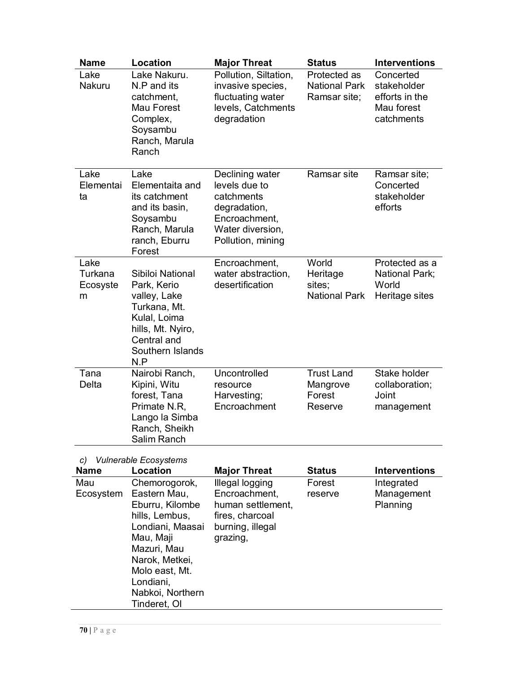| <b>Name</b>                                                                                                                   | Location                                                                                                                                                                                                | <b>Major Threat</b>                                                                                                      | <b>Status</b>                                        | <b>Interventions</b>                                                   |
|-------------------------------------------------------------------------------------------------------------------------------|---------------------------------------------------------------------------------------------------------------------------------------------------------------------------------------------------------|--------------------------------------------------------------------------------------------------------------------------|------------------------------------------------------|------------------------------------------------------------------------|
| Lake<br>Nakuru                                                                                                                | Lake Nakuru.<br>N.P and its<br>catchment,<br>Mau Forest<br>Complex,<br>Soysambu<br>Ranch, Marula<br>Ranch                                                                                               | Pollution, Siltation,<br>invasive species,<br>fluctuating water<br>levels, Catchments<br>degradation                     | Protected as<br><b>National Park</b><br>Ramsar site; | Concerted<br>stakeholder<br>efforts in the<br>Mau forest<br>catchments |
| Lake<br>Elementai<br>ta                                                                                                       | Lake<br>Elementaita and<br>its catchment<br>and its basin,<br>Soysambu<br>Ranch, Marula<br>ranch, Eburru<br>Forest                                                                                      | Declining water<br>levels due to<br>catchments<br>degradation,<br>Encroachment,<br>Water diversion,<br>Pollution, mining | Ramsar site                                          | Ramsar site;<br>Concerted<br>stakeholder<br>efforts                    |
| Lake<br>Turkana<br>Ecosyste<br>m                                                                                              | Sibiloi National<br>Park, Kerio<br>valley, Lake<br>Turkana, Mt.<br>Kulal, Loima<br>hills, Mt. Nyiro,<br>Central and<br>Southern Islands<br>N.P                                                          | Encroachment,<br>water abstraction,<br>desertification                                                                   | World<br>Heritage<br>sites:<br><b>National Park</b>  | Protected as a<br>National Park;<br>World<br>Heritage sites            |
| Tana<br>Delta                                                                                                                 | Nairobi Ranch,<br>Kipini, Witu<br>forest, Tana<br>Primate N.R,<br>Lango la Simba<br>Ranch, Sheikh<br>Salim Ranch                                                                                        | Uncontrolled<br>resource<br>Harvesting;<br>Encroachment                                                                  | <b>Trust Land</b><br>Mangrove<br>Forest<br>Reserve   | Stake holder<br>collaboration;<br>Joint<br>management                  |
| <b>Vulnerable Ecosystems</b><br>C)<br>Location<br><b>Interventions</b><br><b>Name</b><br><b>Major Threat</b><br><b>Status</b> |                                                                                                                                                                                                         |                                                                                                                          |                                                      |                                                                        |
| Mau<br>Ecosystem                                                                                                              | Chemorogorok,<br>Eastern Mau,<br>Eburru, Kilombe<br>hills, Lembus,<br>Londiani, Maasai<br>Mau, Maji<br>Mazuri, Mau<br>Narok, Metkei,<br>Molo east, Mt.<br>Londiani,<br>Nabkoi, Northern<br>Tinderet, OI | Illegal logging<br>Encroachment,<br>human settlement.<br>fires, charcoal<br>burning, illegal<br>grazing,                 | Forest<br>reserve                                    | Integrated<br>Management<br>Planning                                   |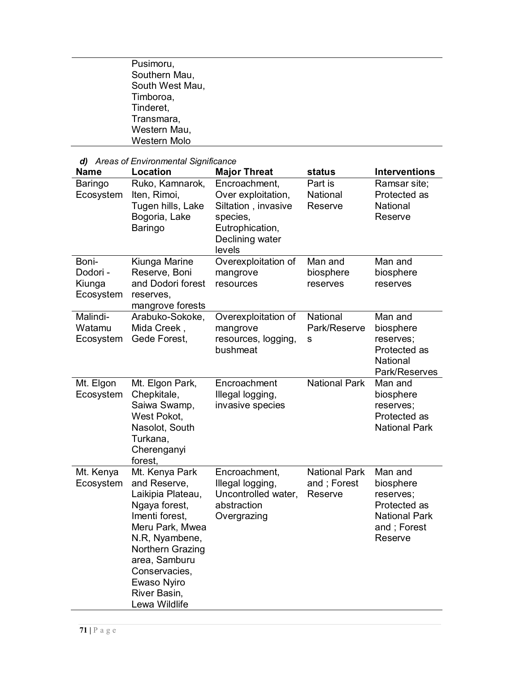| Pusimoru,       |  |
|-----------------|--|
| Southern Mau,   |  |
| South West Mau, |  |
| Timboroa,       |  |
| Tinderet,       |  |
| Transmara,      |  |
| Western Mau,    |  |
| Western Molo    |  |
|                 |  |

| d) Areas of Environmental Significance   |                                                                                                                                                                                                                                   |                                                                                                                        |                                                |                                                                                                     |  |
|------------------------------------------|-----------------------------------------------------------------------------------------------------------------------------------------------------------------------------------------------------------------------------------|------------------------------------------------------------------------------------------------------------------------|------------------------------------------------|-----------------------------------------------------------------------------------------------------|--|
| <b>Name</b>                              | Location                                                                                                                                                                                                                          | <b>Major Threat</b>                                                                                                    | status                                         | <b>Interventions</b>                                                                                |  |
| Baringo<br>Ecosystem                     | Ruko, Kamnarok,<br>Iten, Rimoi,<br>Tugen hills, Lake<br>Bogoria, Lake<br>Baringo                                                                                                                                                  | Encroachment,<br>Over exploitation,<br>Siltation, invasive<br>species,<br>Eutrophication,<br>Declining water<br>levels | Part is<br>National<br>Reserve                 | Ramsar site;<br>Protected as<br>National<br>Reserve                                                 |  |
| Boni-<br>Dodori -<br>Kiunga<br>Ecosystem | Kiunga Marine<br>Reserve, Boni<br>and Dodori forest<br>reserves,<br>mangrove forests                                                                                                                                              | Overexploitation of<br>mangrove<br>resources                                                                           | Man and<br>biosphere<br>reserves               | Man and<br>biosphere<br>reserves                                                                    |  |
| Malindi-<br>Watamu<br>Ecosystem          | Arabuko-Sokoke,<br>Mida Creek,<br>Gede Forest,                                                                                                                                                                                    | Overexploitation of<br>mangrove<br>resources, logging,<br>bushmeat                                                     | National<br>Park/Reserve<br>${\bf S}$          | Man and<br>biosphere<br>reserves;<br>Protected as<br>National<br>Park/Reserves                      |  |
| Mt. Elgon<br>Ecosystem                   | Mt. Elgon Park,<br>Chepkitale,<br>Saiwa Swamp,<br>West Pokot,<br>Nasolot, South<br>Turkana,<br>Cherenganyi<br>forest,                                                                                                             | Encroachment<br>Illegal logging,<br>invasive species                                                                   | <b>National Park</b>                           | Man and<br>biosphere<br>reserves;<br>Protected as<br><b>National Park</b>                           |  |
| Mt. Kenya<br>Ecosystem                   | Mt. Kenya Park<br>and Reserve,<br>Laikipia Plateau,<br>Ngaya forest,<br>Imenti forest.<br>Meru Park, Mwea<br>N.R, Nyambene,<br>Northern Grazing<br>area, Samburu<br>Conservacies,<br>Ewaso Nyiro<br>River Basin,<br>Lewa Wildlife | Encroachment,<br>Illegal logging,<br>Uncontrolled water,<br>abstraction<br>Overgrazing                                 | <b>National Park</b><br>and; Forest<br>Reserve | Man and<br>biosphere<br>reserves;<br>Protected as<br><b>National Park</b><br>and; Forest<br>Reserve |  |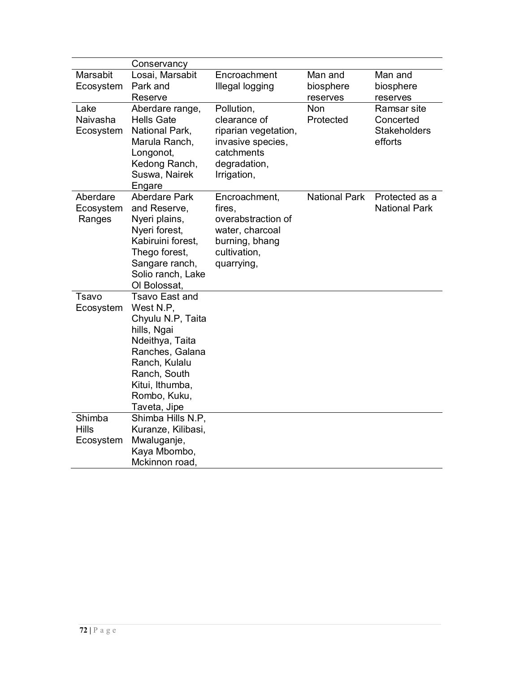|                                     | Conservancy                                                                                                                                                                                      |                                                                                                                      |                                  |                                                            |
|-------------------------------------|--------------------------------------------------------------------------------------------------------------------------------------------------------------------------------------------------|----------------------------------------------------------------------------------------------------------------------|----------------------------------|------------------------------------------------------------|
| <b>Marsabit</b><br>Ecosystem        | Losai, Marsabit<br>Park and<br>Reserve                                                                                                                                                           | Encroachment<br>Illegal logging                                                                                      | Man and<br>biosphere<br>reserves | Man and<br>biosphere<br>reserves                           |
| Lake<br>Naivasha<br>Ecosystem       | Aberdare range,<br><b>Hells Gate</b><br>National Park,<br>Marula Ranch,<br>Longonot,<br>Kedong Ranch,<br>Suswa, Nairek<br>Engare                                                                 | Pollution,<br>clearance of<br>riparian vegetation,<br>invasive species,<br>catchments<br>degradation,<br>Irrigation, | <b>Non</b><br>Protected          | Ramsar site<br>Concerted<br><b>Stakeholders</b><br>efforts |
| Aberdare<br>Ecosystem<br>Ranges     | <b>Aberdare Park</b><br>and Reserve,<br>Nyeri plains,<br>Nyeri forest,<br>Kabiruini forest,<br>Thego forest,<br>Sangare ranch,<br>Solio ranch, Lake<br>OI Bolossat,                              | Encroachment,<br>fires,<br>overabstraction of<br>water, charcoal<br>burning, bhang<br>cultivation,<br>quarrying,     | <b>National Park</b>             | Protected as a<br><b>National Park</b>                     |
| Tsavo<br>Ecosystem                  | <b>Tsavo East and</b><br>West N.P,<br>Chyulu N.P, Taita<br>hills, Ngai<br>Ndeithya, Taita<br>Ranches, Galana<br>Ranch, Kulalu<br>Ranch, South<br>Kitui, Ithumba,<br>Rombo, Kuku,<br>Taveta, Jipe |                                                                                                                      |                                  |                                                            |
| Shimba<br><b>Hills</b><br>Ecosystem | Shimba Hills N.P.<br>Kuranze, Kilibasi,<br>Mwaluganje,<br>Kaya Mbombo,<br>Mckinnon road,                                                                                                         |                                                                                                                      |                                  |                                                            |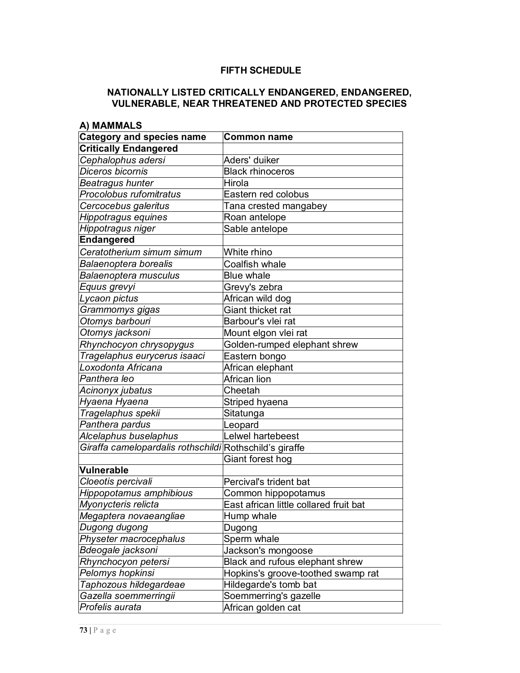## **FIFTH SCHEDULE**

# **NATIONALLY LISTED CRITICALLY ENDANGERED, ENDANGERED, VULNERABLE, NEAR THREATENED AND PROTECTED SPECIES**

| A) MAMMALS                                              |                                        |
|---------------------------------------------------------|----------------------------------------|
| <b>Category and species name</b>                        | <b>Common name</b>                     |
| <b>Critically Endangered</b>                            |                                        |
| Cephalophus adersi                                      | Aders' duiker                          |
| Diceros bicornis                                        | <b>Black rhinoceros</b>                |
| <b>Beatragus hunter</b>                                 | Hirola                                 |
| Procolobus rufomitratus                                 | Eastern red colobus                    |
| Cercocebus galeritus                                    | Tana crested mangabey                  |
| Hippotragus equines                                     | Roan antelope                          |
| Hippotragus niger                                       | Sable antelope                         |
| Endangered                                              |                                        |
| Ceratotherium simum simum                               | White rhino                            |
| <b>Balaenoptera borealis</b>                            | Coalfish whale                         |
| Balaenoptera musculus                                   | <b>Blue whale</b>                      |
| Equus grevyi                                            | Grevy's zebra                          |
| Lycaon pictus                                           | African wild dog                       |
| Grammomys gigas                                         | Giant thicket rat                      |
| Otomys barbouri                                         | Barbour's vlei rat                     |
| Otomys jacksoni                                         | Mount elgon vlei rat                   |
| Rhynchocyon chrysopygus                                 | Golden-rumped elephant shrew           |
| Tragelaphus eurycerus isaaci                            | Eastern bongo                          |
| Loxodonta Africana                                      | African elephant                       |
| Panthera leo                                            | African lion                           |
| Acinonyx jubatus                                        | Cheetah                                |
| Hyaena Hyaena                                           | Striped hyaena                         |
| Tragelaphus spekii                                      | Sitatunga                              |
| Panthera pardus                                         | Leopard                                |
| Alcelaphus buselaphus                                   | Lelwel hartebeest                      |
| Giraffa camelopardalis rothschildi Rothschild's giraffe |                                        |
|                                                         | Giant forest hog                       |
| Vulnerable                                              |                                        |
| Cloeotis percivali                                      | Percival's trident bat                 |
| Hippopotamus amphibious                                 | Common hippopotamus                    |
| Myonycteris relicta                                     | East african little collared fruit bat |
| Megaptera novaeangliae                                  | Hump whale                             |
| Dugong dugong                                           | Dugong                                 |
| Physeter macrocephalus                                  | Sperm whale                            |
| Bdeogale jacksoni                                       | Jackson's mongoose                     |
| Rhynchocyon petersi                                     | Black and rufous elephant shrew        |
| Pelomys hopkinsi                                        | Hopkins's groove-toothed swamp rat     |
| Taphozous hildegardeae                                  | Hildegarde's tomb bat                  |
| Gazella soemmerringii                                   | Soemmerring's gazelle                  |
| Profelis aurata                                         | African golden cat                     |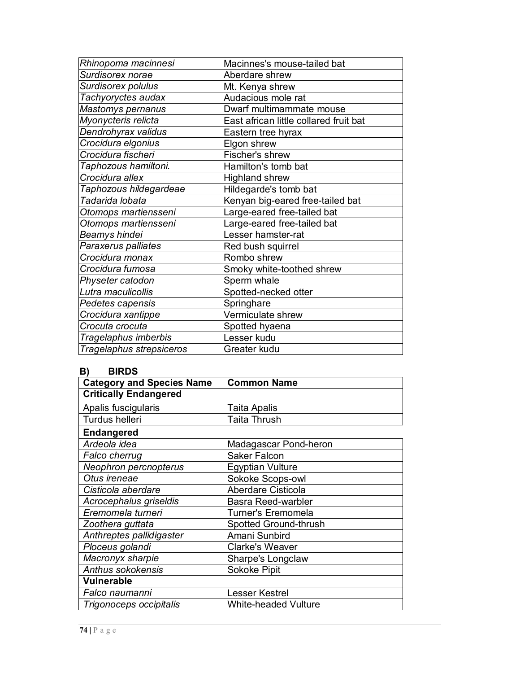| Rhinopoma macinnesi                        | Macinnes's mouse-tailed bat            |
|--------------------------------------------|----------------------------------------|
| Surdisorex norae                           | Aberdare shrew                         |
| Surdisorex polulus                         | Mt. Kenya shrew                        |
| Tachyoryctes audax                         | Audacious mole rat                     |
| Mastomys pernanus                          | Dwarf multimammate mouse               |
| $\overline{\mathit{My}}$ onycteris relicta | East african little collared fruit bat |
| Dendrohyrax validus                        | Eastern tree hyrax                     |
| Crocidura elgonius                         | Elgon shrew                            |
| Crocidura fischeri                         | Fischer's shrew                        |
| Taphozous hamiltoni.                       | Hamilton's tomb bat                    |
| Crocidura allex                            | <b>Highland shrew</b>                  |
| Taphozous hildegardeae                     | Hildegarde's tomb bat                  |
| Tadarida lobata                            | Kenyan big-eared free-tailed bat       |
| Otomops martiensseni                       | Large-eared free-tailed bat            |
| Otomops martiensseni                       | Large-eared free-tailed bat            |
| Beamys hindei                              | Lesser hamster-rat                     |
| Paraxerus palliates                        | Red bush squirrel                      |
| Crocidura monax                            | Rombo shrew                            |
| Crocidura fumosa                           | Smoky white-toothed shrew              |
| Physeter catodon                           | Sperm whale                            |
| Lutra maculicollis                         | Spotted-necked otter                   |
| Pedetes capensis                           | Springhare                             |
| Crocidura xantippe                         | Vermiculate shrew                      |
| Crocuta crocuta                            | Spotted hyaena                         |
| Tragelaphus imberbis                       | Lesser kudu                            |
| Tragelaphus strepsiceros                   | Greater kudu                           |

# **B) BIRDS**

| <b>Category and Species Name</b> | <b>Common Name</b>          |
|----------------------------------|-----------------------------|
| <b>Critically Endangered</b>     |                             |
| Apalis fuscigularis              | Taita Apalis                |
| Turdus helleri                   | <b>Taita Thrush</b>         |
| <b>Endangered</b>                |                             |
| Ardeola idea                     | Madagascar Pond-heron       |
| Falco cherrug                    | <b>Saker Falcon</b>         |
| Neophron percnopterus            | <b>Egyptian Vulture</b>     |
| Otus ireneae                     | Sokoke Scops-owl            |
| Cisticola aberdare               | Aberdare Cisticola          |
| Acrocephalus griseldis           | <b>Basra Reed-warbler</b>   |
| Eremomela turneri                | Turner's Eremomela          |
| Zoothera guttata                 | Spotted Ground-thrush       |
| Anthreptes pallidigaster         | Amani Sunbird               |
| Ploceus golandi                  | <b>Clarke's Weaver</b>      |
| Macronyx sharpie                 | Sharpe's Longclaw           |
| <b>Anthus sokokensis</b>         | Sokoke Pipit                |
| <b>Vulnerable</b>                |                             |
| Falco naumanni                   | <b>Lesser Kestrel</b>       |
| Trigonoceps occipitalis          | <b>White-headed Vulture</b> |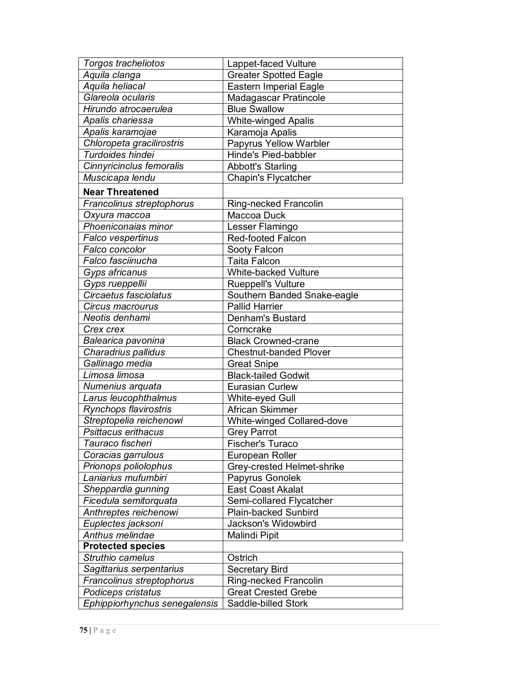| <b>Torgos tracheliotos</b>    | Lappet-faced Vulture              |
|-------------------------------|-----------------------------------|
| Aquila clanga                 | <b>Greater Spotted Eagle</b>      |
| Aquila heliacal               | <b>Eastern Imperial Eagle</b>     |
| Glareola ocularis             | Madagascar Pratincole             |
| Hirundo atrocaerulea          | <b>Blue Swallow</b>               |
| Apalis chariessa              | <b>White-winged Apalis</b>        |
| Apalis karamojae              | Karamoja Apalis                   |
| Chloropeta gracilirostris     | Papyrus Yellow Warbler            |
| Turdoides hindei              | Hinde's Pied-babbler              |
| Cinnyricinclus femoralis      | <b>Abbott's Starling</b>          |
| Muscicapa lendu               | Chapin's Flycatcher               |
| <b>Near Threatened</b>        |                                   |
| Francolinus streptophorus     | Ring-necked Francolin             |
| Oxyura maccoa                 | Maccoa Duck                       |
| Phoeniconaias minor           | Lesser Flamingo                   |
| Falco vespertinus             | <b>Red-footed Falcon</b>          |
| Falco concolor                | Sooty Falcon                      |
| Falco fasciinucha             | <b>Taita Falcon</b>               |
| Gyps africanus                | <b>White-backed Vulture</b>       |
| Gyps rueppellii               | <b>Rueppell's Vulture</b>         |
| Circaetus fasciolatus         | Southern Banded Snake-eagle       |
| Circus macrourus              | <b>Pallid Harrier</b>             |
| Neotis denhami                | Denham's Bustard                  |
| Crex crex                     | Corncrake                         |
| Balearica pavonina            | <b>Black Crowned-crane</b>        |
| Charadrius pallidus           | <b>Chestnut-banded Plover</b>     |
| Gallinago media               | <b>Great Snipe</b>                |
| Limosa limosa                 | <b>Black-tailed Godwit</b>        |
| Numenius arquata              | <b>Eurasian Curlew</b>            |
| Larus leucophthalmus          | White-eyed Gull                   |
| Rynchops flavirostris         | African Skimmer                   |
| Streptopelia reichenowi       | <b>White-winged Collared-dove</b> |
| Psittacus erithacus           | <b>Grey Parrot</b>                |
| Tauraco fischeri              | Fischer's Turaco                  |
| Coracias garrulous            | European Roller                   |
| Prionops poliolophus          | Grey-crested Helmet-shrike        |
| Laniarius mufumbiri           | Papyrus Gonolek                   |
| Sheppardia gunning            | <b>East Coast Akalat</b>          |
| Ficedula semitorquata         | Semi-collared Flycatcher          |
| Anthreptes reichenowi         | <b>Plain-backed Sunbird</b>       |
| Euplectes jacksoni            | Jackson's Widowbird               |
| Anthus melindae               | Malindi Pipit                     |
| <b>Protected species</b>      |                                   |
| Struthio camelus              | Ostrich                           |
| Sagittarius serpentarius      | <b>Secretary Bird</b>             |
| Francolinus streptophorus     | Ring-necked Francolin             |
| Podiceps cristatus            | <b>Great Crested Grebe</b>        |
| Ephippiorhynchus senegalensis | Saddle-billed Stork               |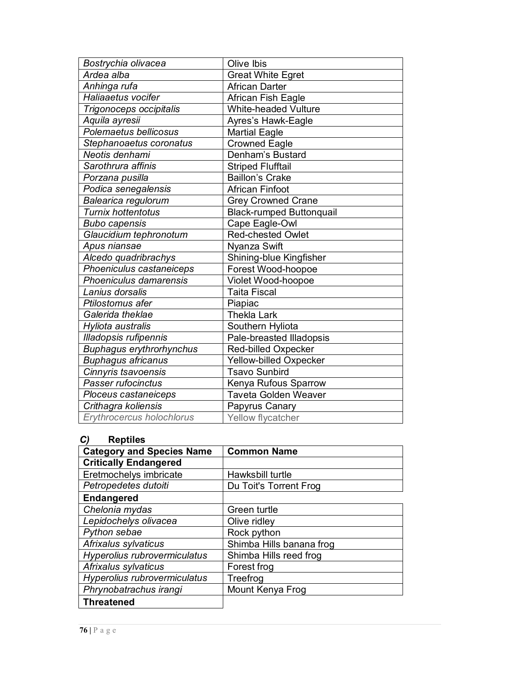| Olive Ibis                      |
|---------------------------------|
| <b>Great White Egret</b>        |
| <b>African Darter</b>           |
| African Fish Eagle              |
| White-headed Vulture            |
| Ayres's Hawk-Eagle              |
| <b>Martial Eagle</b>            |
| <b>Crowned Eagle</b>            |
| Denham's Bustard                |
| <b>Striped Flufftail</b>        |
| <b>Baillon's Crake</b>          |
| <b>African Finfoot</b>          |
| <b>Grey Crowned Crane</b>       |
| <b>Black-rumped Buttonquail</b> |
| Cape Eagle-Owl                  |
| Red-chested Owlet               |
| Nyanza Swift                    |
| Shining-blue Kingfisher         |
| Forest Wood-hoopoe              |
| Violet Wood-hoopoe              |
| <b>Taita Fiscal</b>             |
| Piapiac                         |
| <b>Thekla Lark</b>              |
| Southern Hyliota                |
| Pale-breasted Illadopsis        |
| Red-billed Oxpecker             |
| Yellow-billed Oxpecker          |
| <b>Tsavo Sunbird</b>            |
| Kenya Rufous Sparrow            |
| <b>Taveta Golden Weaver</b>     |
| Papyrus Canary                  |
| Yellow flycatcher               |
|                                 |

### *C)* **Reptiles**

| י<br>ISPUISS                     |                          |
|----------------------------------|--------------------------|
| <b>Category and Species Name</b> | <b>Common Name</b>       |
| <b>Critically Endangered</b>     |                          |
| Eretmochelys imbricate           | Hawksbill turtle         |
| Petropedetes dutoiti             | Du Toit's Torrent Frog   |
| <b>Endangered</b>                |                          |
| Chelonia mydas                   | Green turtle             |
| Lepidochelys olivacea            | Olive ridley             |
| Python sebae                     | Rock python              |
| Afrixalus sylvaticus             | Shimba Hills banana frog |
| Hyperolius rubrovermiculatus     | Shimba Hills reed frog   |
| Afrixalus sylvaticus             | Forest frog              |
| Hyperolius rubrovermiculatus     | Treefrog                 |
| Phrynobatrachus irangi           | Mount Kenya Frog         |
| <b>Threatened</b>                |                          |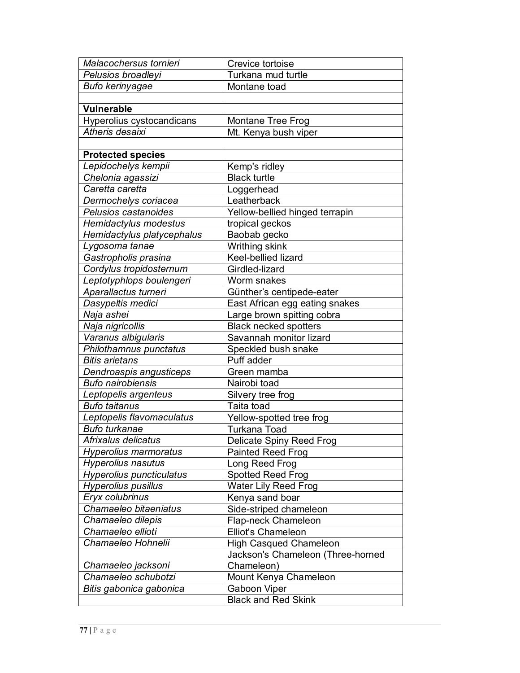| Malacochersus tornieri          | Crevice tortoise                  |
|---------------------------------|-----------------------------------|
| Pelusios broadleyi              | Turkana mud turtle                |
| Bufo kerinyagae                 | Montane toad                      |
|                                 |                                   |
| <b>Vulnerable</b>               |                                   |
| Hyperolius cystocandicans       | Montane Tree Frog                 |
| Atheris desaixi                 | Mt. Kenya bush viper              |
|                                 |                                   |
| <b>Protected species</b>        |                                   |
| Lepidochelys kempii             | Kemp's ridley                     |
| Chelonia agassizi               | <b>Black turtle</b>               |
| Caretta caretta                 | Loggerhead                        |
| Dermochelys coriacea            | Leatherback                       |
| Pelusios castanoides            | Yellow-bellied hinged terrapin    |
| Hemidactylus modestus           | tropical geckos                   |
| Hemidactylus platycephalus      | Baobab gecko                      |
| Lygosoma tanae                  | Writhing skink                    |
| Gastropholis prasina            | Keel-bellied lizard               |
| Cordylus tropidosternum         | Girdled-lizard                    |
| Leptotyphlops boulengeri        | Worm snakes                       |
| Aparallactus turneri            | Günther's centipede-eater         |
| Dasypeltis medici               | East African egg eating snakes    |
| Naja ashei                      | Large brown spitting cobra        |
| Naja nigricollis                | <b>Black necked spotters</b>      |
| Varanus albigularis             | Savannah monitor lizard           |
| Philothamnus punctatus          | Speckled bush snake               |
| <b>Bitis arietans</b>           | Puff adder                        |
| Dendroaspis angusticeps         | Green mamba                       |
| <b>Bufo nairobiensis</b>        | Nairobi toad                      |
| Leptopelis argenteus            | Silvery tree frog                 |
| <b>Bufo taitanus</b>            | Taita toad                        |
| Leptopelis flavomaculatus       | Yellow-spotted tree frog          |
| <b>Bufo turkanae</b>            | <b>Turkana Toad</b>               |
| Afrixalus delicatus             | Delicate Spiny Reed Frog          |
| <b>Hyperolius marmoratus</b>    | <b>Painted Reed Frog</b>          |
| <b>Hyperolius nasutus</b>       | Long Reed Frog                    |
| <b>Hyperolius puncticulatus</b> | <b>Spotted Reed Frog</b>          |
| <b>Hyperolius pusillus</b>      | <b>Water Lily Reed Frog</b>       |
| Eryx colubrinus                 | Kenya sand boar                   |
| Chamaeleo bitaeniatus           | Side-striped chameleon            |
| Chamaeleo dilepis               | Flap-neck Chameleon               |
| Chamaeleo ellioti               | Elliot's Chameleon                |
| Chamaeleo Hohnelii              | <b>High Casqued Chameleon</b>     |
|                                 | Jackson's Chameleon (Three-horned |
| Chamaeleo jacksoni              | Chameleon)                        |
| Chamaeleo schubotzi             | Mount Kenya Chameleon             |
| Bitis gabonica gabonica         | Gaboon Viper                      |
|                                 | <b>Black and Red Skink</b>        |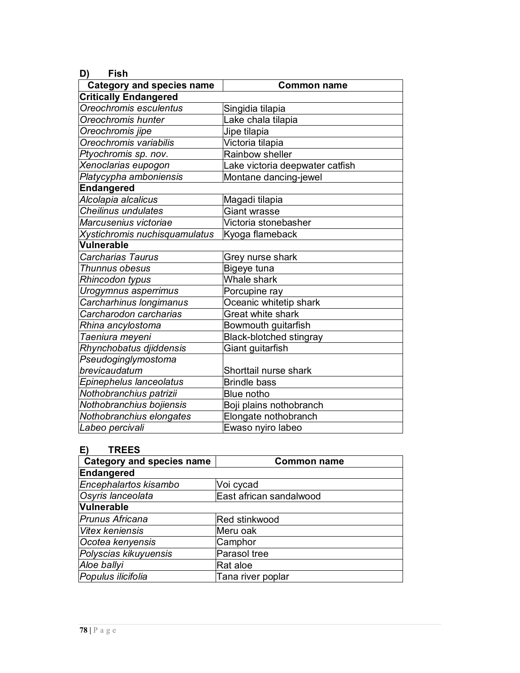| D)<br>Fish                       |                                 |
|----------------------------------|---------------------------------|
| <b>Category and species name</b> | <b>Common name</b>              |
| <b>Critically Endangered</b>     |                                 |
| Oreochromis esculentus           | Singidia tilapia                |
| Oreochromis hunter               | Lake chala tilapia              |
| Oreochromis jipe                 | Jipe tilapia                    |
| Oreochromis variabilis           | Victoria tilapia                |
| Ptyochromis sp. nov.             | Rainbow sheller                 |
| Xenoclarias eupogon              | Lake victoria deepwater catfish |
| Platycypha amboniensis           | Montane dancing-jewel           |
| Endangered                       |                                 |
| Alcolapia alcalicus              | Magadi tilapia                  |
| <b>Cheilinus undulates</b>       | Giant wrasse                    |
| Marcusenius victoriae            | Victoria stonebasher            |
| Xystichromis nuchisquamulatus    | Kyoga flameback                 |
| Vulnerable                       |                                 |
| <b>Carcharias Taurus</b>         | Grey nurse shark                |
| Thunnus obesus                   | Bigeye tuna                     |
| Rhincodon typus                  | Whale shark                     |
| Urogymnus asperrimus             | Porcupine ray                   |
| Carcharhinus longimanus          | Oceanic whitetip shark          |
| Carcharodon carcharias           | Great white shark               |
| Rhina ancylostoma                | Bowmouth guitarfish             |
| Taeniura meyeni                  | <b>Black-blotched stingray</b>  |
| Rhynchobatus djiddensis          | Giant guitarfish                |
| Pseudoginglymostoma              |                                 |
| brevicaudatum                    | Shorttail nurse shark           |
| Epinephelus lanceolatus          | <b>Brindle bass</b>             |
| Nothobranchius patrizii          | Blue notho                      |
| Nothobranchius bojiensis         | Boji plains nothobranch         |
| Nothobranchius elongates         | Elongate nothobranch            |
| Labeo percivali                  | Ewaso nyiro labeo               |

# **E) TREES**

| <b>Category and species name</b> | <b>Common name</b>      |
|----------------------------------|-------------------------|
| Endangered                       |                         |
| Encephalartos kisambo            | Voi cycad               |
| Osyris lanceolata                | East african sandalwood |
| <b>Vulnerable</b>                |                         |
| <b>Prunus Africana</b>           | Red stinkwood           |
| <b>Vitex keniensis</b>           | Meru oak                |
| Ocotea kenyensis                 | Camphor                 |
| Polyscias kikuyuensis            | Parasol tree            |
| Aloe ballyi                      | Rat aloe                |
| Populus ilicifolia               | Tana river poplar       |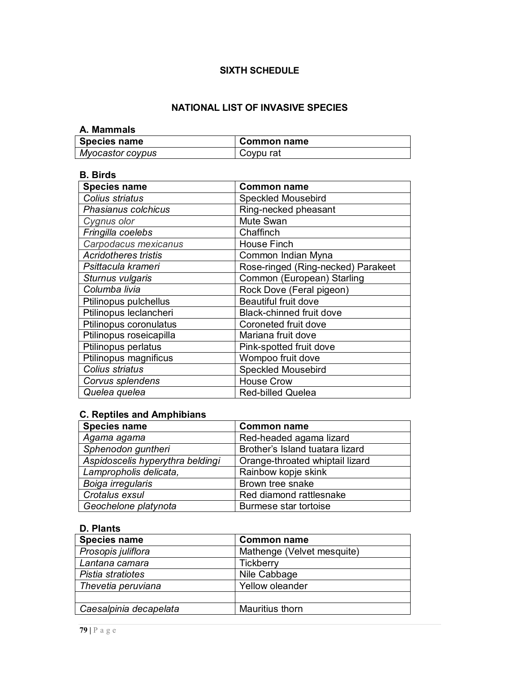# **SIXTH SCHEDULE**

# **NATIONAL LIST OF INVASIVE SPECIES**

#### **A. Mammals**

| Species name     | Common name |
|------------------|-------------|
| Myocastor coypus | Coypu rat   |

### **B. Birds**

| <b>Species name</b>         | <b>Common name</b>                 |
|-----------------------------|------------------------------------|
| Colius striatus             | Speckled Mousebird                 |
| Phasianus colchicus         | Ring-necked pheasant               |
| Cygnus olor                 | Mute Swan                          |
| Fringilla coelebs           | Chaffinch                          |
| Carpodacus mexicanus        | <b>House Finch</b>                 |
| <b>Acridotheres tristis</b> | Common Indian Myna                 |
| Psittacula krameri          | Rose-ringed (Ring-necked) Parakeet |
| Sturnus vulgaris            | Common (European) Starling         |
| Columba livia               | Rock Dove (Feral pigeon)           |
| Ptilinopus pulchellus       | <b>Beautiful fruit dove</b>        |
| Ptilinopus leclancheri      | <b>Black-chinned fruit dove</b>    |
| Ptilinopus coronulatus      | Coroneted fruit dove               |
| Ptilinopus roseicapilla     | Mariana fruit dove                 |
| Ptilinopus perlatus         | Pink-spotted fruit dove            |
| Ptilinopus magnificus       | Wompoo fruit dove                  |
| Colius striatus             | <b>Speckled Mousebird</b>          |
| Corvus splendens            | <b>House Crow</b>                  |
| Quelea quelea               | <b>Red-billed Quelea</b>           |

# **C. Reptiles and Amphibians**

| <b>Species name</b>              | <b>Common name</b>              |
|----------------------------------|---------------------------------|
| Agama agama                      | Red-headed agama lizard         |
| Sphenodon guntheri               | Brother's Island tuatara lizard |
| Aspidoscelis hyperythra beldingi | Orange-throated whiptail lizard |
| Lampropholis delicata,           | Rainbow kopje skink             |
| Boiga irregularis                | Brown tree snake                |
| Crotalus exsul                   | Red diamond rattlesnake         |
| Geochelone platynota             | Burmese star tortoise           |

## **D. Plants**

| <b>Species name</b>    | <b>Common name</b>         |
|------------------------|----------------------------|
| Prosopis juliflora     | Mathenge (Velvet mesquite) |
| Lantana camara         | <b>Tickberry</b>           |
| Pistia stratiotes      | Nile Cabbage               |
| Thevetia peruviana     | <b>Yellow oleander</b>     |
|                        |                            |
| Caesalpinia decapelata | Mauritius thorn            |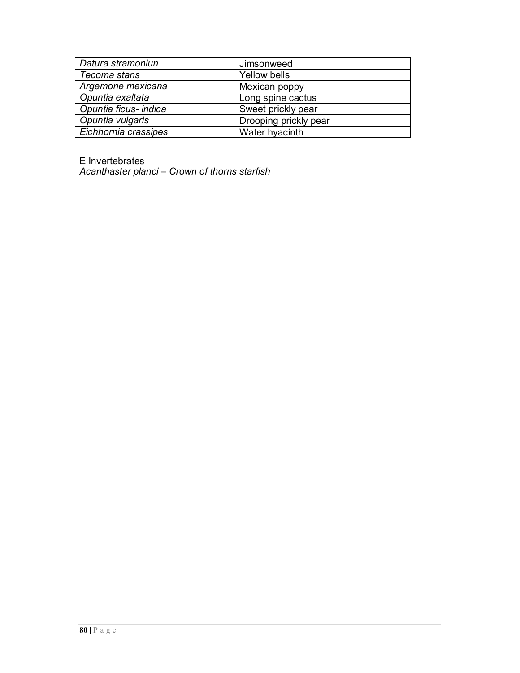| Datura stramoniun     | Jimsonweed            |
|-----------------------|-----------------------|
| Tecoma stans          | Yellow bells          |
| Argemone mexicana     | Mexican poppy         |
| Opuntia exaltata      | Long spine cactus     |
| Opuntia ficus- indica | Sweet prickly pear    |
| Opuntia vulgaris      | Drooping prickly pear |
| Eichhornia crassipes  | Water hyacinth        |

E Invertebrates

*Acanthaster planci – Crown of thorns starfish*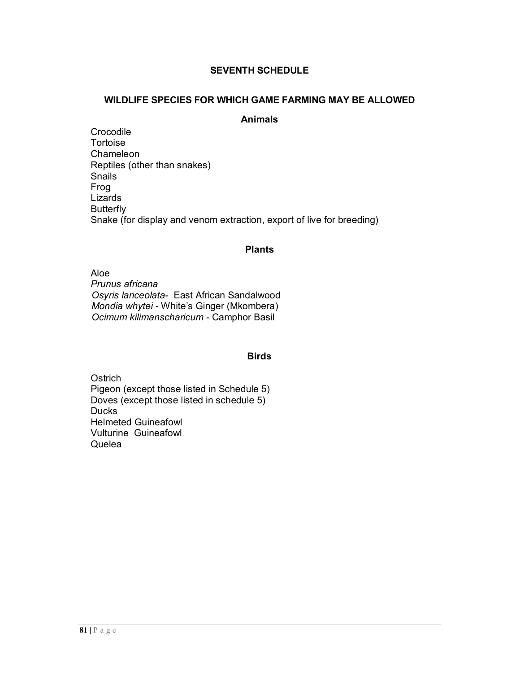## **SEVENTH SCHEDULE**

#### **WILDLIFE SPECIES FOR WHICH GAME FARMING MAY BE ALLOWED**

### **Animals**

Crocodile Tortoise Chameleon Reptiles (other than snakes) Snails Frog Lizards **Butterfly** Snake (for display and venom extraction, export of live for breeding)

#### **Plants**

Aloe *Prunus africana Osyris lanceolata-* East African Sandalwood *Mondia whytei -* White's Ginger (Mkombera) *Ocimum kilimanscharicum -* Camphor Basil

#### **Birds**

**Ostrich** Pigeon (except those listed in Schedule 5) Doves (except those listed in schedule 5) **Ducks** Helmeted Guineafowl Vulturine Guineafowl **Quelea**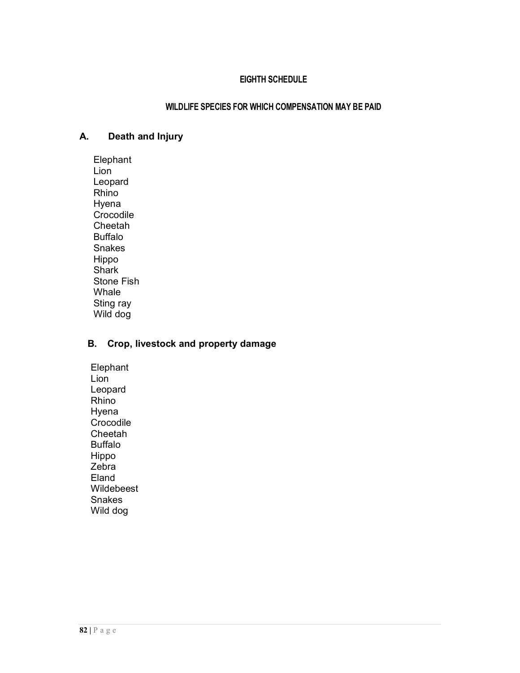# **EIGHTH SCHEDULE**

### **WILDLIFE SPECIES FOR WHICH COMPENSATION MAY BE PAID**

# **A. Death and Injury**

Elephant Lion Leopard Rhino Hyena Crocodile Cheetah Buffalo Snakes Hippo **Shark** Stone Fish Whale Sting ray Wild dog

## **B. Crop, livestock and property damage**

Elephant Lion Leopard Rhino Hyena **Crocodile** Cheetah Buffalo Hippo Zebra Eland Wildebeest Snakes Wild dog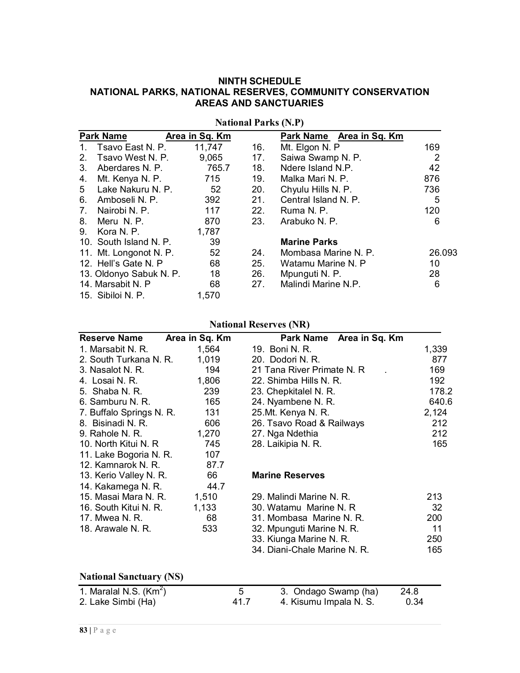## **NINTH SCHEDULE NATIONAL PARKS, NATIONAL RESERVES, COMMUNITY CONSERVATION AREAS AND SANCTUARIES**

|                | <b>Park Name</b>        | Area in Sq. Km |     | Park Name Area in Sq. Km |        |
|----------------|-------------------------|----------------|-----|--------------------------|--------|
| $1_{\cdot}$    | Tsavo East N. P.        | 11,747         | 16. | Mt. Elgon N. P           | 169    |
| 2 <sup>1</sup> | Tsavo West N. P.        | 9,065 17.      |     | Saiwa Swamp N. P.        | 2      |
| 3.             | Aberdares N. P.         | 765.7          | 18. | Ndere Island N.P.        | 42     |
| 4.             | Mt. Kenya N. P.         | 715            | 19. | Malka Mari N. P.         | 876    |
|                | 5 Lake Nakuru N. P.     | 52             | 20. | Chyulu Hills N. P.       | 736    |
| 6.             | Amboseli N. P.          | 392            | 21. | Central Island N. P.     | 5      |
| 7.             | Nairobi N. P.           | 117            | 22. | Ruma N. P.               | 120    |
| 8.             | Meru N.P.               | 870            | 23. | Arabuko N. P.            | 6      |
| 9.             | Kora N. P.              | 1,787          |     |                          |        |
|                | 10. South Island N. P.  | 39             |     | <b>Marine Parks</b>      |        |
|                | 11. Mt. Longonot N. P.  | 52             | 24. | Mombasa Marine N. P.     | 26.093 |
|                | 12. Hell's Gate N. P    | 68             | 25. | Watamu Marine N. P       | 10     |
|                | 13. Oldonyo Sabuk N. P. | 18             | 26. | Mpunguti N. P.           | 28     |
|                | 14. Marsabit N. P       | 68             | 27. | Malindi Marine N.P.      | 6      |
|                | 15. Sibiloi N. P.       | 1,570          |     |                          |        |

**National Parks (N.P)**

# **National Reserves (NR)**

| <b>Reserve Name</b>      | Area in Sq. Km | Park Name Area in Sq. Km     |       |
|--------------------------|----------------|------------------------------|-------|
| 1. Marsabit N. R.        | 1,564          | 19. Boni N. R.               | 1,339 |
| 2. South Turkana N. R.   | 1,019          | 20. Dodori N. R.             | 877   |
| 3. Nasalot N. R.         | 194            | 21 Tana River Primate N. R.  | 169   |
| 4. Losai N. R.           | 1,806          | 22. Shimba Hills N. R.       | 192   |
| 5. Shaba N. R.           | 239            | 23. Chepkitalel N. R.        | 178.2 |
| 6. Samburu N. R.         | 165            | 24. Nyambene N. R.           | 640.6 |
| 7. Buffalo Springs N. R. | 131            | 25.Mt. Kenya N. R.           | 2,124 |
| 8. Bisinadi N. R.        | 606            | 26. Tsavo Road & Railways    | 212   |
| 9. Rahole N. R.          | 1,270          | 27. Nga Ndethia              | 212   |
| 10. North Kitui N. R     | 745            | 28. Laikipia N. R.           | 165   |
| 11. Lake Bogoria N. R.   | 107            |                              |       |
| 12. Kamnarok N. R.       | 87.7           |                              |       |
| 13. Kerio Valley N. R.   | 66             | <b>Marine Reserves</b>       |       |
| 14. Kakamega N. R.       | 44.7           |                              |       |
| 15. Masai Mara N. R.     | 1,510          | 29. Malindi Marine N. R.     | 213   |
| 16. South Kitui N. R.    | 1,133          | 30. Watamu Marine N. R       | 32    |
| 17. Mwea N. R.           | 68             | 31. Mombasa Marine N. R.     | 200   |
| 18. Arawale N. R.        | 533            | 32. Mpunguti Marine N. R.    | 11    |
|                          |                | 33. Kiunga Marine N. R.      | 250   |
|                          |                | 34. Diani-Chale Marine N. R. | 165   |

## **National Sanctuary (NS)**

| 1. Maralal N.S. $(Km^2)$ |      | 3. Ondago Swamp (ha)   | 24.8 |
|--------------------------|------|------------------------|------|
| 2. Lake Simbi (Ha)       | 41.7 | 4. Kisumu Impala N. S. | 0.34 |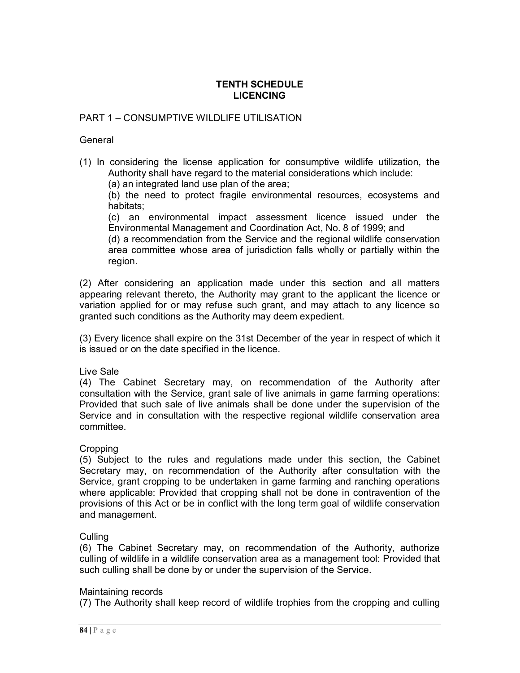### **TENTH SCHEDULE LICENCING**

## PART 1 – CONSUMPTIVE WILDLIFE UTILISATION

#### **General**

(1) In considering the license application for consumptive wildlife utilization, the Authority shall have regard to the material considerations which include:

(a) an integrated land use plan of the area;

(b) the need to protect fragile environmental resources, ecosystems and habitats;

(c) an environmental impact assessment licence issued under the Environmental Management and Coordination Act, No. 8 of 1999; and

(d) a recommendation from the Service and the regional wildlife conservation area committee whose area of jurisdiction falls wholly or partially within the region.

(2) After considering an application made under this section and all matters appearing relevant thereto, the Authority may grant to the applicant the licence or variation applied for or may refuse such grant, and may attach to any licence so granted such conditions as the Authority may deem expedient.

(3) Every licence shall expire on the 31st December of the year in respect of which it is issued or on the date specified in the licence.

### Live Sale

(4) The Cabinet Secretary may, on recommendation of the Authority after consultation with the Service, grant sale of live animals in game farming operations: Provided that such sale of live animals shall be done under the supervision of the Service and in consultation with the respective regional wildlife conservation area committee.

### Cropping

(5) Subject to the rules and regulations made under this section, the Cabinet Secretary may, on recommendation of the Authority after consultation with the Service, grant cropping to be undertaken in game farming and ranching operations where applicable: Provided that cropping shall not be done in contravention of the provisions of this Act or be in conflict with the long term goal of wildlife conservation and management.

### **Culling**

(6) The Cabinet Secretary may, on recommendation of the Authority, authorize culling of wildlife in a wildlife conservation area as a management tool: Provided that such culling shall be done by or under the supervision of the Service.

#### Maintaining records

(7) The Authority shall keep record of wildlife trophies from the cropping and culling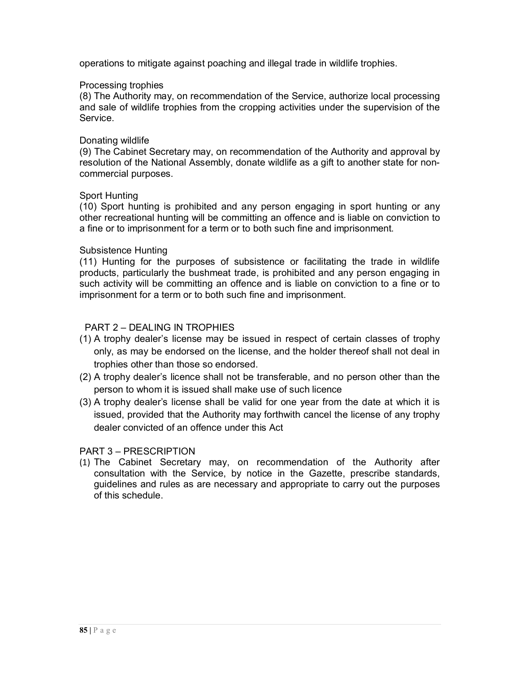operations to mitigate against poaching and illegal trade in wildlife trophies.

#### Processing trophies

(8) The Authority may, on recommendation of the Service, authorize local processing and sale of wildlife trophies from the cropping activities under the supervision of the Service.

#### Donating wildlife

(9) The Cabinet Secretary may, on recommendation of the Authority and approval by resolution of the National Assembly, donate wildlife as a gift to another state for noncommercial purposes.

#### Sport Hunting

(10) Sport hunting is prohibited and any person engaging in sport hunting or any other recreational hunting will be committing an offence and is liable on conviction to a fine or to imprisonment for a term or to both such fine and imprisonment.

#### Subsistence Hunting

(11) Hunting for the purposes of subsistence or facilitating the trade in wildlife products, particularly the bushmeat trade, is prohibited and any person engaging in such activity will be committing an offence and is liable on conviction to a fine or to imprisonment for a term or to both such fine and imprisonment.

### PART 2 – DEALING IN TROPHIES

- (1) A trophy dealer's license may be issued in respect of certain classes of trophy only, as may be endorsed on the license, and the holder thereof shall not deal in trophies other than those so endorsed.
- (2) A trophy dealer's licence shall not be transferable, and no person other than the person to whom it is issued shall make use of such licence
- (3) A trophy dealer's license shall be valid for one year from the date at which it is issued, provided that the Authority may forthwith cancel the license of any trophy dealer convicted of an offence under this Act

### PART 3 – PRESCRIPTION

(1) The Cabinet Secretary may, on recommendation of the Authority after consultation with the Service, by notice in the Gazette, prescribe standards, guidelines and rules as are necessary and appropriate to carry out the purposes of this schedule.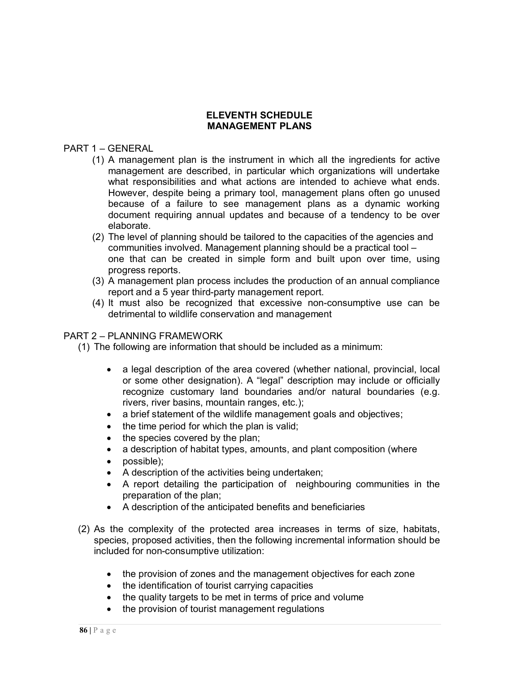### **ELEVENTH SCHEDULE MANAGEMENT PLANS**

### PART 1 – GENERAL

- (1) A management plan is the instrument in which all the ingredients for active management are described, in particular which organizations will undertake what responsibilities and what actions are intended to achieve what ends. However, despite being a primary tool, management plans often go unused because of a failure to see management plans as a dynamic working document requiring annual updates and because of a tendency to be over elaborate.
- (2) The level of planning should be tailored to the capacities of the agencies and communities involved. Management planning should be a practical tool – one that can be created in simple form and built upon over time, using progress reports.
- (3) A management plan process includes the production of an annual compliance report and a 5 year third-party management report.
- (4) It must also be recognized that excessive non-consumptive use can be detrimental to wildlife conservation and management

#### PART 2 – PLANNING FRAMEWORK

- (1) The following are information that should be included as a minimum:
	- a legal description of the area covered (whether national, provincial, local or some other designation). A "legal" description may include or officially recognize customary land boundaries and/or natural boundaries (e.g. rivers, river basins, mountain ranges, etc.);
	- a brief statement of the wildlife management goals and objectives;
	- $\bullet$  the time period for which the plan is valid:
	- $\bullet$  the species covered by the plan;
	- a description of habitat types, amounts, and plant composition (where
	- possible);
	- A description of the activities being undertaken;
	- A report detailing the participation of neighbouring communities in the preparation of the plan;
	- A description of the anticipated benefits and beneficiaries
- (2) As the complexity of the protected area increases in terms of size, habitats, species, proposed activities, then the following incremental information should be included for non-consumptive utilization:
	- the provision of zones and the management objectives for each zone
	- the identification of tourist carrying capacities
	- the quality targets to be met in terms of price and volume
	- the provision of tourist management regulations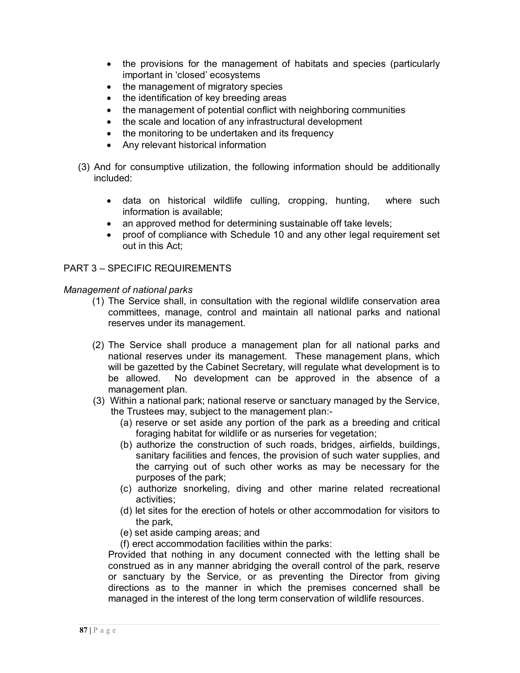- the provisions for the management of habitats and species (particularly important in 'closed' ecosystems
- the management of migratory species
- the identification of key breeding areas
- the management of potential conflict with neighboring communities
- the scale and location of any infrastructural development
- the monitoring to be undertaken and its frequency
- Any relevant historical information
- (3) And for consumptive utilization, the following information should be additionally included:
	- data on historical wildlife culling, cropping, hunting, where such information is available;
	- an approved method for determining sustainable off take levels;
	- proof of compliance with Schedule 10 and any other legal requirement set out in this Act;

# PART 3 – SPECIFIC REQUIREMENTS

## *Management of national parks*

- (1) The Service shall, in consultation with the regional wildlife conservation area committees, manage, control and maintain all national parks and national reserves under its management.
- (2) The Service shall produce a management plan for all national parks and national reserves under its management. These management plans, which will be gazetted by the Cabinet Secretary, will regulate what development is to be allowed. No development can be approved in the absence of a management plan.
- (3) Within a national park; national reserve or sanctuary managed by the Service, the Trustees may, subject to the management plan:-
	- (a) reserve or set aside any portion of the park as a breeding and critical foraging habitat for wildlife or as nurseries for vegetation;
	- (b) authorize the construction of such roads, bridges, airfields, buildings, sanitary facilities and fences, the provision of such water supplies, and the carrying out of such other works as may be necessary for the purposes of the park;
	- (c) authorize snorkeling, diving and other marine related recreational activities;
	- (d) let sites for the erection of hotels or other accommodation for visitors to the park,
	- (e) set aside camping areas; and
	- (f) erect accommodation facilities within the parks:

Provided that nothing in any document connected with the letting shall be construed as in any manner abridging the overall control of the park, reserve or sanctuary by the Service, or as preventing the Director from giving directions as to the manner in which the premises concerned shall be managed in the interest of the long term conservation of wildlife resources.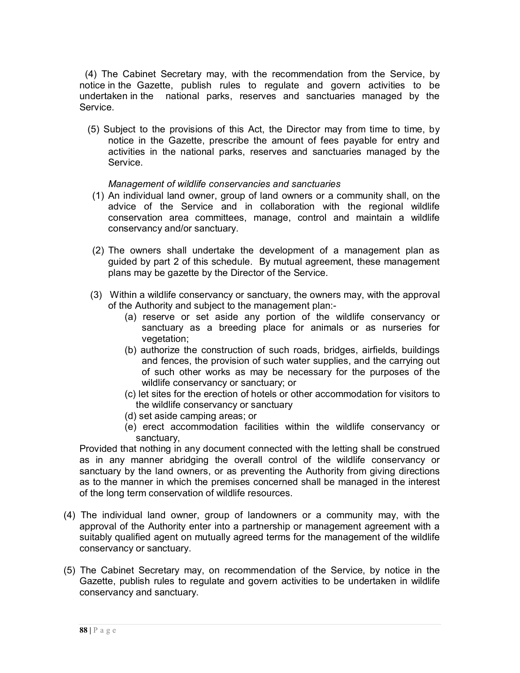(4) The Cabinet Secretary may, with the recommendation from the Service, by notice in the Gazette, publish rules to regulate and govern activities to be undertaken in the national parks, reserves and sanctuaries managed by the Service.

 (5) Subject to the provisions of this Act, the Director may from time to time, by notice in the Gazette, prescribe the amount of fees payable for entry and activities in the national parks, reserves and sanctuaries managed by the Service.

### *Management of wildlife conservancies and sanctuaries*

- (1) An individual land owner, group of land owners or a community shall, on the advice of the Service and in collaboration with the regional wildlife conservation area committees, manage, control and maintain a wildlife conservancy and/or sanctuary.
- (2) The owners shall undertake the development of a management plan as guided by part 2 of this schedule. By mutual agreement, these management plans may be gazette by the Director of the Service.
- (3) Within a wildlife conservancy or sanctuary, the owners may, with the approval of the Authority and subject to the management plan:-
	- (a) reserve or set aside any portion of the wildlife conservancy or sanctuary as a breeding place for animals or as nurseries for vegetation;
	- (b) authorize the construction of such roads, bridges, airfields, buildings and fences, the provision of such water supplies, and the carrying out of such other works as may be necessary for the purposes of the wildlife conservancy or sanctuary; or
	- (c) let sites for the erection of hotels or other accommodation for visitors to the wildlife conservancy or sanctuary
	- (d) set aside camping areas; or
	- (e) erect accommodation facilities within the wildlife conservancy or sanctuary.

Provided that nothing in any document connected with the letting shall be construed as in any manner abridging the overall control of the wildlife conservancy or sanctuary by the land owners, or as preventing the Authority from giving directions as to the manner in which the premises concerned shall be managed in the interest of the long term conservation of wildlife resources.

- (4) The individual land owner, group of landowners or a community may, with the approval of the Authority enter into a partnership or management agreement with a suitably qualified agent on mutually agreed terms for the management of the wildlife conservancy or sanctuary.
- (5) The Cabinet Secretary may, on recommendation of the Service, by notice in the Gazette, publish rules to regulate and govern activities to be undertaken in wildlife conservancy and sanctuary.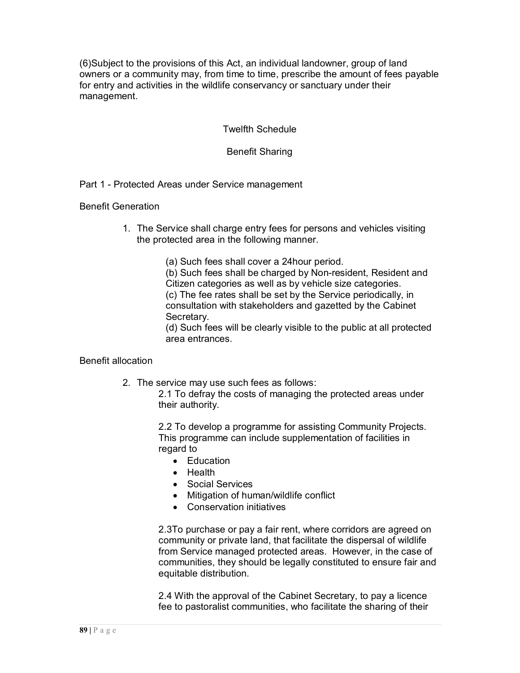(6)Subject to the provisions of this Act, an individual landowner, group of land owners or a community may, from time to time, prescribe the amount of fees payable for entry and activities in the wildlife conservancy or sanctuary under their management.

Twelfth Schedule

Benefit Sharing

Part 1 - Protected Areas under Service management

Benefit Generation

- 1. The Service shall charge entry fees for persons and vehicles visiting the protected area in the following manner.
	- (a) Such fees shall cover a 24hour period.

(b) Such fees shall be charged by Non-resident, Resident and Citizen categories as well as by vehicle size categories. (c) The fee rates shall be set by the Service periodically, in consultation with stakeholders and gazetted by the Cabinet Secretary.

(d) Such fees will be clearly visible to the public at all protected area entrances.

### Benefit allocation

2. The service may use such fees as follows:

2.1 To defray the costs of managing the protected areas under their authority.

2.2 To develop a programme for assisting Community Projects. This programme can include supplementation of facilities in regard to

- Education
- Health
- Social Services
- Mitigation of human/wildlife conflict
- Conservation initiatives

2.3To purchase or pay a fair rent, where corridors are agreed on community or private land, that facilitate the dispersal of wildlife from Service managed protected areas. However, in the case of communities, they should be legally constituted to ensure fair and equitable distribution.

2.4 With the approval of the Cabinet Secretary, to pay a licence fee to pastoralist communities, who facilitate the sharing of their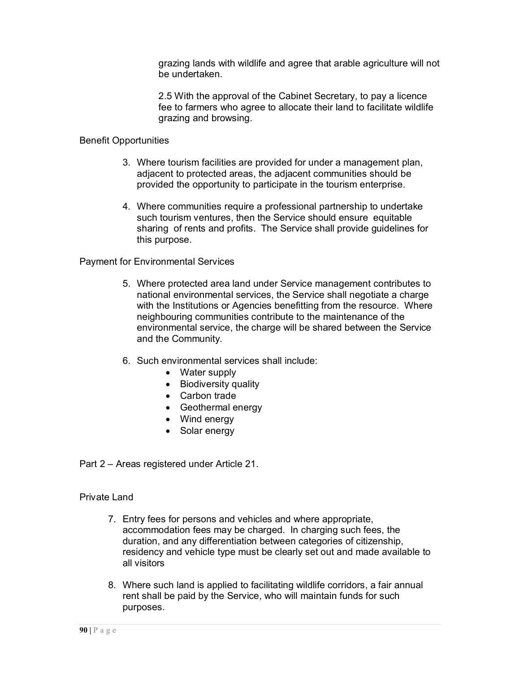grazing lands with wildlife and agree that arable agriculture will not be undertaken.

2.5 With the approval of the Cabinet Secretary, to pay a licence fee to farmers who agree to allocate their land to facilitate wildlife grazing and browsing.

## Benefit Opportunities

- 3. Where tourism facilities are provided for under a management plan, adjacent to protected areas, the adjacent communities should be provided the opportunity to participate in the tourism enterprise.
- 4. Where communities require a professional partnership to undertake such tourism ventures, then the Service should ensure equitable sharing of rents and profits. The Service shall provide guidelines for this purpose.

Payment for Environmental Services

- 5. Where protected area land under Service management contributes to national environmental services, the Service shall negotiate a charge with the Institutions or Agencies benefitting from the resource. Where neighbouring communities contribute to the maintenance of the environmental service, the charge will be shared between the Service and the Community.
- 6. Such environmental services shall include:
	- Water supply
	- Biodiversity quality
	- Carbon trade
	- Geothermal energy
	- Wind energy
	- Solar energy

Part 2 – Areas registered under Article 21.

### Private Land

- 7. Entry fees for persons and vehicles and where appropriate, accommodation fees may be charged. In charging such fees, the duration, and any differentiation between categories of citizenship, residency and vehicle type must be clearly set out and made available to all visitors
- 8. Where such land is applied to facilitating wildlife corridors, a fair annual rent shall be paid by the Service, who will maintain funds for such purposes.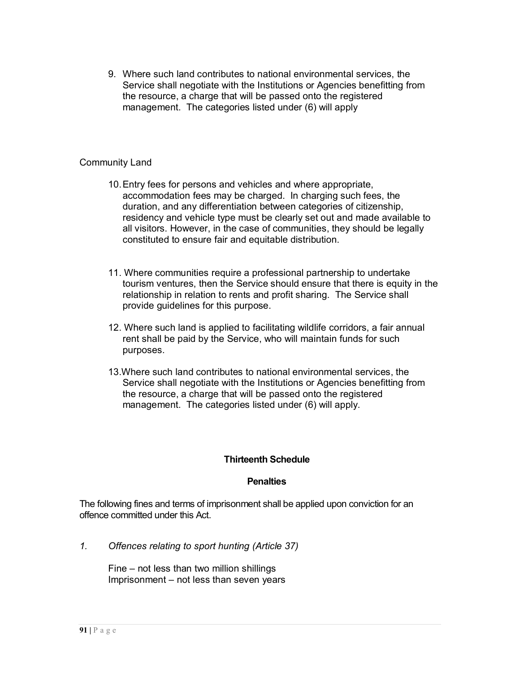9. Where such land contributes to national environmental services, the Service shall negotiate with the Institutions or Agencies benefitting from the resource, a charge that will be passed onto the registered management. The categories listed under (6) will apply

### Community Land

- 10.Entry fees for persons and vehicles and where appropriate, accommodation fees may be charged. In charging such fees, the duration, and any differentiation between categories of citizenship, residency and vehicle type must be clearly set out and made available to all visitors. However, in the case of communities, they should be legally constituted to ensure fair and equitable distribution.
- 11. Where communities require a professional partnership to undertake tourism ventures, then the Service should ensure that there is equity in the relationship in relation to rents and profit sharing. The Service shall provide guidelines for this purpose.
- 12. Where such land is applied to facilitating wildlife corridors, a fair annual rent shall be paid by the Service, who will maintain funds for such purposes.
- 13.Where such land contributes to national environmental services, the Service shall negotiate with the Institutions or Agencies benefitting from the resource, a charge that will be passed onto the registered management. The categories listed under (6) will apply.

### **Thirteenth Schedule**

### **Penalties**

The following fines and terms of imprisonment shall be applied upon conviction for an offence committed under this Act.

*1. Offences relating to sport hunting (Article 37)*

Fine – not less than two million shillings Imprisonment – not less than seven years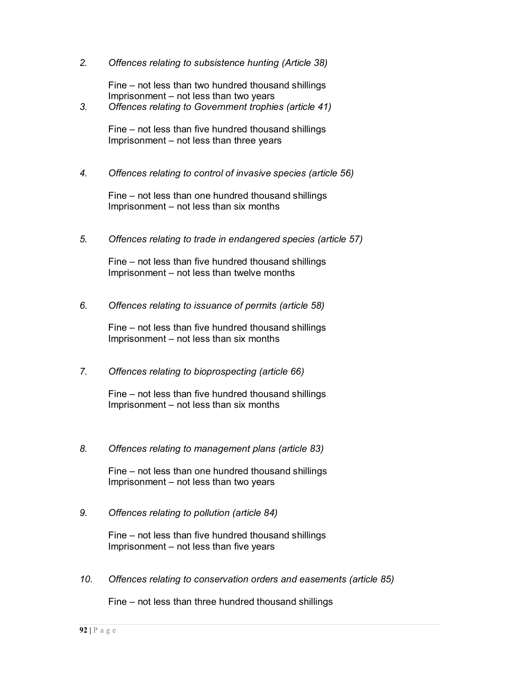*2. Offences relating to subsistence hunting (Article 38)*

Fine – not less than two hundred thousand shillings Imprisonment – not less than two years

*3. Offences relating to Government trophies (article 41)*

Fine – not less than five hundred thousand shillings Imprisonment – not less than three years

*4. Offences relating to control of invasive species (article 56)*

Fine – not less than one hundred thousand shillings Imprisonment – not less than six months

*5. Offences relating to trade in endangered species (article 57)*

Fine – not less than five hundred thousand shillings Imprisonment – not less than twelve months

*6. Offences relating to issuance of permits (article 58)*

Fine – not less than five hundred thousand shillings Imprisonment – not less than six months

*7. Offences relating to bioprospecting (article 66)*

Fine – not less than five hundred thousand shillings Imprisonment – not less than six months

*8. Offences relating to management plans (article 83)*

Fine – not less than one hundred thousand shillings Imprisonment – not less than two years

*9. Offences relating to pollution (article 84)*

Fine – not less than five hundred thousand shillings Imprisonment – not less than five years

*10. Offences relating to conservation orders and easements (article 85)*

Fine – not less than three hundred thousand shillings